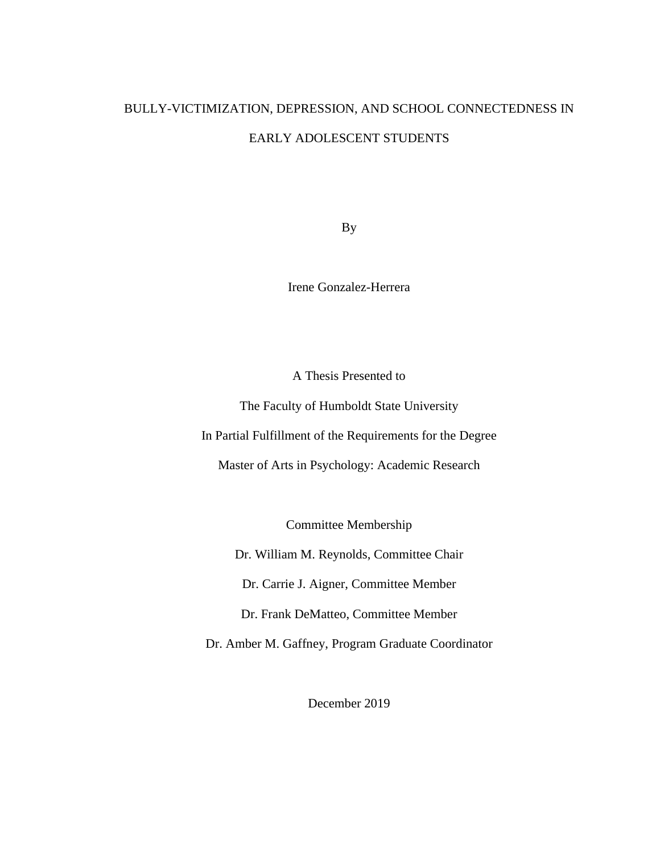# BULLY-VICTIMIZATION, DEPRESSION, AND SCHOOL CONNECTEDNESS IN EARLY ADOLESCENT STUDENTS

By

Irene Gonzalez-Herrera

A Thesis Presented to

The Faculty of Humboldt State University

In Partial Fulfillment of the Requirements for the Degree

Master of Arts in Psychology: Academic Research

Committee Membership

Dr. William M. Reynolds, Committee Chair

Dr. Carrie J. Aigner, Committee Member

Dr. Frank DeMatteo, Committee Member

Dr. Amber M. Gaffney, Program Graduate Coordinator

December 2019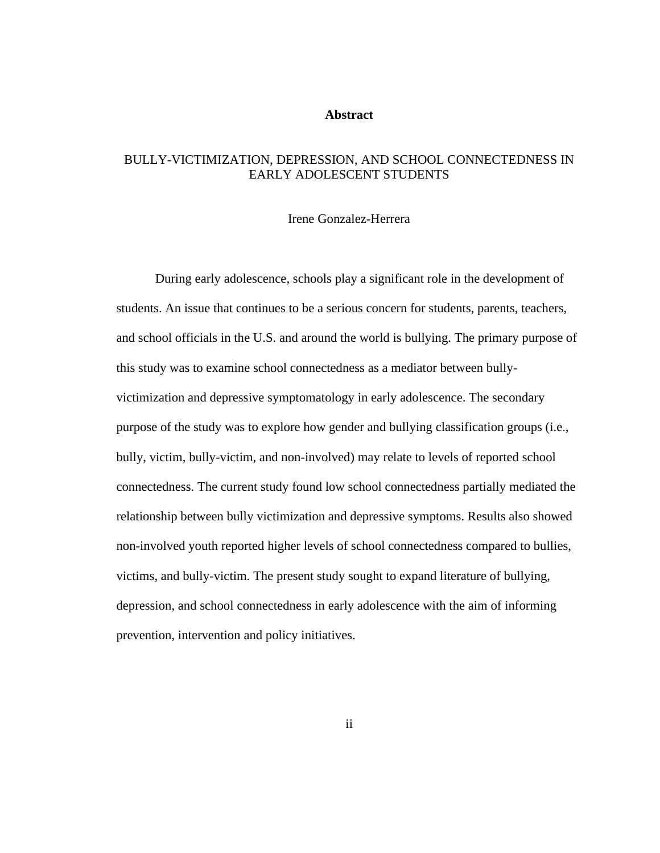#### **Abstract**

# <span id="page-1-0"></span>BULLY-VICTIMIZATION, DEPRESSION, AND SCHOOL CONNECTEDNESS IN EARLY ADOLESCENT STUDENTS

#### Irene Gonzalez-Herrera

During early adolescence, schools play a significant role in the development of students. An issue that continues to be a serious concern for students, parents, teachers, and school officials in the U.S. and around the world is bullying. The primary purpose of this study was to examine school connectedness as a mediator between bullyvictimization and depressive symptomatology in early adolescence. The secondary purpose of the study was to explore how gender and bullying classification groups (i.e., bully, victim, bully-victim, and non-involved) may relate to levels of reported school connectedness. The current study found low school connectedness partially mediated the relationship between bully victimization and depressive symptoms. Results also showed non-involved youth reported higher levels of school connectedness compared to bullies, victims, and bully-victim. The present study sought to expand literature of bullying, depression, and school connectedness in early adolescence with the aim of informing prevention, intervention and policy initiatives.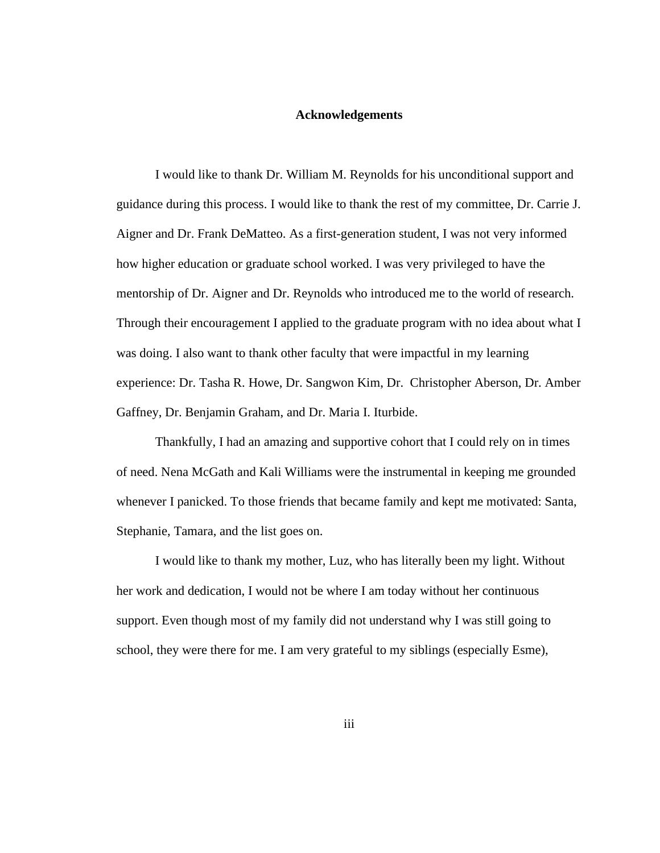#### **Acknowledgements**

<span id="page-2-0"></span>I would like to thank Dr. William M. Reynolds for his unconditional support and guidance during this process. I would like to thank the rest of my committee, Dr. Carrie J. Aigner and Dr. Frank DeMatteo. As a first-generation student, I was not very informed how higher education or graduate school worked. I was very privileged to have the mentorship of Dr. Aigner and Dr. Reynolds who introduced me to the world of research. Through their encouragement I applied to the graduate program with no idea about what I was doing. I also want to thank other faculty that were impactful in my learning experience: Dr. Tasha R. Howe, Dr. Sangwon Kim, Dr. Christopher Aberson, Dr. Amber Gaffney, Dr. Benjamin Graham, and Dr. Maria I. Iturbide.

Thankfully, I had an amazing and supportive cohort that I could rely on in times of need. Nena McGath and Kali Williams were the instrumental in keeping me grounded whenever I panicked. To those friends that became family and kept me motivated: Santa, Stephanie, Tamara, and the list goes on.

I would like to thank my mother, Luz, who has literally been my light. Without her work and dedication, I would not be where I am today without her continuous support. Even though most of my family did not understand why I was still going to school, they were there for me. I am very grateful to my siblings (especially Esme),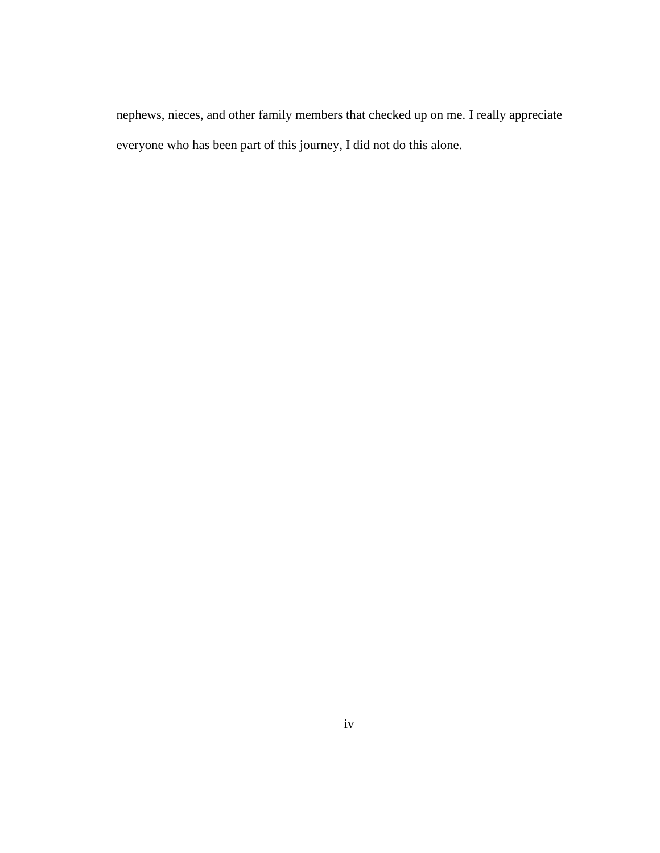nephews, nieces, and other family members that checked up on me. I really appreciate everyone who has been part of this journey, I did not do this alone.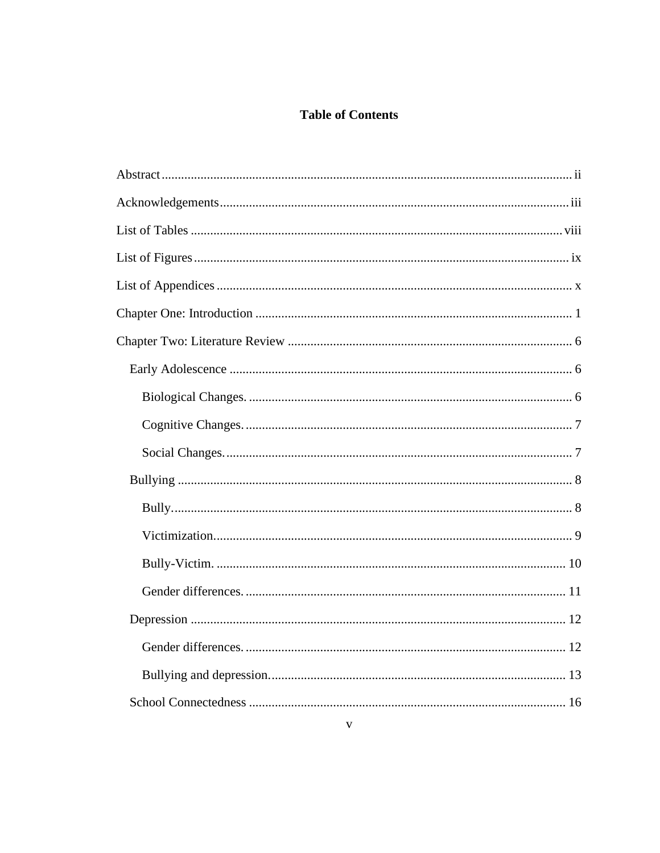# **Table of Contents**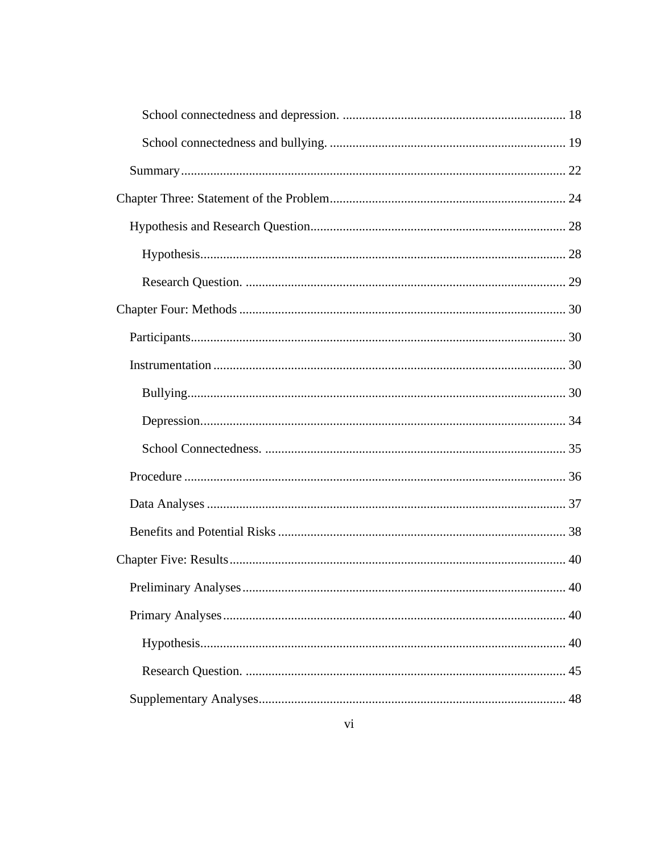| Preliminary Analyses | 40 |
|----------------------|----|
|                      |    |
|                      |    |
|                      |    |
|                      |    |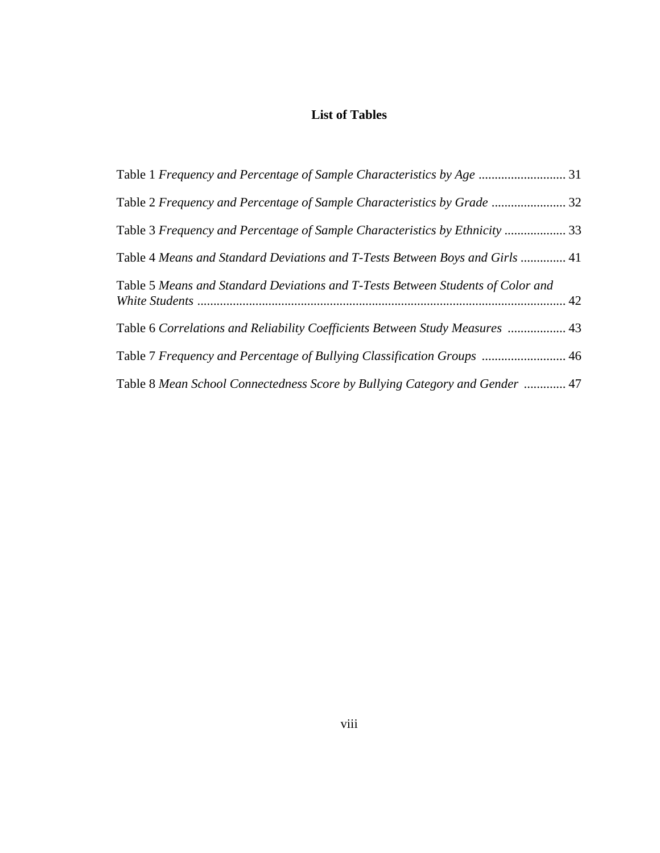# **List of Tables**

<span id="page-7-0"></span>

| Table 1 Frequency and Percentage of Sample Characteristics by Age  31           |  |
|---------------------------------------------------------------------------------|--|
| Table 2 Frequency and Percentage of Sample Characteristics by Grade 32          |  |
| Table 3 Frequency and Percentage of Sample Characteristics by Ethnicity  33     |  |
| Table 4 Means and Standard Deviations and T-Tests Between Boys and Girls  41    |  |
| Table 5 Means and Standard Deviations and T-Tests Between Students of Color and |  |
| Table 6 Correlations and Reliability Coefficients Between Study Measures  43    |  |
| Table 7 Frequency and Percentage of Bullying Classification Groups  46          |  |
| Table 8 Mean School Connectedness Score by Bullying Category and Gender  47     |  |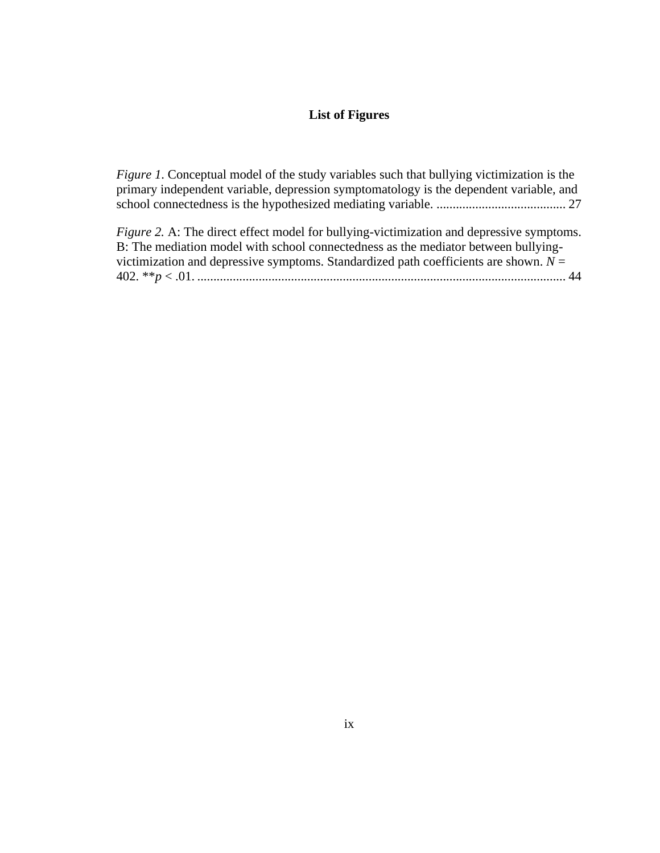# **List of Figures**

<span id="page-8-0"></span>*Figure 1*[. Conceptual model of the study variables such that bullying victimization is the](#page-36-0)  [primary independent variable, depression symptomatology is the dependent variable, and](#page-36-0)  [school connectedness is the hypothesized mediating variable.](#page-36-0) ........................................ 27

*Figure 2. A:* The direct effect model for bullying-victimization and depressive symptoms. [B: The mediation model with school connectedness as the mediator between bullying](#page-53-0)[victimization and depressive symptoms. Standardized path coefficients are shown.](#page-53-0)  $N =$ 402. \*\**p* < .01. [..................................................................................................................](#page-53-0) 44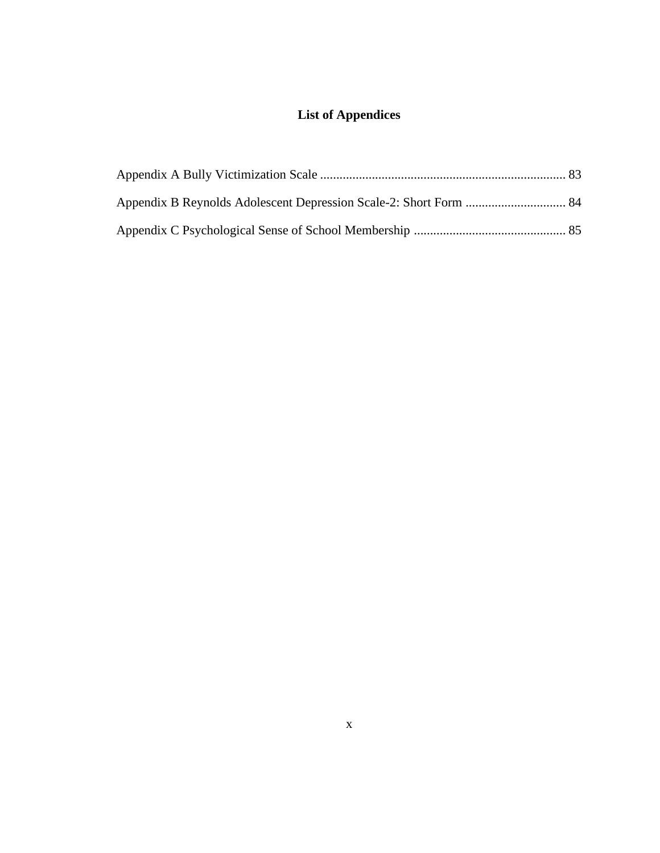# <span id="page-9-0"></span>**List of Appendices**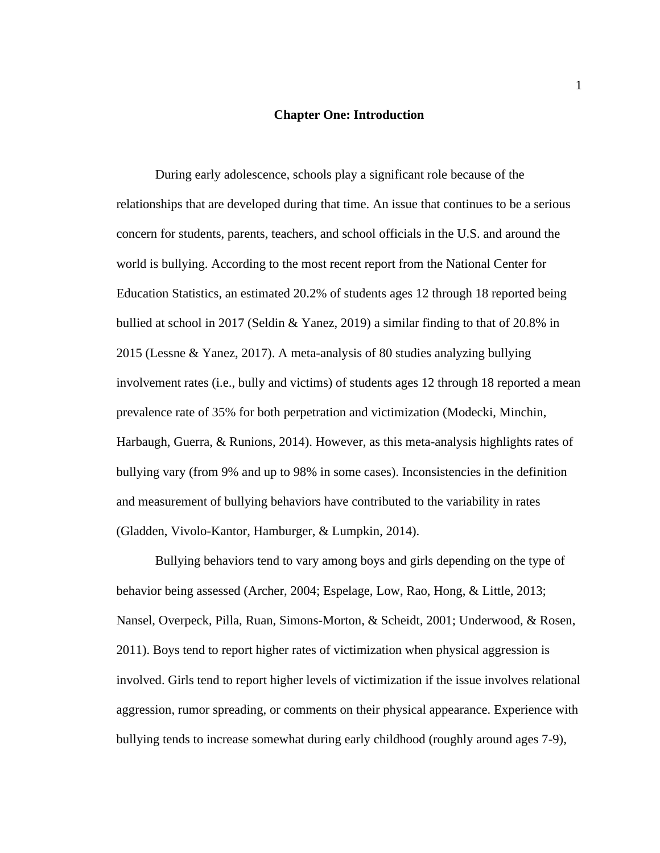#### **Chapter One: Introduction**

<span id="page-10-0"></span>During early adolescence, schools play a significant role because of the relationships that are developed during that time. An issue that continues to be a serious concern for students, parents, teachers, and school officials in the U.S. and around the world is bullying. According to the most recent report from the National Center for Education Statistics, an estimated 20.2% of students ages 12 through 18 reported being bullied at school in 2017 (Seldin & Yanez, 2019) a similar finding to that of 20.8% in 2015 (Lessne & Yanez, 2017). A meta-analysis of 80 studies analyzing bullying involvement rates (i.e., bully and victims) of students ages 12 through 18 reported a mean prevalence rate of 35% for both perpetration and victimization (Modecki, Minchin, Harbaugh, Guerra, & Runions, 2014). However, as this meta-analysis highlights rates of bullying vary (from 9% and up to 98% in some cases). Inconsistencies in the definition and measurement of bullying behaviors have contributed to the variability in rates (Gladden, Vivolo-Kantor, Hamburger, & Lumpkin, 2014).

Bullying behaviors tend to vary among boys and girls depending on the type of behavior being assessed (Archer, 2004; Espelage, Low, Rao, Hong, & Little, 2013; Nansel, Overpeck, Pilla, Ruan, Simons-Morton, & Scheidt, 2001; Underwood, & Rosen, 2011). Boys tend to report higher rates of victimization when physical aggression is involved. Girls tend to report higher levels of victimization if the issue involves relational aggression, rumor spreading, or comments on their physical appearance. Experience with bullying tends to increase somewhat during early childhood (roughly around ages 7-9),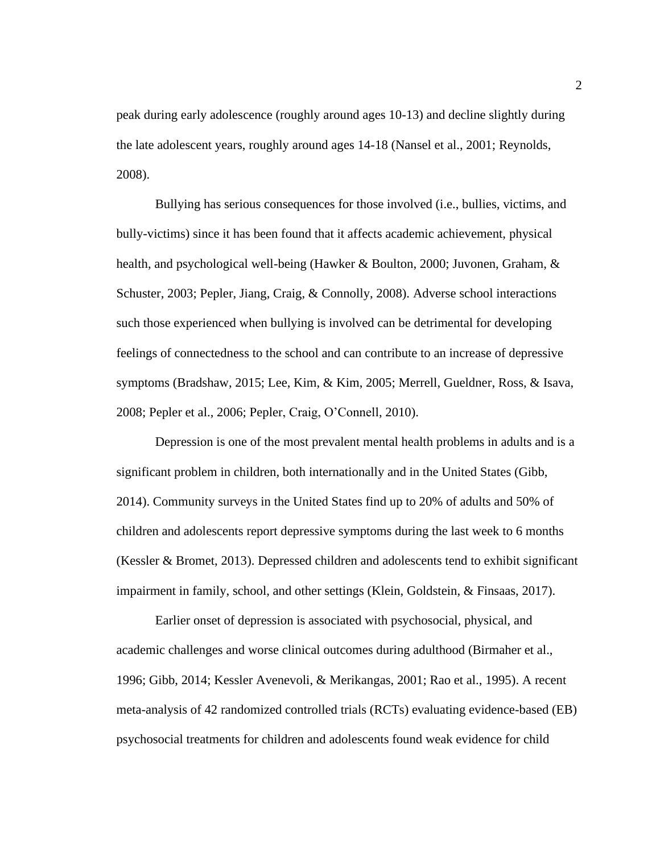peak during early adolescence (roughly around ages 10-13) and decline slightly during the late adolescent years, roughly around ages 14-18 (Nansel et al., 2001; Reynolds, 2008).

Bullying has serious consequences for those involved (i.e., bullies, victims, and bully-victims) since it has been found that it affects academic achievement, physical health, and psychological well-being (Hawker & Boulton, 2000; Juvonen, Graham, & Schuster, 2003; Pepler, Jiang, Craig, & Connolly, 2008). Adverse school interactions such those experienced when bullying is involved can be detrimental for developing feelings of connectedness to the school and can contribute to an increase of depressive symptoms (Bradshaw, 2015; Lee, Kim, & Kim, 2005; Merrell, Gueldner, Ross, & Isava, 2008; Pepler et al., 2006; Pepler, Craig, O'Connell, 2010).

Depression is one of the most prevalent mental health problems in adults and is a significant problem in children, both internationally and in the United States (Gibb, 2014). Community surveys in the United States find up to 20% of adults and 50% of children and adolescents report depressive symptoms during the last week to 6 months (Kessler & Bromet, 2013). Depressed children and adolescents tend to exhibit significant impairment in family, school, and other settings (Klein, Goldstein, & Finsaas, 2017).

Earlier onset of depression is associated with psychosocial, physical, and academic challenges and worse clinical outcomes during adulthood (Birmaher et al., 1996; Gibb, 2014; Kessler Avenevoli, & Merikangas, 2001; Rao et al., 1995). A recent meta-analysis of 42 randomized controlled trials (RCTs) evaluating evidence-based (EB) psychosocial treatments for children and adolescents found weak evidence for child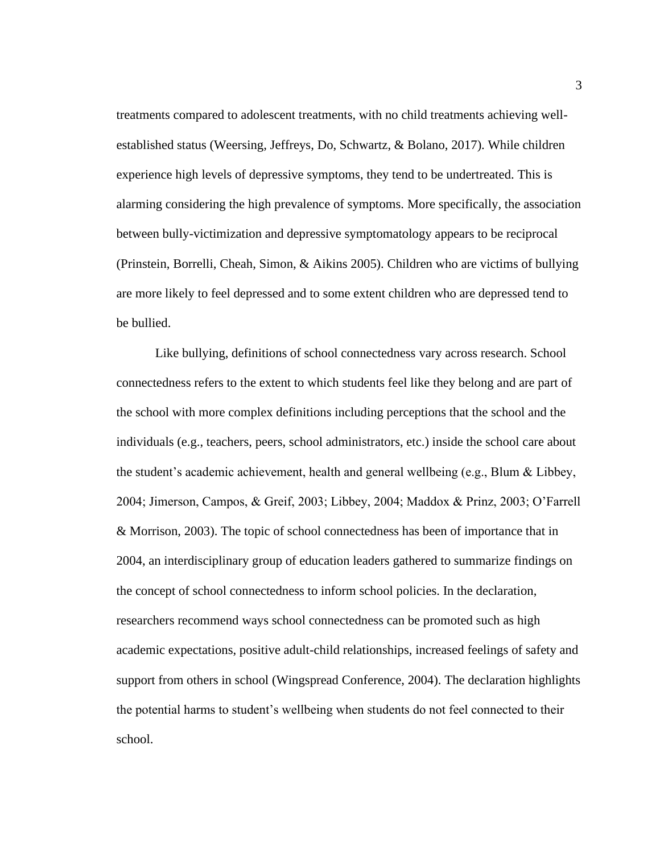treatments compared to adolescent treatments, with no child treatments achieving wellestablished status (Weersing, Jeffreys, Do, Schwartz, & Bolano, 2017). While children experience high levels of depressive symptoms, they tend to be undertreated. This is alarming considering the high prevalence of symptoms. More specifically, the association between bully-victimization and depressive symptomatology appears to be reciprocal (Prinstein, Borrelli, Cheah, Simon, & Aikins 2005). Children who are victims of bullying are more likely to feel depressed and to some extent children who are depressed tend to be bullied.

Like bullying, definitions of school connectedness vary across research. School connectedness refers to the extent to which students feel like they belong and are part of the school with more complex definitions including perceptions that the school and the individuals (e.g., teachers, peers, school administrators, etc.) inside the school care about the student's academic achievement, health and general wellbeing (e.g., Blum & Libbey, 2004; Jimerson, Campos, & Greif, 2003; Libbey, 2004; Maddox & Prinz, 2003; O'Farrell & Morrison, 2003). The topic of school connectedness has been of importance that in 2004, an interdisciplinary group of education leaders gathered to summarize findings on the concept of school connectedness to inform school policies. In the declaration, researchers recommend ways school connectedness can be promoted such as high academic expectations, positive adult-child relationships, increased feelings of safety and support from others in school (Wingspread Conference, 2004). The declaration highlights the potential harms to student's wellbeing when students do not feel connected to their school.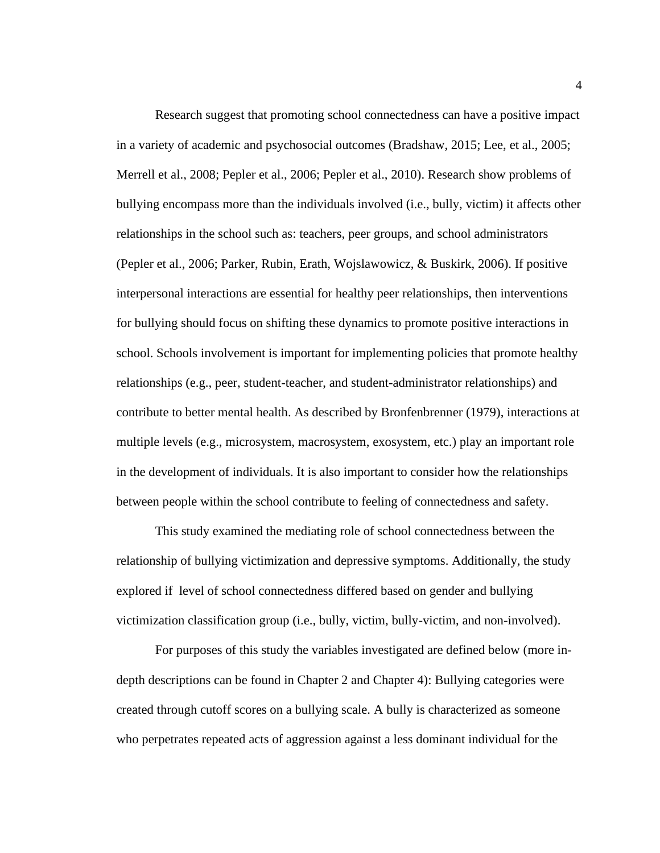Research suggest that promoting school connectedness can have a positive impact in a variety of academic and psychosocial outcomes (Bradshaw, 2015; Lee, et al., 2005; Merrell et al., 2008; Pepler et al., 2006; Pepler et al., 2010). Research show problems of bullying encompass more than the individuals involved (i.e., bully, victim) it affects other relationships in the school such as: teachers, peer groups, and school administrators (Pepler et al., 2006; Parker, Rubin, Erath, Wojslawowicz, & Buskirk, 2006). If positive interpersonal interactions are essential for healthy peer relationships, then interventions for bullying should focus on shifting these dynamics to promote positive interactions in school. Schools involvement is important for implementing policies that promote healthy relationships (e.g., peer, student-teacher, and student-administrator relationships) and contribute to better mental health. As described by Bronfenbrenner (1979), interactions at multiple levels (e.g., microsystem, macrosystem, exosystem, etc.) play an important role in the development of individuals. It is also important to consider how the relationships between people within the school contribute to feeling of connectedness and safety.

This study examined the mediating role of school connectedness between the relationship of bullying victimization and depressive symptoms. Additionally, the study explored if level of school connectedness differed based on gender and bullying victimization classification group (i.e., bully, victim, bully-victim, and non-involved).

For purposes of this study the variables investigated are defined below (more indepth descriptions can be found in Chapter 2 and Chapter 4): Bullying categories were created through cutoff scores on a bullying scale. A bully is characterized as someone who perpetrates repeated acts of aggression against a less dominant individual for the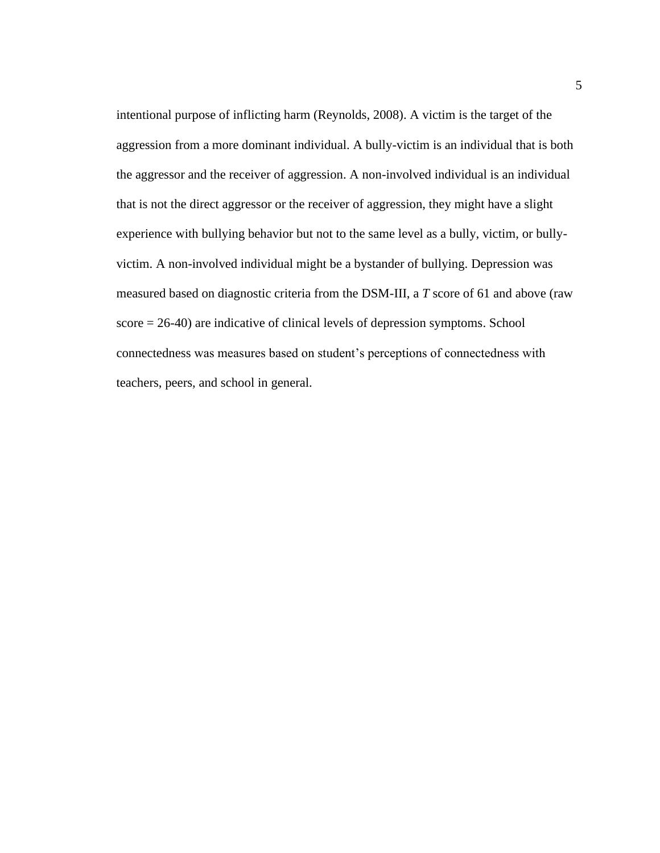intentional purpose of inflicting harm (Reynolds, 2008). A victim is the target of the aggression from a more dominant individual. A bully-victim is an individual that is both the aggressor and the receiver of aggression. A non-involved individual is an individual that is not the direct aggressor or the receiver of aggression, they might have a slight experience with bullying behavior but not to the same level as a bully, victim, or bullyvictim. A non-involved individual might be a bystander of bullying. Depression was measured based on diagnostic criteria from the DSM-III, a *T* score of 61 and above (raw score = 26-40) are indicative of clinical levels of depression symptoms. School connectedness was measures based on student's perceptions of connectedness with teachers, peers, and school in general.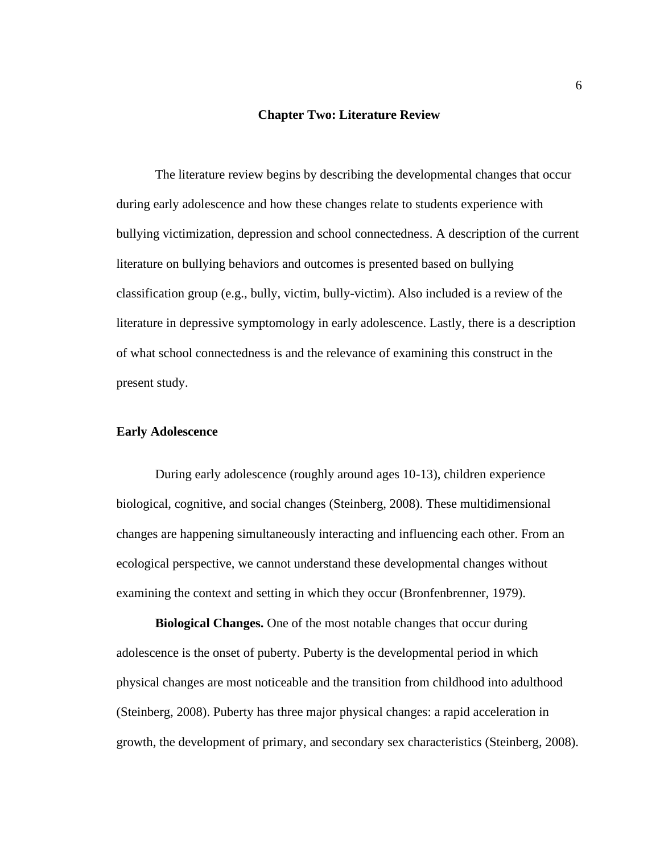#### **Chapter Two: Literature Review**

<span id="page-15-0"></span> The literature review begins by describing the developmental changes that occur during early adolescence and how these changes relate to students experience with bullying victimization, depression and school connectedness. A description of the current literature on bullying behaviors and outcomes is presented based on bullying classification group (e.g., bully, victim, bully-victim). Also included is a review of the literature in depressive symptomology in early adolescence. Lastly, there is a description of what school connectedness is and the relevance of examining this construct in the present study.

#### <span id="page-15-1"></span>**Early Adolescence**

During early adolescence (roughly around ages 10-13), children experience biological, cognitive, and social changes (Steinberg, 2008). These multidimensional changes are happening simultaneously interacting and influencing each other. From an ecological perspective, we cannot understand these developmental changes without examining the context and setting in which they occur (Bronfenbrenner, 1979).

<span id="page-15-2"></span>**Biological Changes.** One of the most notable changes that occur during adolescence is the onset of puberty. Puberty is the developmental period in which physical changes are most noticeable and the transition from childhood into adulthood (Steinberg, 2008). Puberty has three major physical changes: a rapid acceleration in growth, the development of primary, and secondary sex characteristics (Steinberg, 2008).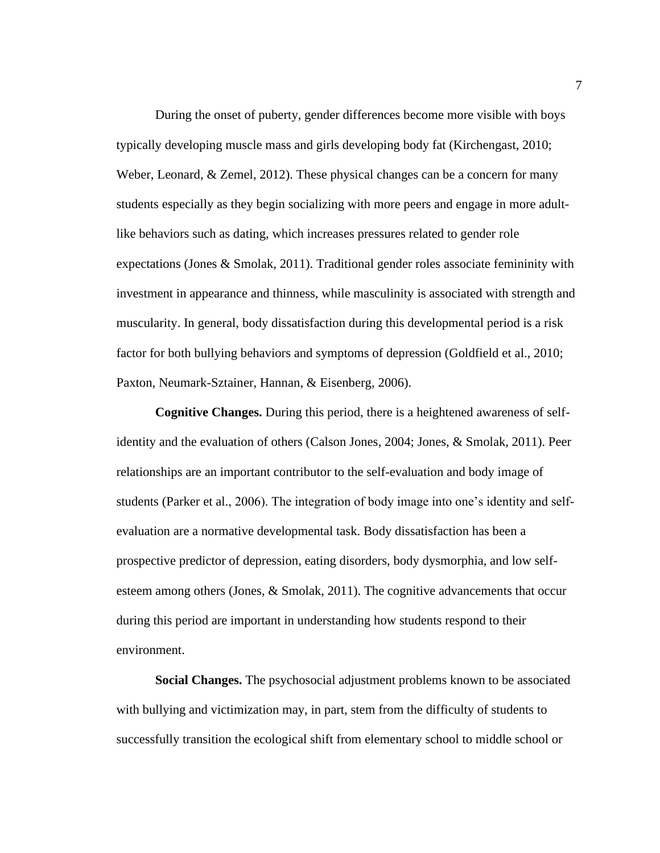During the onset of puberty, gender differences become more visible with boys typically developing muscle mass and girls developing body fat (Kirchengast, 2010; Weber, Leonard, & Zemel, 2012). These physical changes can be a concern for many students especially as they begin socializing with more peers and engage in more adultlike behaviors such as dating, which increases pressures related to gender role expectations (Jones  $\&$  Smolak, 2011). Traditional gender roles associate femininity with investment in appearance and thinness, while masculinity is associated with strength and muscularity. In general, body dissatisfaction during this developmental period is a risk factor for both bullying behaviors and symptoms of depression (Goldfield et al., 2010; Paxton, Neumark-Sztainer, Hannan, & Eisenberg, 2006).

<span id="page-16-0"></span>**Cognitive Changes.** During this period, there is a heightened awareness of selfidentity and the evaluation of others (Calson Jones, 2004; Jones, & Smolak, 2011). Peer relationships are an important contributor to the self-evaluation and body image of students (Parker et al., 2006). The integration of body image into one's identity and selfevaluation are a normative developmental task. Body dissatisfaction has been a prospective predictor of depression, eating disorders, body dysmorphia, and low selfesteem among others (Jones, & Smolak, 2011). The cognitive advancements that occur during this period are important in understanding how students respond to their environment.

<span id="page-16-1"></span>**Social Changes.** The psychosocial adjustment problems known to be associated with bullying and victimization may, in part, stem from the difficulty of students to successfully transition the ecological shift from elementary school to middle school or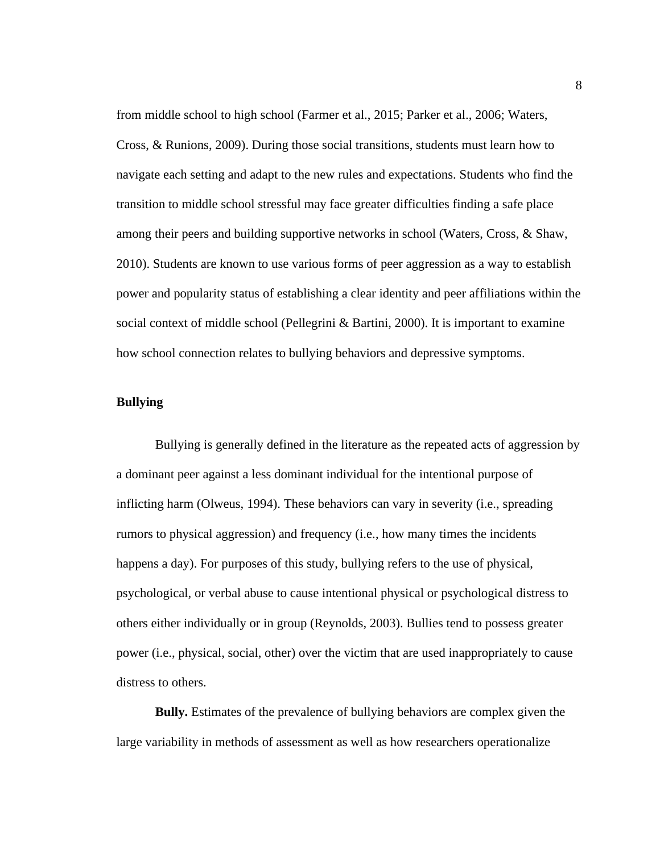from middle school to high school (Farmer et al., 2015; Parker et al., 2006; Waters, Cross, & Runions, 2009). During those social transitions, students must learn how to navigate each setting and adapt to the new rules and expectations. Students who find the transition to middle school stressful may face greater difficulties finding a safe place among their peers and building supportive networks in school (Waters, Cross, & Shaw, 2010). Students are known to use various forms of peer aggression as a way to establish power and popularity status of establishing a clear identity and peer affiliations within the social context of middle school (Pellegrini & Bartini, 2000). It is important to examine how school connection relates to bullying behaviors and depressive symptoms.

## <span id="page-17-0"></span>**Bullying**

Bullying is generally defined in the literature as the repeated acts of aggression by a dominant peer against a less dominant individual for the intentional purpose of inflicting harm (Olweus, 1994). These behaviors can vary in severity (i.e., spreading rumors to physical aggression) and frequency (i.e., how many times the incidents happens a day). For purposes of this study, bullying refers to the use of physical, psychological, or verbal abuse to cause intentional physical or psychological distress to others either individually or in group (Reynolds, 2003). Bullies tend to possess greater power (i.e., physical, social, other) over the victim that are used inappropriately to cause distress to others.

<span id="page-17-1"></span> **Bully.** Estimates of the prevalence of bullying behaviors are complex given the large variability in methods of assessment as well as how researchers operationalize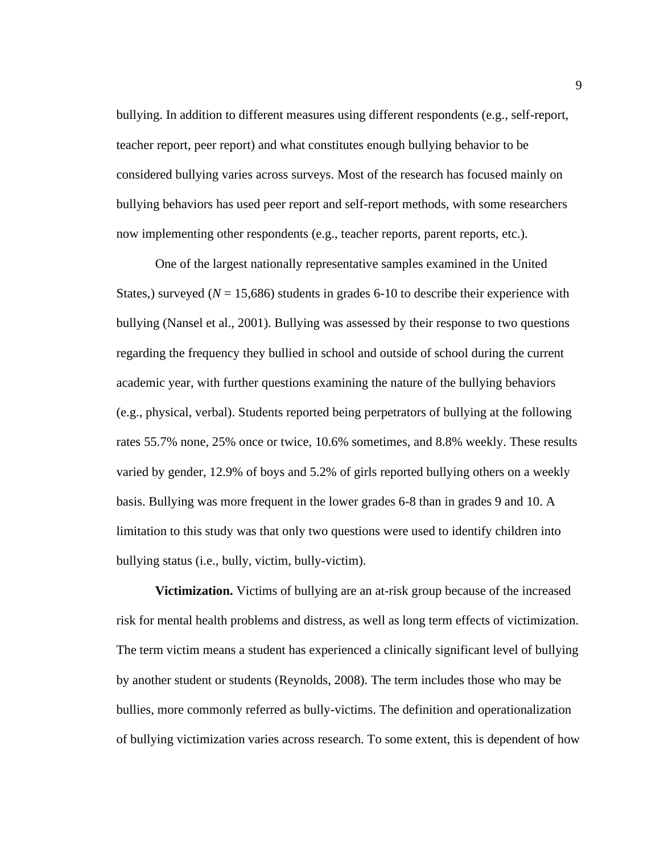bullying. In addition to different measures using different respondents (e.g., self-report, teacher report, peer report) and what constitutes enough bullying behavior to be considered bullying varies across surveys. Most of the research has focused mainly on bullying behaviors has used peer report and self-report methods, with some researchers now implementing other respondents (e.g., teacher reports, parent reports, etc.).

One of the largest nationally representative samples examined in the United States,) surveyed ( $N = 15,686$ ) students in grades 6-10 to describe their experience with bullying (Nansel et al., 2001). Bullying was assessed by their response to two questions regarding the frequency they bullied in school and outside of school during the current academic year, with further questions examining the nature of the bullying behaviors (e.g., physical, verbal). Students reported being perpetrators of bullying at the following rates 55.7% none, 25% once or twice, 10.6% sometimes, and 8.8% weekly. These results varied by gender, 12.9% of boys and 5.2% of girls reported bullying others on a weekly basis. Bullying was more frequent in the lower grades 6-8 than in grades 9 and 10. A limitation to this study was that only two questions were used to identify children into bullying status (i.e., bully, victim, bully-victim).

<span id="page-18-0"></span> **Victimization.** Victims of bullying are an at-risk group because of the increased risk for mental health problems and distress, as well as long term effects of victimization. The term victim means a student has experienced a clinically significant level of bullying by another student or students (Reynolds, 2008). The term includes those who may be bullies, more commonly referred as bully-victims. The definition and operationalization of bullying victimization varies across research. To some extent, this is dependent of how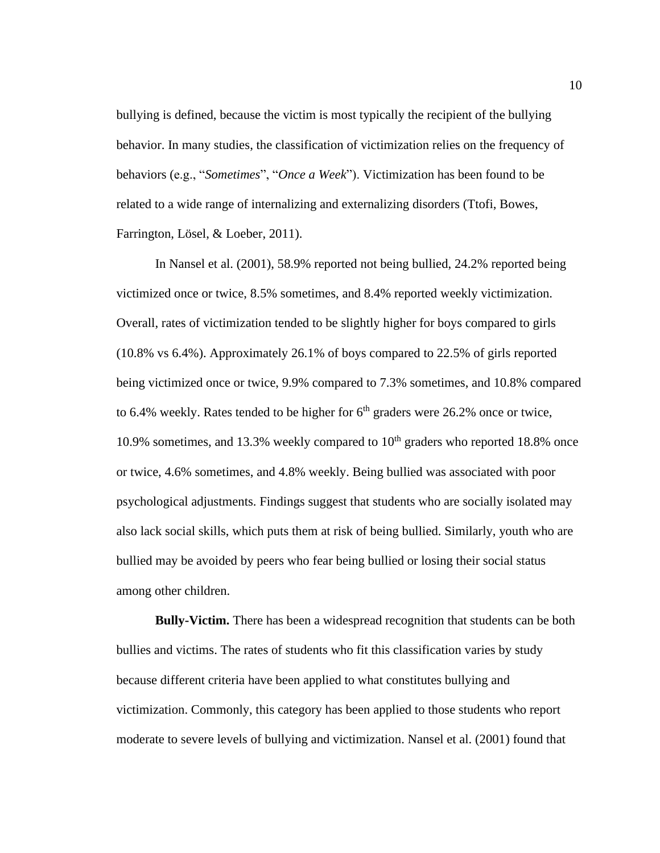bullying is defined, because the victim is most typically the recipient of the bullying behavior. In many studies, the classification of victimization relies on the frequency of behaviors (e.g., "*Sometimes*", "*Once a Week*"). Victimization has been found to be related to a wide range of internalizing and externalizing disorders (Ttofi, Bowes, Farrington, Lösel, & Loeber, 2011).

In Nansel et al. (2001), 58.9% reported not being bullied, 24.2% reported being victimized once or twice, 8.5% sometimes, and 8.4% reported weekly victimization. Overall, rates of victimization tended to be slightly higher for boys compared to girls (10.8% vs 6.4%). Approximately 26.1% of boys compared to 22.5% of girls reported being victimized once or twice, 9.9% compared to 7.3% sometimes, and 10.8% compared to 6.4% weekly. Rates tended to be higher for  $6<sup>th</sup>$  graders were 26.2% once or twice, 10.9% sometimes, and 13.3% weekly compared to  $10<sup>th</sup>$  graders who reported 18.8% once or twice, 4.6% sometimes, and 4.8% weekly. Being bullied was associated with poor psychological adjustments. Findings suggest that students who are socially isolated may also lack social skills, which puts them at risk of being bullied. Similarly, youth who are bullied may be avoided by peers who fear being bullied or losing their social status among other children.

<span id="page-19-0"></span> **Bully-Victim.** There has been a widespread recognition that students can be both bullies and victims. The rates of students who fit this classification varies by study because different criteria have been applied to what constitutes bullying and victimization. Commonly, this category has been applied to those students who report moderate to severe levels of bullying and victimization. Nansel et al. (2001) found that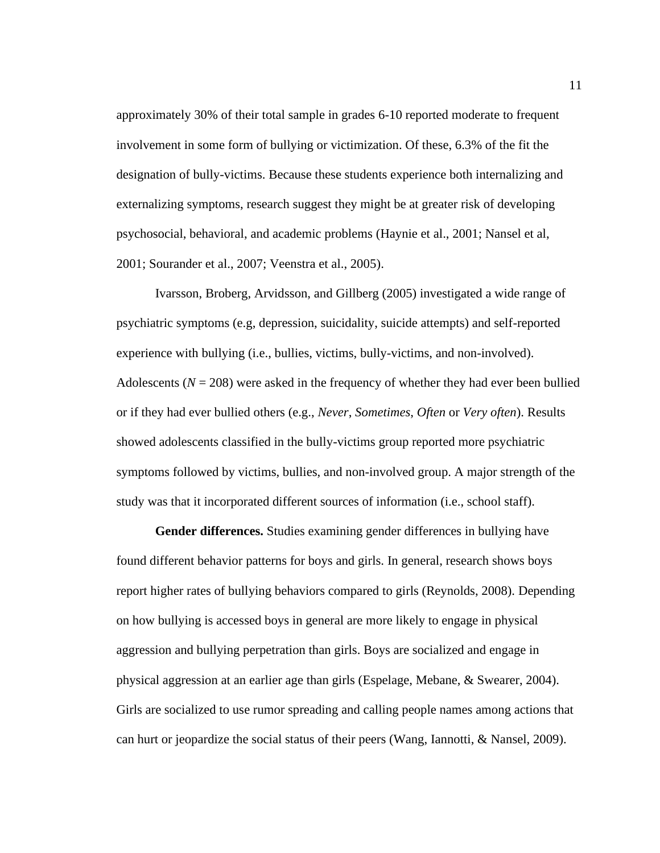approximately 30% of their total sample in grades 6-10 reported moderate to frequent involvement in some form of bullying or victimization. Of these, 6.3% of the fit the designation of bully-victims. Because these students experience both internalizing and externalizing symptoms, research suggest they might be at greater risk of developing psychosocial, behavioral, and academic problems (Haynie et al., 2001; Nansel et al, 2001; Sourander et al., 2007; Veenstra et al., 2005).

Ivarsson, Broberg, Arvidsson, and Gillberg (2005) investigated a wide range of psychiatric symptoms (e.g, depression, suicidality, suicide attempts) and self-reported experience with bullying (i.e., bullies, victims, bully-victims, and non-involved). Adolescents  $(N = 208)$  were asked in the frequency of whether they had ever been bullied or if they had ever bullied others (e.g., *Never*, *Sometimes*, *Often* or *Very often*). Results showed adolescents classified in the bully-victims group reported more psychiatric symptoms followed by victims, bullies, and non-involved group. A major strength of the study was that it incorporated different sources of information (i.e., school staff).

<span id="page-20-0"></span>**Gender differences.** Studies examining gender differences in bullying have found different behavior patterns for boys and girls. In general, research shows boys report higher rates of bullying behaviors compared to girls (Reynolds, 2008). Depending on how bullying is accessed boys in general are more likely to engage in physical aggression and bullying perpetration than girls. Boys are socialized and engage in physical aggression at an earlier age than girls (Espelage, Mebane, & Swearer, 2004). Girls are socialized to use rumor spreading and calling people names among actions that can hurt or jeopardize the social status of their peers (Wang, Iannotti, & Nansel, 2009).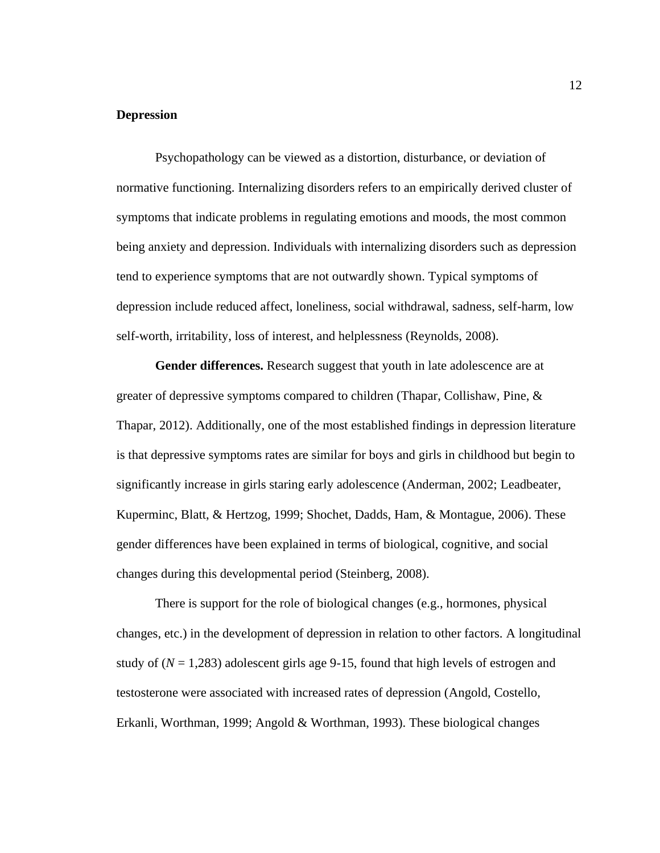## <span id="page-21-0"></span>**Depression**

Psychopathology can be viewed as a distortion, disturbance, or deviation of normative functioning. Internalizing disorders refers to an empirically derived cluster of symptoms that indicate problems in regulating emotions and moods, the most common being anxiety and depression. Individuals with internalizing disorders such as depression tend to experience symptoms that are not outwardly shown. Typical symptoms of depression include reduced affect, loneliness, social withdrawal, sadness, self-harm, low self-worth, irritability, loss of interest, and helplessness (Reynolds, 2008).

<span id="page-21-1"></span>**Gender differences.** Research suggest that youth in late adolescence are at greater of depressive symptoms compared to children (Thapar, Collishaw, Pine, & Thapar, 2012). Additionally, one of the most established findings in depression literature is that depressive symptoms rates are similar for boys and girls in childhood but begin to significantly increase in girls staring early adolescence (Anderman, 2002; Leadbeater, Kuperminc, Blatt, & Hertzog, 1999; Shochet, Dadds, Ham, & Montague, 2006). These gender differences have been explained in terms of biological, cognitive, and social changes during this developmental period (Steinberg, 2008).

There is support for the role of biological changes (e.g., hormones, physical changes, etc.) in the development of depression in relation to other factors. A longitudinal study of  $(N = 1,283)$  adolescent girls age 9-15, found that high levels of estrogen and testosterone were associated with increased rates of depression (Angold, Costello, Erkanli, Worthman, 1999; Angold & Worthman, 1993). These biological changes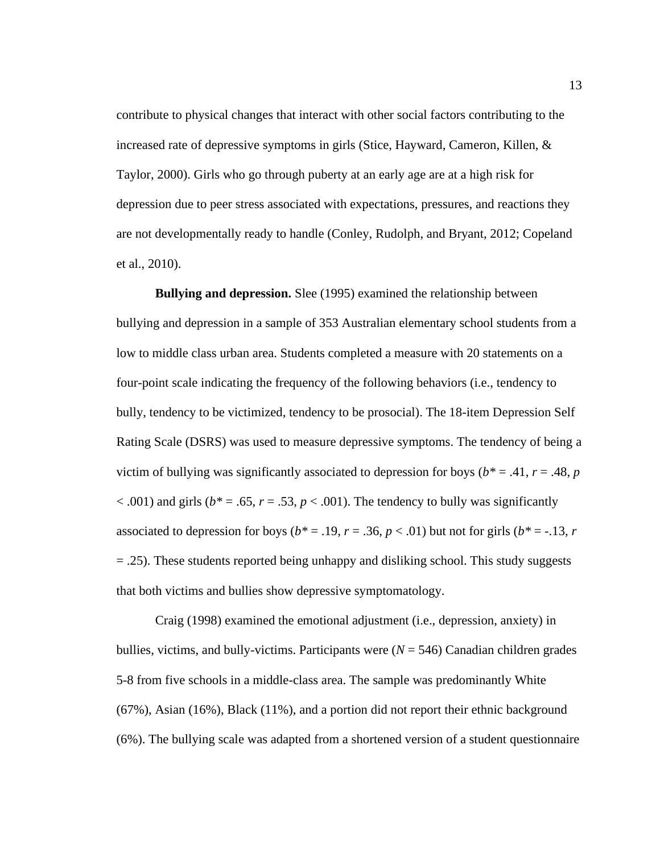contribute to physical changes that interact with other social factors contributing to the increased rate of depressive symptoms in girls (Stice, Hayward, Cameron, Killen, & Taylor, 2000). Girls who go through puberty at an early age are at a high risk for depression due to peer stress associated with expectations, pressures, and reactions they are not developmentally ready to handle (Conley, Rudolph, and Bryant, 2012; Copeland et al., 2010).

<span id="page-22-0"></span>**Bullying and depression.** Slee (1995) examined the relationship between bullying and depression in a sample of 353 Australian elementary school students from a low to middle class urban area. Students completed a measure with 20 statements on a four-point scale indicating the frequency of the following behaviors (i.e., tendency to bully, tendency to be victimized, tendency to be prosocial). The 18-item Depression Self Rating Scale (DSRS) was used to measure depressive symptoms. The tendency of being a victim of bullying was significantly associated to depression for boys ( $b^*$  = .41,  $r$  = .48,  $p$ )  $< .001$ ) and girls ( $b^* = .65$ ,  $r = .53$ ,  $p < .001$ ). The tendency to bully was significantly associated to depression for boys ( $b^* = .19$ ,  $r = .36$ ,  $p < .01$ ) but not for girls ( $b^* = -.13$ ,  $r = .13$ = .25). These students reported being unhappy and disliking school. This study suggests that both victims and bullies show depressive symptomatology.

Craig (1998) examined the emotional adjustment (i.e., depression, anxiety) in bullies, victims, and bully-victims. Participants were  $(N = 546)$  Canadian children grades 5-8 from five schools in a middle-class area. The sample was predominantly White (67%), Asian (16%), Black (11%), and a portion did not report their ethnic background (6%). The bullying scale was adapted from a shortened version of a student questionnaire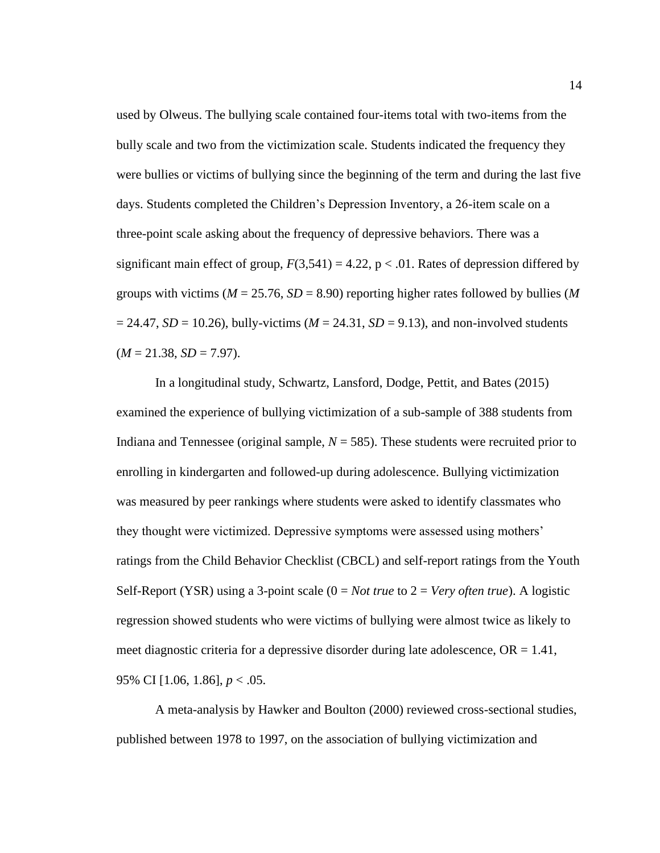used by Olweus. The bullying scale contained four-items total with two-items from the bully scale and two from the victimization scale. Students indicated the frequency they were bullies or victims of bullying since the beginning of the term and during the last five days. Students completed the Children's Depression Inventory, a 26-item scale on a three-point scale asking about the frequency of depressive behaviors. There was a significant main effect of group,  $F(3,541) = 4.22$ ,  $p < .01$ . Rates of depression differed by groups with victims ( $M = 25.76$ ,  $SD = 8.90$ ) reporting higher rates followed by bullies ( $M$  $= 24.47$ , *SD* = 10.26), bully-victims (*M* = 24.31, *SD* = 9.13), and non-involved students  $(M = 21.38, SD = 7.97).$ 

In a longitudinal study, Schwartz, Lansford, Dodge, Pettit, and Bates (2015) examined the experience of bullying victimization of a sub-sample of 388 students from Indiana and Tennessee (original sample, *N* = 585). These students were recruited prior to enrolling in kindergarten and followed-up during adolescence. Bullying victimization was measured by peer rankings where students were asked to identify classmates who they thought were victimized. Depressive symptoms were assessed using mothers' ratings from the Child Behavior Checklist (CBCL) and self-report ratings from the Youth Self-Report (YSR) using a 3-point scale (0 = *Not true* to 2 = *Very often true*). A logistic regression showed students who were victims of bullying were almost twice as likely to meet diagnostic criteria for a depressive disorder during late adolescence,  $OR = 1.41$ , 95% CI [1.06, 1.86], *p* < .05.

A meta-analysis by Hawker and Boulton (2000) reviewed cross-sectional studies, published between 1978 to 1997, on the association of bullying victimization and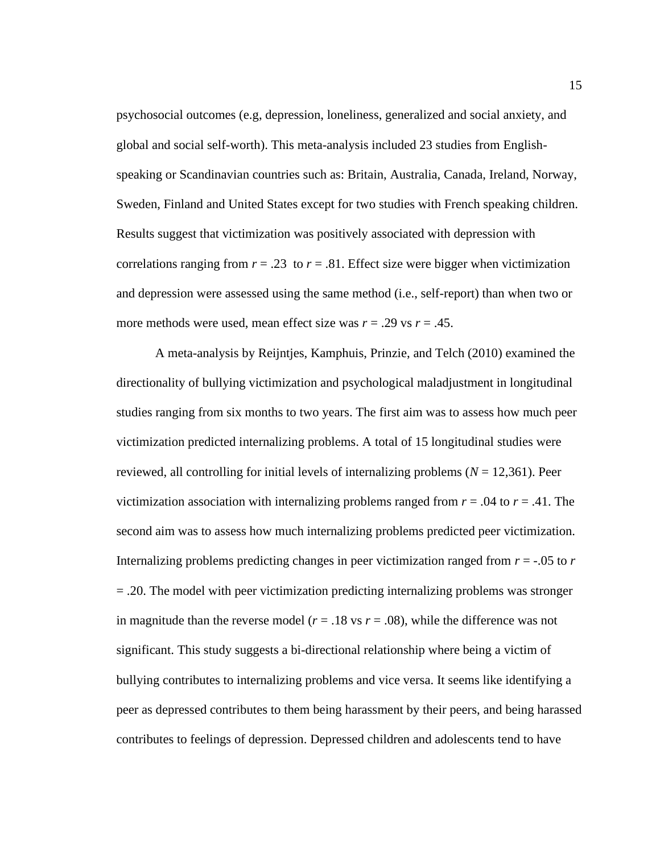psychosocial outcomes (e.g, depression, loneliness, generalized and social anxiety, and global and social self-worth). This meta-analysis included 23 studies from Englishspeaking or Scandinavian countries such as: Britain, Australia, Canada, Ireland, Norway, Sweden, Finland and United States except for two studies with French speaking children. Results suggest that victimization was positively associated with depression with correlations ranging from  $r = .23$  to  $r = .81$ . Effect size were bigger when victimization and depression were assessed using the same method (i.e., self-report) than when two or more methods were used, mean effect size was  $r = .29$  vs  $r = .45$ .

A meta-analysis by Reijntjes, Kamphuis, Prinzie, and Telch (2010) examined the directionality of bullying victimization and psychological maladjustment in longitudinal studies ranging from six months to two years. The first aim was to assess how much peer victimization predicted internalizing problems. A total of 15 longitudinal studies were reviewed, all controlling for initial levels of internalizing problems (*N* = 12,361). Peer victimization association with internalizing problems ranged from  $r = .04$  to  $r = .41$ . The second aim was to assess how much internalizing problems predicted peer victimization. Internalizing problems predicting changes in peer victimization ranged from  $r = -0.05$  to  $r = 0.05$ = .20. The model with peer victimization predicting internalizing problems was stronger in magnitude than the reverse model ( $r = .18$  vs  $r = .08$ ), while the difference was not significant. This study suggests a bi-directional relationship where being a victim of bullying contributes to internalizing problems and vice versa. It seems like identifying a peer as depressed contributes to them being harassment by their peers, and being harassed contributes to feelings of depression. Depressed children and adolescents tend to have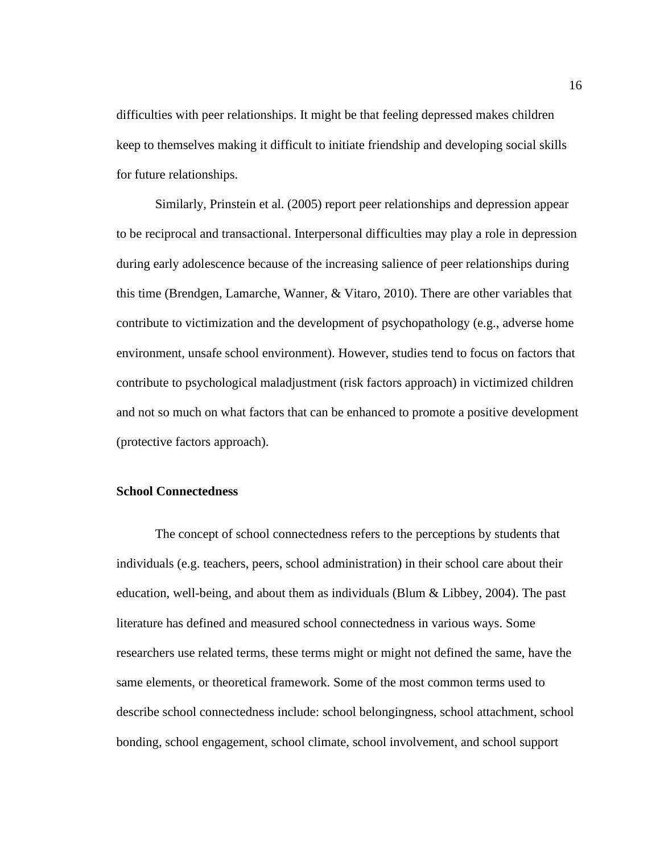difficulties with peer relationships. It might be that feeling depressed makes children keep to themselves making it difficult to initiate friendship and developing social skills for future relationships.

Similarly, Prinstein et al. (2005) report peer relationships and depression appear to be reciprocal and transactional. Interpersonal difficulties may play a role in depression during early adolescence because of the increasing salience of peer relationships during this time (Brendgen, Lamarche, Wanner, & Vitaro, 2010). There are other variables that contribute to victimization and the development of psychopathology (e.g., adverse home environment, unsafe school environment). However, studies tend to focus on factors that contribute to psychological maladjustment (risk factors approach) in victimized children and not so much on what factors that can be enhanced to promote a positive development (protective factors approach).

## <span id="page-25-0"></span>**School Connectedness**

 The concept of school connectedness refers to the perceptions by students that individuals (e.g. teachers, peers, school administration) in their school care about their education, well-being, and about them as individuals (Blum & Libbey, 2004). The past literature has defined and measured school connectedness in various ways. Some researchers use related terms, these terms might or might not defined the same, have the same elements, or theoretical framework. Some of the most common terms used to describe school connectedness include: school belongingness, school attachment, school bonding, school engagement, school climate, school involvement, and school support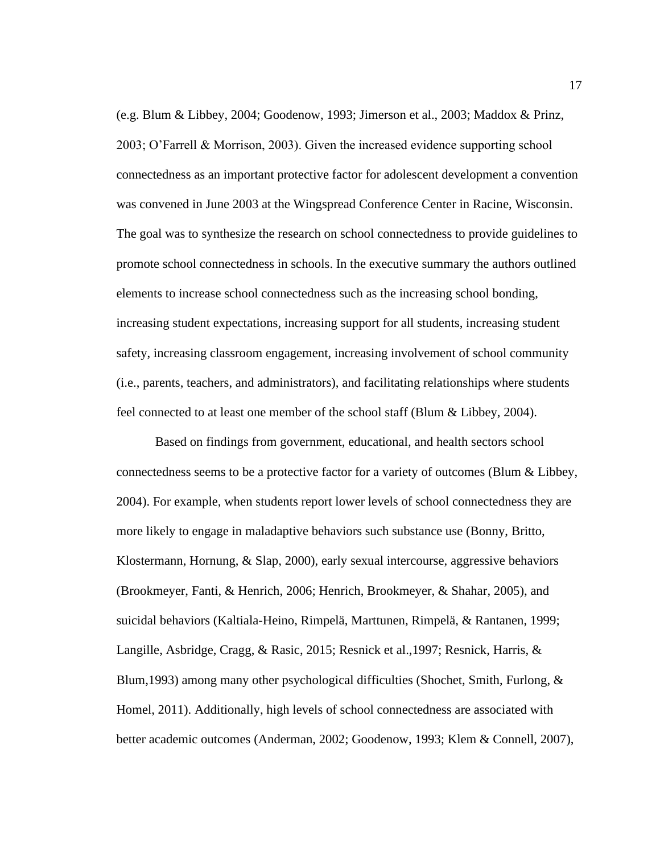(e.g. Blum & Libbey, 2004; Goodenow, 1993; Jimerson et al., 2003; Maddox & Prinz, 2003; O'Farrell & Morrison, 2003). Given the increased evidence supporting school connectedness as an important protective factor for adolescent development a convention was convened in June 2003 at the Wingspread Conference Center in Racine, Wisconsin. The goal was to synthesize the research on school connectedness to provide guidelines to promote school connectedness in schools. In the executive summary the authors outlined elements to increase school connectedness such as the increasing school bonding, increasing student expectations, increasing support for all students, increasing student safety, increasing classroom engagement, increasing involvement of school community (i.e., parents, teachers, and administrators), and facilitating relationships where students feel connected to at least one member of the school staff (Blum & Libbey, 2004).

Based on findings from government, educational, and health sectors school connectedness seems to be a protective factor for a variety of outcomes (Blum & Libbey, 2004). For example, when students report lower levels of school connectedness they are more likely to engage in maladaptive behaviors such substance use (Bonny, Britto, Klostermann, Hornung, & Slap, 2000), early sexual intercourse, aggressive behaviors (Brookmeyer, Fanti, & Henrich, 2006; Henrich, Brookmeyer, & Shahar, 2005), and suicidal behaviors (Kaltiala-Heino, Rimpelä, Marttunen, Rimpelä, & Rantanen, 1999; Langille, Asbridge, Cragg, & Rasic, 2015; Resnick et al.,1997; Resnick, Harris, & Blum,1993) among many other psychological difficulties (Shochet, Smith, Furlong, & Homel, 2011). Additionally, high levels of school connectedness are associated with better academic outcomes (Anderman, 2002; Goodenow, 1993; Klem & Connell, 2007),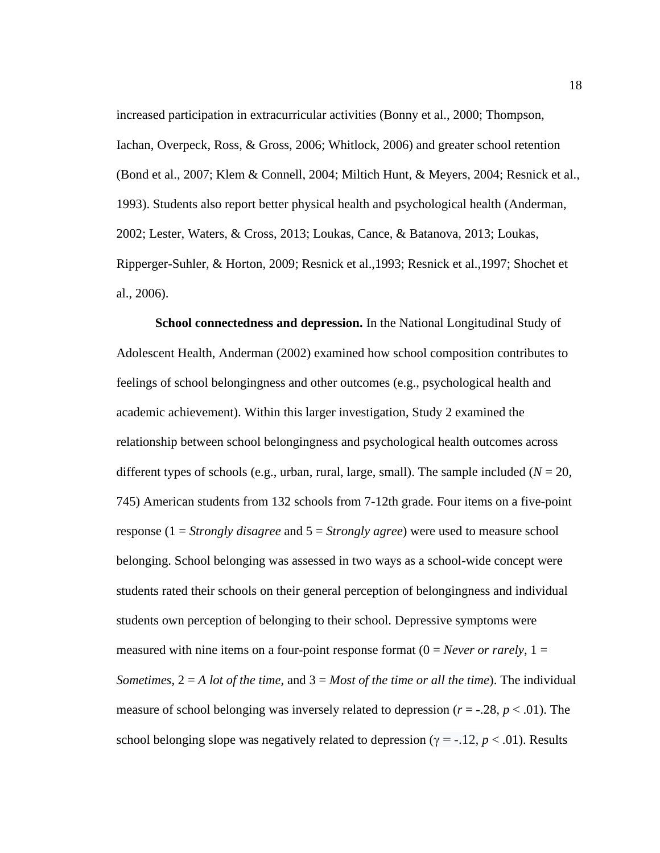increased participation in extracurricular activities (Bonny et al., 2000; Thompson, Iachan, Overpeck, Ross, & Gross, 2006; Whitlock, 2006) and greater school retention (Bond et al., 2007; Klem & Connell, 2004; Miltich Hunt, & Meyers, 2004; Resnick et al., 1993). Students also report better physical health and psychological health (Anderman, 2002; Lester, Waters, & Cross, 2013; Loukas, Cance, & Batanova, 2013; Loukas, Ripperger-Suhler, & Horton, 2009; Resnick et al.,1993; Resnick et al.,1997; Shochet et al., 2006).

<span id="page-27-0"></span>**School connectedness and depression.** In the National Longitudinal Study of Adolescent Health, Anderman (2002) examined how school composition contributes to feelings of school belongingness and other outcomes (e.g., psychological health and academic achievement). Within this larger investigation, Study 2 examined the relationship between school belongingness and psychological health outcomes across different types of schools (e.g., urban, rural, large, small). The sample included ( $N = 20$ , 745) American students from 132 schools from 7-12th grade. Four items on a five-point response (1 = *Strongly disagree* and 5 = *Strongly agree*) were used to measure school belonging. School belonging was assessed in two ways as a school-wide concept were students rated their schools on their general perception of belongingness and individual students own perception of belonging to their school. Depressive symptoms were measured with nine items on a four-point response format  $(0 = Never or rarely, 1 =$ *Sometimes*, 2 = *A lot of the time*, and 3 = *Most of the time or all the time*). The individual measure of school belonging was inversely related to depression  $(r = -0.28, p < 0.01)$ . The school belonging slope was negatively related to depression ( $\gamma = -12$ ,  $p < .01$ ). Results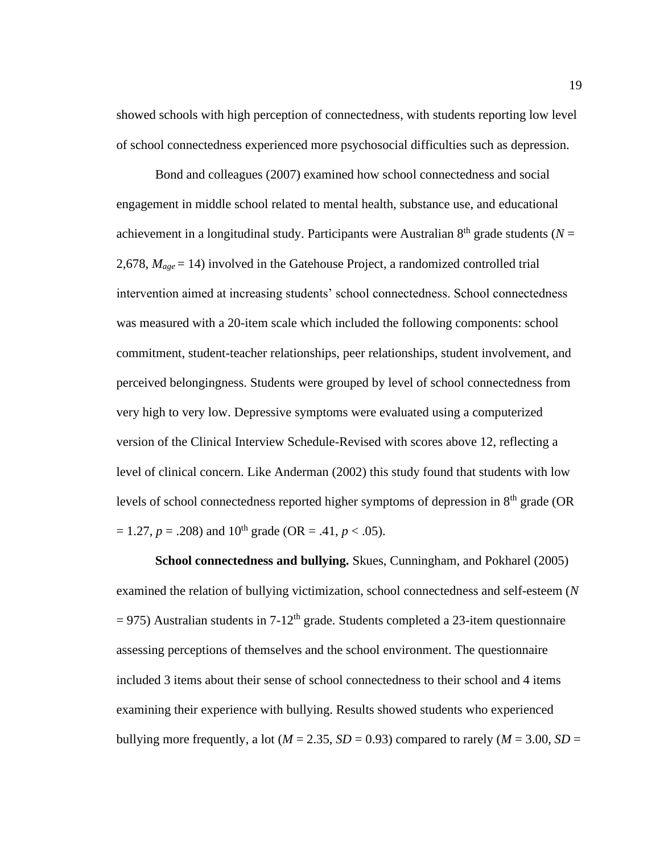showed schools with high perception of connectedness, with students reporting low level of school connectedness experienced more psychosocial difficulties such as depression.

Bond and colleagues (2007) examined how school connectedness and social engagement in middle school related to mental health, substance use, and educational achievement in a longitudinal study. Participants were Australian  $8<sup>th</sup>$  grade students ( $N =$ 2,678, *Mage* = 14) involved in the Gatehouse Project, a randomized controlled trial intervention aimed at increasing students' school connectedness. School connectedness was measured with a 20-item scale which included the following components: school commitment, student-teacher relationships, peer relationships, student involvement, and perceived belongingness. Students were grouped by level of school connectedness from very high to very low. Depressive symptoms were evaluated using a computerized version of the Clinical Interview Schedule-Revised with scores above 12, reflecting a level of clinical concern. Like Anderman (2002) this study found that students with low levels of school connectedness reported higher symptoms of depression in 8<sup>th</sup> grade (OR  $= 1.27, p = .208$ ) and 10<sup>th</sup> grade (OR = .41, *p* < .05).

<span id="page-28-0"></span>**School connectedness and bullying.** Skues, Cunningham, and Pokharel (2005) examined the relation of bullying victimization, school connectedness and self-esteem (*N*  $= 975$ ) Australian students in 7-12<sup>th</sup> grade. Students completed a 23-item questionnaire assessing perceptions of themselves and the school environment. The questionnaire included 3 items about their sense of school connectedness to their school and 4 items examining their experience with bullying. Results showed students who experienced bullying more frequently, a lot ( $M = 2.35$ ,  $SD = 0.93$ ) compared to rarely ( $M = 3.00$ ,  $SD =$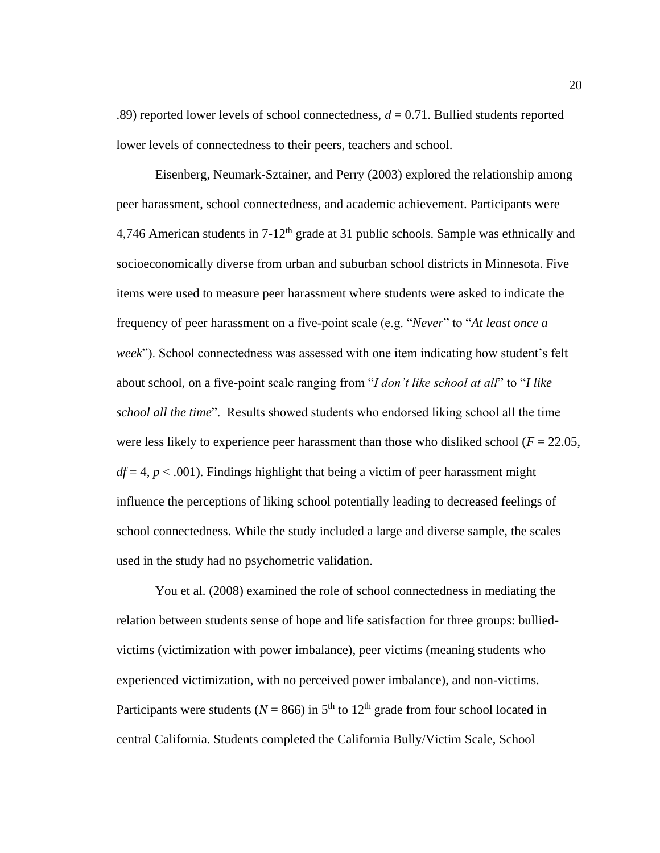.89) reported lower levels of school connectedness,  $d = 0.71$ . Bullied students reported lower levels of connectedness to their peers, teachers and school.

Eisenberg, Neumark-Sztainer, and Perry (2003) explored the relationship among peer harassment, school connectedness, and academic achievement. Participants were 4,746 American students in  $7-12<sup>th</sup>$  grade at 31 public schools. Sample was ethnically and socioeconomically diverse from urban and suburban school districts in Minnesota. Five items were used to measure peer harassment where students were asked to indicate the frequency of peer harassment on a five-point scale (e.g. "*Never*" to "*At least once a week*"). School connectedness was assessed with one item indicating how student's felt about school, on a five-point scale ranging from "*I don't like school at all*" to "*I like school all the time*". Results showed students who endorsed liking school all the time were less likely to experience peer harassment than those who disliked school ( $F = 22.05$ ,  $df = 4$ ,  $p < .001$ ). Findings highlight that being a victim of peer harassment might influence the perceptions of liking school potentially leading to decreased feelings of school connectedness. While the study included a large and diverse sample, the scales used in the study had no psychometric validation.

You et al. (2008) examined the role of school connectedness in mediating the relation between students sense of hope and life satisfaction for three groups: bulliedvictims (victimization with power imbalance), peer victims (meaning students who experienced victimization, with no perceived power imbalance), and non-victims. Participants were students ( $N = 866$ ) in 5<sup>th</sup> to 12<sup>th</sup> grade from four school located in central California. Students completed the California Bully/Victim Scale, School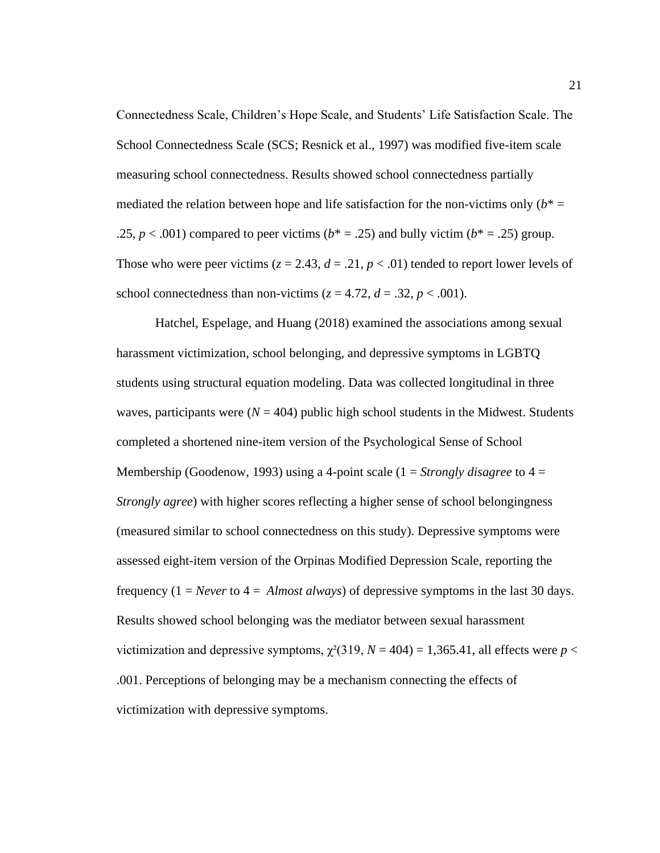Connectedness Scale, Children's Hope Scale, and Students' Life Satisfaction Scale. The School Connectedness Scale (SCS; Resnick et al., 1997) was modified five-item scale measuring school connectedness. Results showed school connectedness partially mediated the relation between hope and life satisfaction for the non-victims only  $(b^* =$ .25,  $p < .001$ ) compared to peer victims ( $b^* = .25$ ) and bully victim ( $b^* = .25$ ) group. Those who were peer victims  $(z = 2.43, d = .21, p < .01)$  tended to report lower levels of school connectedness than non-victims  $(z = 4.72, d = .32, p < .001)$ .

Hatchel, Espelage, and Huang (2018) examined the associations among sexual harassment victimization, school belonging, and depressive symptoms in LGBTQ students using structural equation modeling. Data was collected longitudinal in three waves, participants were  $(N = 404)$  public high school students in the Midwest. Students completed a shortened nine-item version of the Psychological Sense of School Membership (Goodenow, 1993) using a 4-point scale (1 = *Strongly disagree* to 4 = *Strongly agree*) with higher scores reflecting a higher sense of school belongingness (measured similar to school connectedness on this study). Depressive symptoms were assessed eight-item version of the Orpinas Modified Depression Scale, reporting the frequency (1 = *Never* to 4 = *Almost always*) of depressive symptoms in the last 30 days. Results showed school belonging was the mediator between sexual harassment victimization and depressive symptoms,  $\chi^2(319, N = 404) = 1,365.41$ , all effects were *p* < .001. Perceptions of belonging may be a mechanism connecting the effects of victimization with depressive symptoms.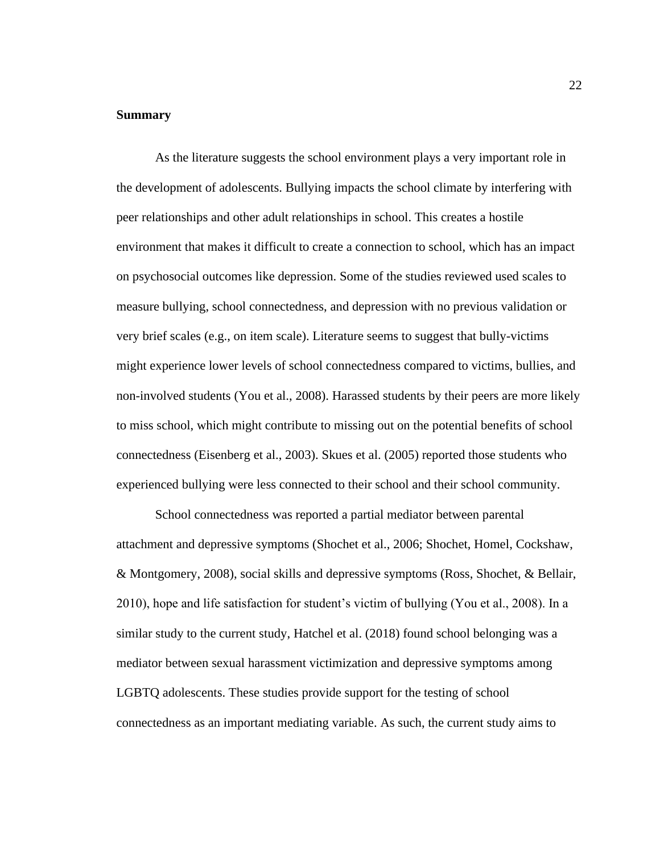## <span id="page-31-0"></span>**Summary**

As the literature suggests the school environment plays a very important role in the development of adolescents. Bullying impacts the school climate by interfering with peer relationships and other adult relationships in school. This creates a hostile environment that makes it difficult to create a connection to school, which has an impact on psychosocial outcomes like depression. Some of the studies reviewed used scales to measure bullying, school connectedness, and depression with no previous validation or very brief scales (e.g., on item scale). Literature seems to suggest that bully-victims might experience lower levels of school connectedness compared to victims, bullies, and non-involved students (You et al., 2008). Harassed students by their peers are more likely to miss school, which might contribute to missing out on the potential benefits of school connectedness (Eisenberg et al., 2003). Skues et al. (2005) reported those students who experienced bullying were less connected to their school and their school community.

School connectedness was reported a partial mediator between parental attachment and depressive symptoms (Shochet et al., 2006; Shochet, Homel, Cockshaw, & Montgomery, 2008), social skills and depressive symptoms (Ross, Shochet, & Bellair, 2010), hope and life satisfaction for student's victim of bullying (You et al., 2008). In a similar study to the current study, Hatchel et al. (2018) found school belonging was a mediator between sexual harassment victimization and depressive symptoms among LGBTQ adolescents. These studies provide support for the testing of school connectedness as an important mediating variable. As such, the current study aims to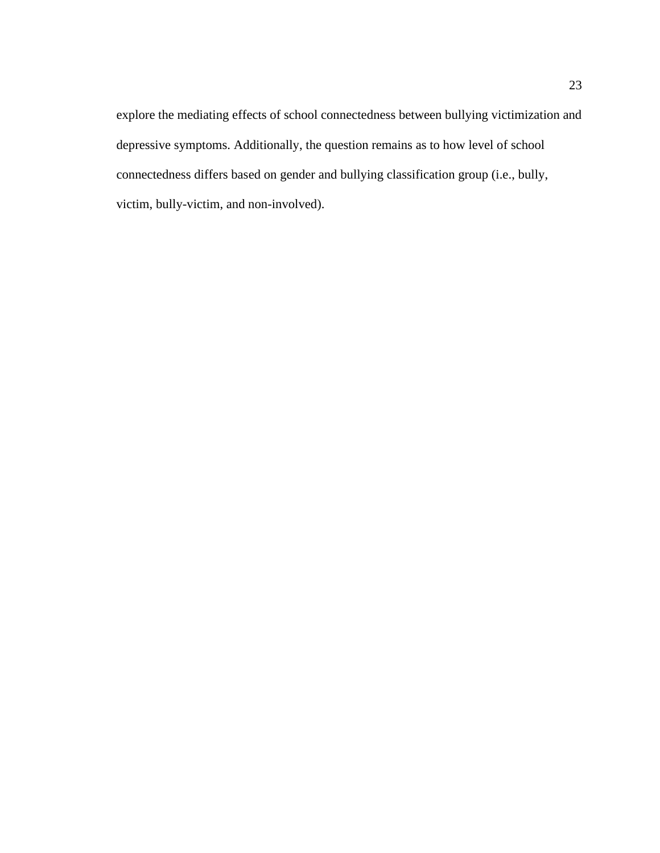explore the mediating effects of school connectedness between bullying victimization and depressive symptoms. Additionally, the question remains as to how level of school connectedness differs based on gender and bullying classification group (i.e., bully, victim, bully-victim, and non-involved).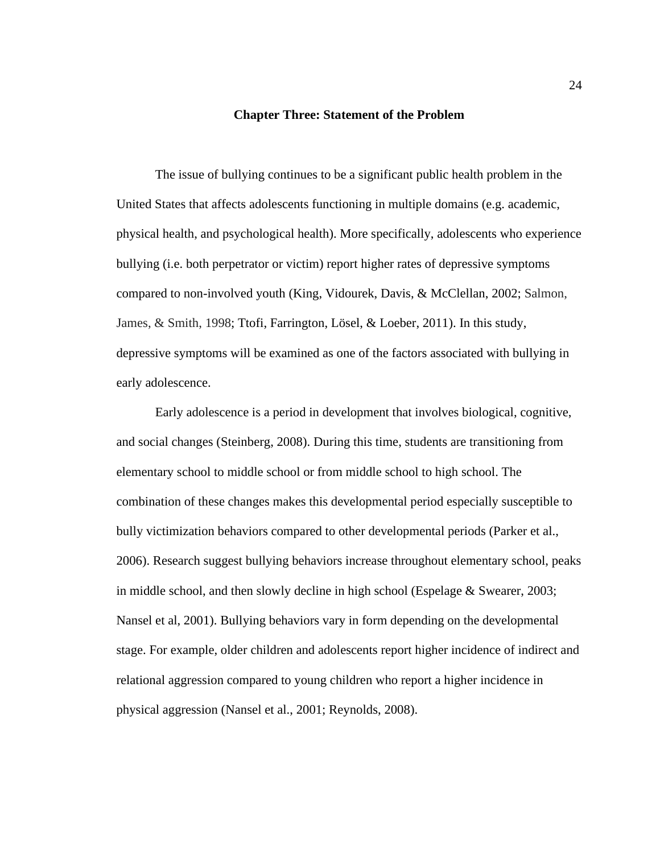#### **Chapter Three: Statement of the Problem**

<span id="page-33-0"></span>The issue of bullying continues to be a significant public health problem in the United States that affects adolescents functioning in multiple domains (e.g. academic, physical health, and psychological health). More specifically, adolescents who experience bullying (i.e. both perpetrator or victim) report higher rates of depressive symptoms compared to non-involved youth (King, Vidourek, Davis, & McClellan, 2002; Salmon, James, & Smith, 1998; Ttofi, Farrington, Lösel, & Loeber, 2011). In this study, depressive symptoms will be examined as one of the factors associated with bullying in early adolescence.

 Early adolescence is a period in development that involves biological, cognitive, and social changes (Steinberg, 2008). During this time, students are transitioning from elementary school to middle school or from middle school to high school. The combination of these changes makes this developmental period especially susceptible to bully victimization behaviors compared to other developmental periods (Parker et al., 2006). Research suggest bullying behaviors increase throughout elementary school, peaks in middle school, and then slowly decline in high school (Espelage & Swearer, 2003; Nansel et al, 2001). Bullying behaviors vary in form depending on the developmental stage. For example, older children and adolescents report higher incidence of indirect and relational aggression compared to young children who report a higher incidence in physical aggression (Nansel et al., 2001; Reynolds, 2008).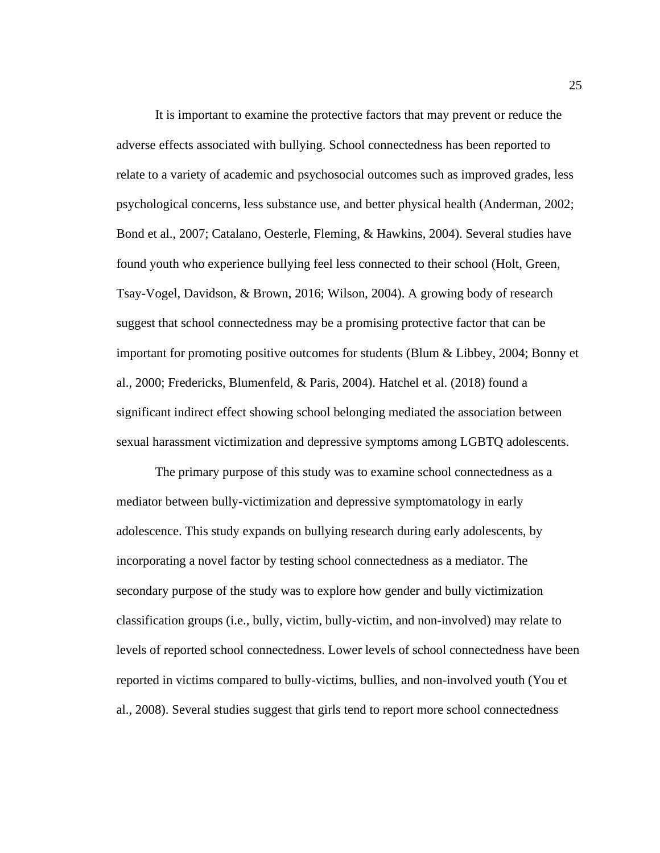It is important to examine the protective factors that may prevent or reduce the adverse effects associated with bullying. School connectedness has been reported to relate to a variety of academic and psychosocial outcomes such as improved grades, less psychological concerns, less substance use, and better physical health (Anderman, 2002; Bond et al., 2007; Catalano, Oesterle, Fleming, & Hawkins, 2004). Several studies have found youth who experience bullying feel less connected to their school (Holt, Green, Tsay-Vogel, Davidson, & Brown, 2016; Wilson, 2004). A growing body of research suggest that school connectedness may be a promising protective factor that can be important for promoting positive outcomes for students (Blum & Libbey, 2004; Bonny et al., 2000; Fredericks, Blumenfeld, & Paris, 2004). Hatchel et al. (2018) found a significant indirect effect showing school belonging mediated the association between sexual harassment victimization and depressive symptoms among LGBTQ adolescents.

The primary purpose of this study was to examine school connectedness as a mediator between bully-victimization and depressive symptomatology in early adolescence. This study expands on bullying research during early adolescents, by incorporating a novel factor by testing school connectedness as a mediator. The secondary purpose of the study was to explore how gender and bully victimization classification groups (i.e., bully, victim, bully-victim, and non-involved) may relate to levels of reported school connectedness. Lower levels of school connectedness have been reported in victims compared to bully-victims, bullies, and non-involved youth (You et al., 2008). Several studies suggest that girls tend to report more school connectedness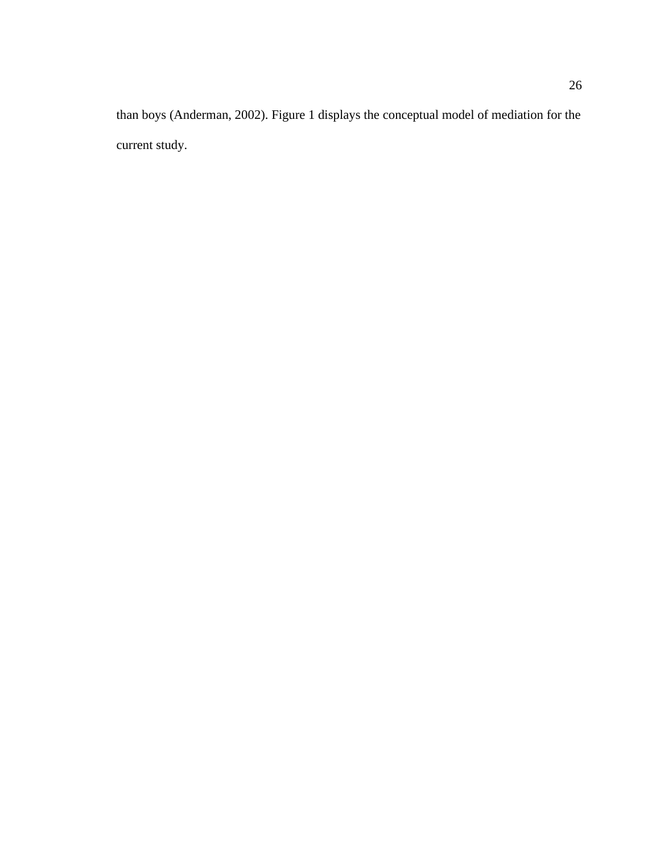than boys (Anderman, 2002). Figure 1 displays the conceptual model of mediation for the current study.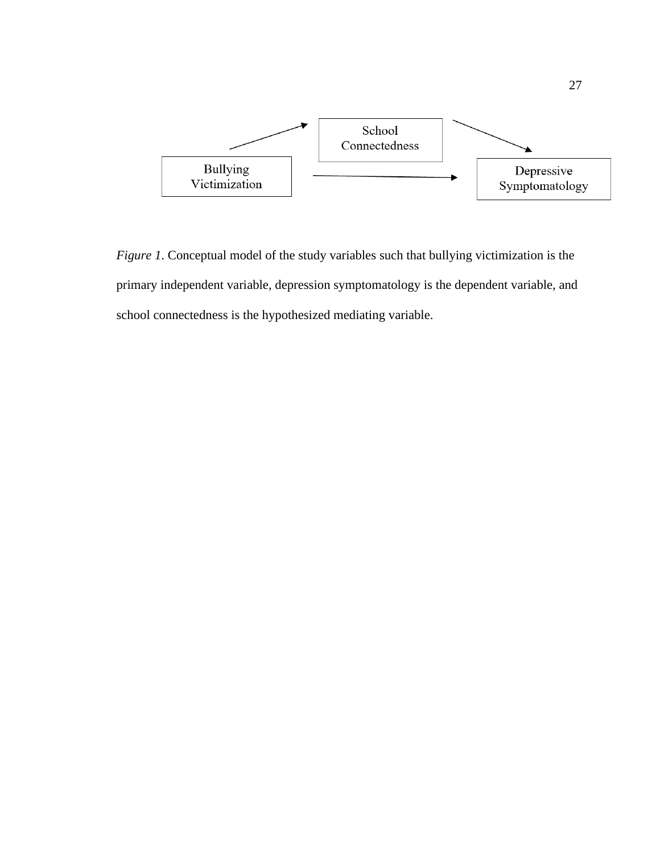

*Figure 1*. Conceptual model of the study variables such that bullying victimization is the primary independent variable, depression symptomatology is the dependent variable, and school connectedness is the hypothesized mediating variable.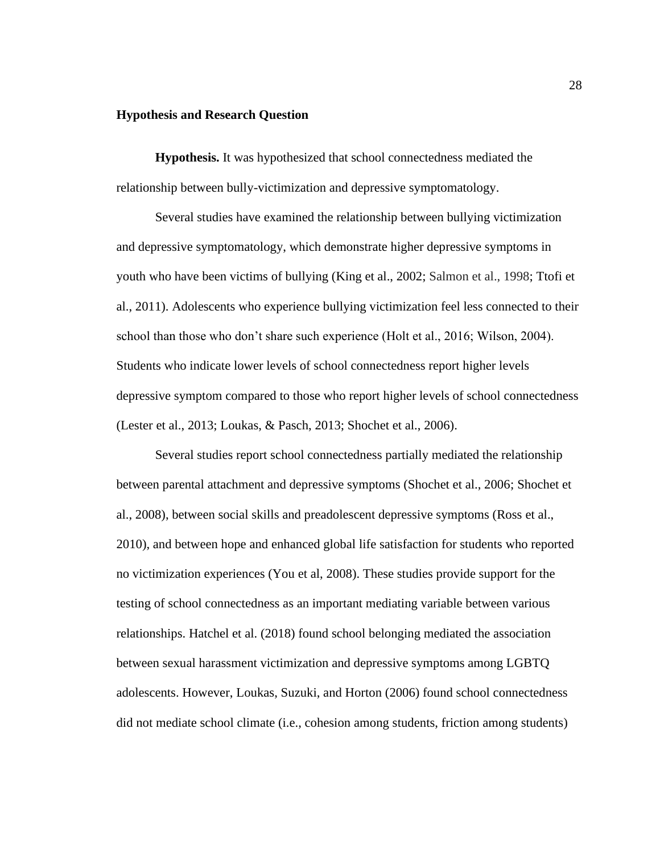### **Hypothesis and Research Question**

**Hypothesis.** It was hypothesized that school connectedness mediated the relationship between bully-victimization and depressive symptomatology.

Several studies have examined the relationship between bullying victimization and depressive symptomatology, which demonstrate higher depressive symptoms in youth who have been victims of bullying (King et al., 2002; Salmon et al., 1998; Ttofi et al., 2011). Adolescents who experience bullying victimization feel less connected to their school than those who don't share such experience (Holt et al., 2016; Wilson, 2004). Students who indicate lower levels of school connectedness report higher levels depressive symptom compared to those who report higher levels of school connectedness (Lester et al., 2013; Loukas, & Pasch, 2013; Shochet et al., 2006).

Several studies report school connectedness partially mediated the relationship between parental attachment and depressive symptoms (Shochet et al., 2006; Shochet et al., 2008), between social skills and preadolescent depressive symptoms (Ross et al., 2010), and between hope and enhanced global life satisfaction for students who reported no victimization experiences (You et al, 2008). These studies provide support for the testing of school connectedness as an important mediating variable between various relationships. Hatchel et al. (2018) found school belonging mediated the association between sexual harassment victimization and depressive symptoms among LGBTQ adolescents. However, Loukas, Suzuki, and Horton (2006) found school connectedness did not mediate school climate (i.e., cohesion among students, friction among students)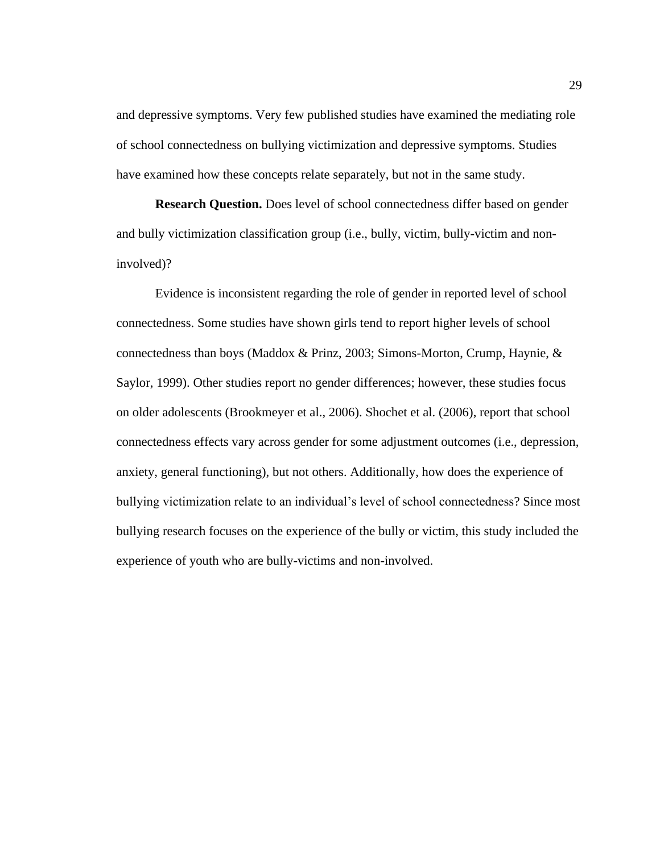and depressive symptoms. Very few published studies have examined the mediating role of school connectedness on bullying victimization and depressive symptoms. Studies have examined how these concepts relate separately, but not in the same study.

**Research Question.** Does level of school connectedness differ based on gender and bully victimization classification group (i.e., bully, victim, bully-victim and noninvolved)?

Evidence is inconsistent regarding the role of gender in reported level of school connectedness. Some studies have shown girls tend to report higher levels of school connectedness than boys (Maddox & Prinz, 2003; Simons-Morton, Crump, Haynie, & Saylor, 1999). Other studies report no gender differences; however, these studies focus on older adolescents (Brookmeyer et al., 2006). Shochet et al. (2006), report that school connectedness effects vary across gender for some adjustment outcomes (i.e., depression, anxiety, general functioning), but not others. Additionally, how does the experience of bullying victimization relate to an individual's level of school connectedness? Since most bullying research focuses on the experience of the bully or victim, this study included the experience of youth who are bully-victims and non-involved.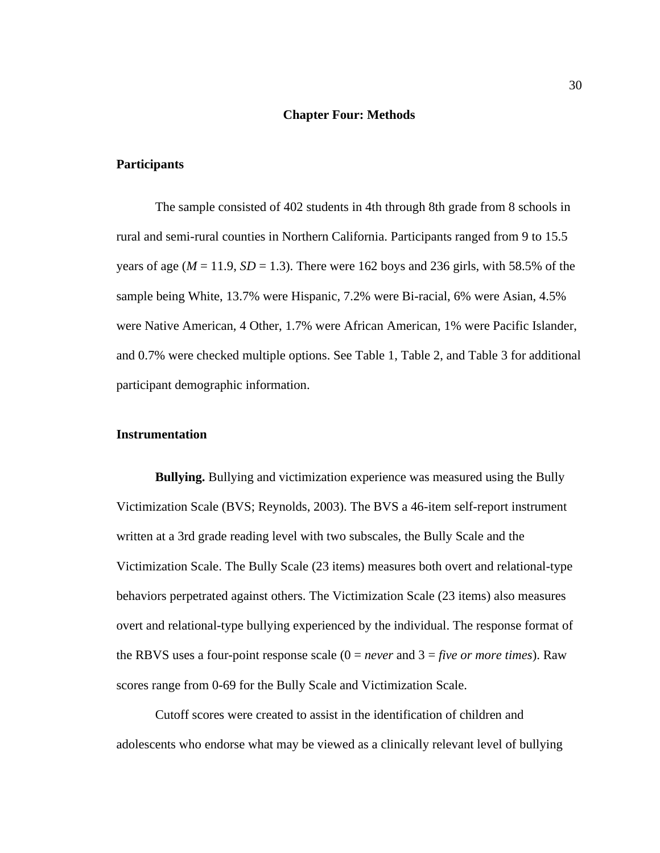### **Chapter Four: Methods**

### **Participants**

The sample consisted of 402 students in 4th through 8th grade from 8 schools in rural and semi-rural counties in Northern California. Participants ranged from 9 to 15.5 years of age ( $M = 11.9$ ,  $SD = 1.3$ ). There were 162 boys and 236 girls, with 58.5% of the sample being White, 13.7% were Hispanic, 7.2% were Bi-racial, 6% were Asian, 4.5% were Native American, 4 Other, 1.7% were African American, 1% were Pacific Islander, and 0.7% were checked multiple options. See Table 1, Table 2, and Table 3 for additional participant demographic information.

### **Instrumentation**

**Bullying.** Bullying and victimization experience was measured using the Bully Victimization Scale (BVS; Reynolds, 2003). The BVS a 46-item self-report instrument written at a 3rd grade reading level with two subscales, the Bully Scale and the Victimization Scale. The Bully Scale (23 items) measures both overt and relational-type behaviors perpetrated against others. The Victimization Scale (23 items) also measures overt and relational-type bullying experienced by the individual. The response format of the RBVS uses a four-point response scale  $(0 = never$  and  $3 = five$  *or more times*). Raw scores range from 0-69 for the Bully Scale and Victimization Scale.

Cutoff scores were created to assist in the identification of children and adolescents who endorse what may be viewed as a clinically relevant level of bullying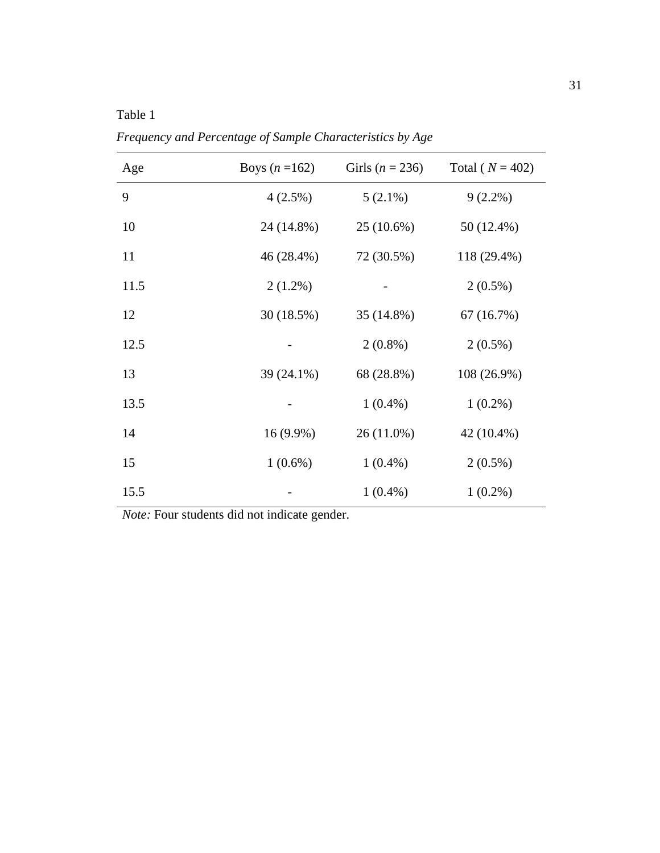Table 1

| Age  | Boys $(n = 162)$ | Girls ( $n = 236$ ) | Total ( $N = 402$ ) |
|------|------------------|---------------------|---------------------|
| 9    | $4(2.5\%)$       | $5(2.1\%)$          | $9(2.2\%)$          |
| 10   | 24 (14.8%)       | 25 (10.6%)          | 50 (12.4%)          |
| 11   | 46 (28.4%)       | 72 (30.5%)          | 118 (29.4%)         |
| 11.5 | $2(1.2\%)$       |                     | $2(0.5\%)$          |
| 12   | 30 (18.5%)       | 35 (14.8%)          | 67(16.7%)           |
| 12.5 |                  | $2(0.8\%)$          | $2(0.5\%)$          |
| 13   | 39 (24.1%)       | 68 (28.8%)          | 108 (26.9%)         |
| 13.5 |                  | $1(0.4\%)$          | $1(0.2\%)$          |
| 14   | $16(9.9\%)$      | 26 (11.0%)          | 42 (10.4%)          |
| 15   | $1(0.6\%)$       | $1(0.4\%)$          | $2(0.5\%)$          |
| 15.5 |                  | $1(0.4\%)$          | $1(0.2\%)$          |

*Frequency and Percentage of Sample Characteristics by Age*

*Note:* Four students did not indicate gender.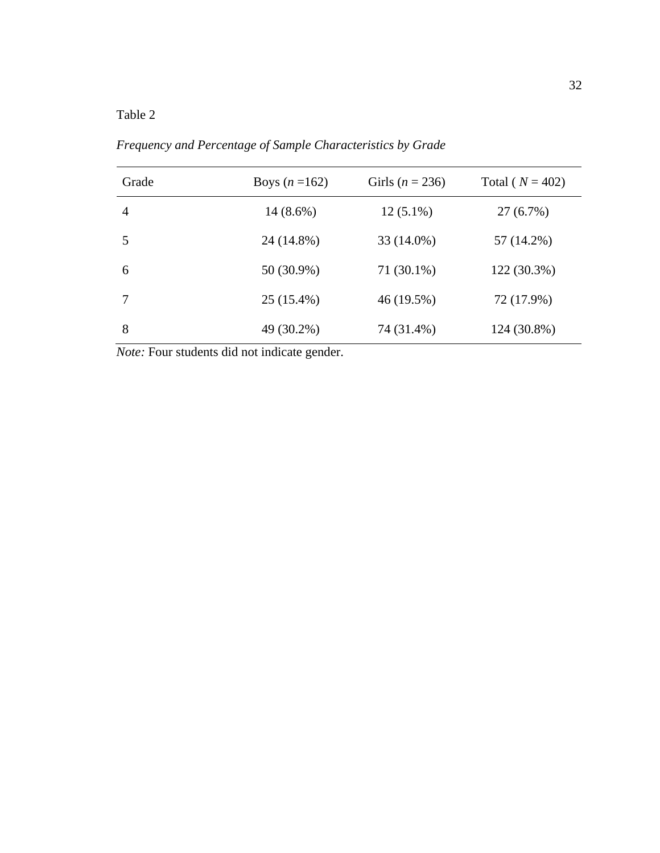### Table 2

| Grade          | Boys $(n = 162)$ | Girls ( $n = 236$ ) | Total ( $N = 402$ ) |
|----------------|------------------|---------------------|---------------------|
| $\overline{4}$ | $14(8.6\%)$      | $12(5.1\%)$         | 27 (6.7%)           |
|                | 24 (14.8%)       | 33 (14.0%)          | 57 (14.2%)          |
| 6              | 50 (30.9%)       | 71 (30.1%)          | 122 (30.3%)         |
|                | 25 (15.4%)       | 46 (19.5%)          | 72 (17.9%)          |
| 8              | 49 (30.2%)       | 74 (31.4%)          | 124 (30.8%)         |

*Frequency and Percentage of Sample Characteristics by Grade*

*Note:* Four students did not indicate gender.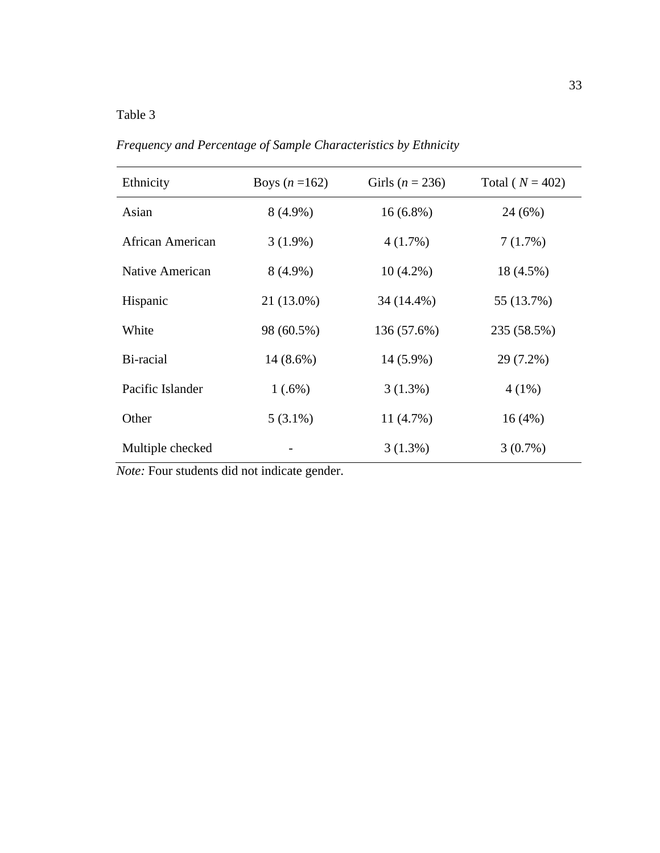### Table 3

Ethnicity Boys  $(n = 162)$  Girls  $(n = 236)$  Total  $(N = 402)$ Asian 8 (4.9%) 16 (6.8%) 24 (6%) African American 3 (1.9%) 4 (1.7%) 7 (1.7%) Native American 8 (4.9%) 10 (4.2%) 18 (4.5%) Hispanic 21 (13.0%) 34 (14.4%) 55 (13.7%) White 98 (60.5%) 136 (57.6%) 235 (58.5%) Bi-racial 14 (8.6%) 14 (5.9%) 29 (7.2%) Pacific Islander 1 (.6%) 3 (1.3%) 4 (1%) Other 5 (3.1%) 11 (4.7%) 16 (4%) Multiple checked - 3 (1.3%) 3 (0.7%)

*Frequency and Percentage of Sample Characteristics by Ethnicity*

*Note:* Four students did not indicate gender.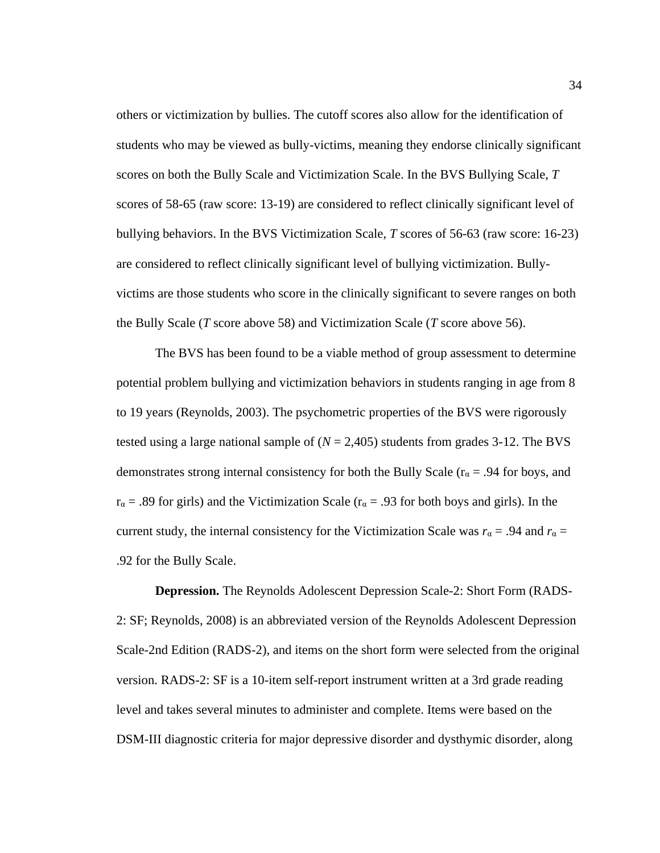others or victimization by bullies. The cutoff scores also allow for the identification of students who may be viewed as bully-victims, meaning they endorse clinically significant scores on both the Bully Scale and Victimization Scale. In the BVS Bullying Scale, *T* scores of 58-65 (raw score: 13-19) are considered to reflect clinically significant level of bullying behaviors. In the BVS Victimization Scale, *T* scores of 56-63 (raw score: 16-23) are considered to reflect clinically significant level of bullying victimization. Bullyvictims are those students who score in the clinically significant to severe ranges on both the Bully Scale (*T* score above 58) and Victimization Scale (*T* score above 56).

The BVS has been found to be a viable method of group assessment to determine potential problem bullying and victimization behaviors in students ranging in age from 8 to 19 years (Reynolds, 2003). The psychometric properties of the BVS were rigorously tested using a large national sample of  $(N = 2,405)$  students from grades 3-12. The BVS demonstrates strong internal consistency for both the Bully Scale ( $r_\alpha$  = .94 for boys, and  $r_{\alpha}$  = .89 for girls) and the Victimization Scale ( $r_{\alpha}$  = .93 for both boys and girls). In the current study, the internal consistency for the Victimization Scale was  $r_\alpha$  = .94 and  $r_\alpha$  = .92 for the Bully Scale.

**Depression.** The Reynolds Adolescent Depression Scale-2: Short Form (RADS-2: SF; Reynolds, 2008) is an abbreviated version of the Reynolds Adolescent Depression Scale-2nd Edition (RADS-2), and items on the short form were selected from the original version. RADS-2: SF is a 10-item self-report instrument written at a 3rd grade reading level and takes several minutes to administer and complete. Items were based on the DSM-III diagnostic criteria for major depressive disorder and dysthymic disorder, along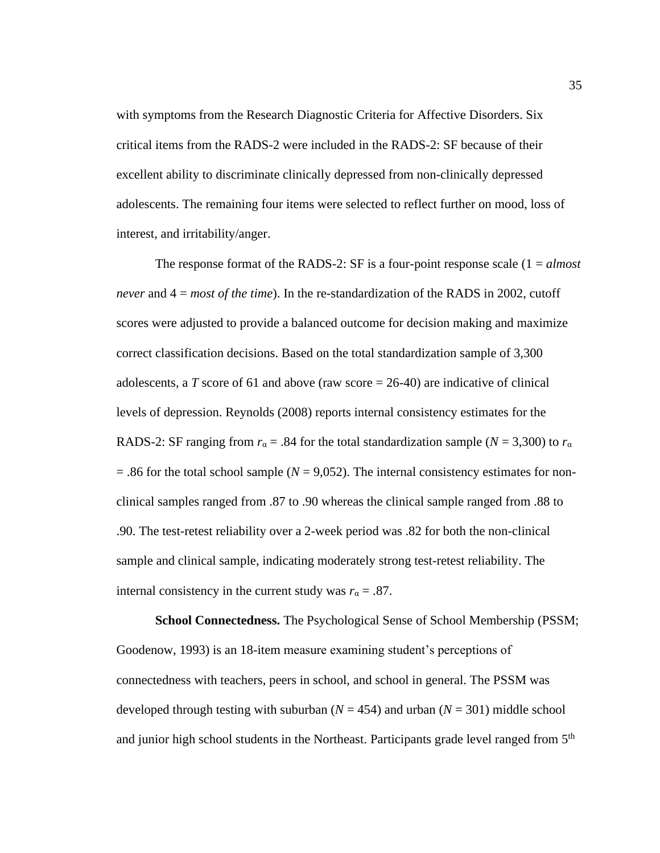with symptoms from the Research Diagnostic Criteria for Affective Disorders. Six critical items from the RADS-2 were included in the RADS-2: SF because of their excellent ability to discriminate clinically depressed from non-clinically depressed adolescents. The remaining four items were selected to reflect further on mood, loss of interest, and irritability/anger.

The response format of the RADS-2: SF is a four-point response scale (1 = *almost never* and 4 = *most of the time*). In the re-standardization of the RADS in 2002, cutoff scores were adjusted to provide a balanced outcome for decision making and maximize correct classification decisions. Based on the total standardization sample of 3,300 adolescents, a *T* score of 61 and above (raw score  $= 26-40$ ) are indicative of clinical levels of depression. Reynolds (2008) reports internal consistency estimates for the RADS-2: SF ranging from  $r_\alpha$  = .84 for the total standardization sample ( $N = 3,300$ ) to  $r_\alpha$  $=$  .86 for the total school sample ( $N = 9,052$ ). The internal consistency estimates for nonclinical samples ranged from .87 to .90 whereas the clinical sample ranged from .88 to .90. The test-retest reliability over a 2-week period was .82 for both the non-clinical sample and clinical sample, indicating moderately strong test-retest reliability. The internal consistency in the current study was  $r_\alpha = .87$ .

**School Connectedness.** The Psychological Sense of School Membership (PSSM; Goodenow, 1993) is an 18-item measure examining student's perceptions of connectedness with teachers, peers in school, and school in general. The PSSM was developed through testing with suburban  $(N = 454)$  and urban  $(N = 301)$  middle school and junior high school students in the Northeast. Participants grade level ranged from 5<sup>th</sup>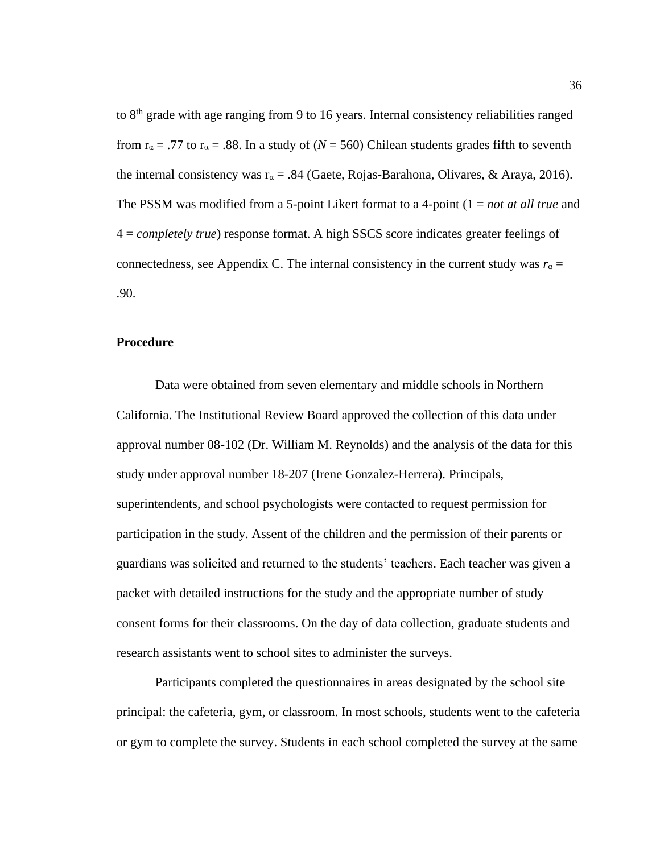to  $8<sup>th</sup>$  grade with age ranging from 9 to 16 years. Internal consistency reliabilities ranged from  $r_{\alpha} = .77$  to  $r_{\alpha} = .88$ . In a study of ( $N = 560$ ) Chilean students grades fifth to seventh the internal consistency was  $r_\alpha = .84$  (Gaete, Rojas-Barahona, Olivares, & Araya, 2016). The PSSM was modified from a 5-point Likert format to a 4-point (1 = *not at all true* and 4 = *completely true*) response format. A high SSCS score indicates greater feelings of connectedness, see Appendix C. The internal consistency in the current study was  $r_\alpha$  = .90.

### **Procedure**

Data were obtained from seven elementary and middle schools in Northern California. The Institutional Review Board approved the collection of this data under approval number 08-102 (Dr. William M. Reynolds) and the analysis of the data for this study under approval number 18-207 (Irene Gonzalez-Herrera). Principals, superintendents, and school psychologists were contacted to request permission for participation in the study. Assent of the children and the permission of their parents or guardians was solicited and returned to the students' teachers. Each teacher was given a packet with detailed instructions for the study and the appropriate number of study consent forms for their classrooms. On the day of data collection, graduate students and research assistants went to school sites to administer the surveys.

Participants completed the questionnaires in areas designated by the school site principal: the cafeteria, gym, or classroom. In most schools, students went to the cafeteria or gym to complete the survey. Students in each school completed the survey at the same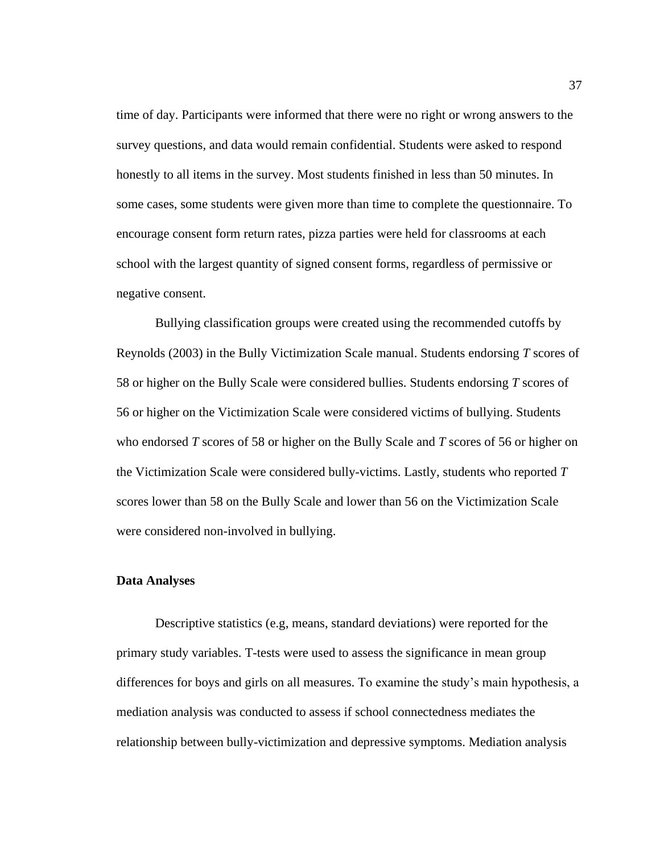time of day. Participants were informed that there were no right or wrong answers to the survey questions, and data would remain confidential. Students were asked to respond honestly to all items in the survey. Most students finished in less than 50 minutes. In some cases, some students were given more than time to complete the questionnaire. To encourage consent form return rates, pizza parties were held for classrooms at each school with the largest quantity of signed consent forms, regardless of permissive or negative consent.

Bullying classification groups were created using the recommended cutoffs by Reynolds (2003) in the Bully Victimization Scale manual. Students endorsing *T* scores of 58 or higher on the Bully Scale were considered bullies. Students endorsing *T* scores of 56 or higher on the Victimization Scale were considered victims of bullying. Students who endorsed *T* scores of 58 or higher on the Bully Scale and *T* scores of 56 or higher on the Victimization Scale were considered bully-victims. Lastly, students who reported *T* scores lower than 58 on the Bully Scale and lower than 56 on the Victimization Scale were considered non-involved in bullying.

### **Data Analyses**

Descriptive statistics (e.g, means, standard deviations) were reported for the primary study variables. T-tests were used to assess the significance in mean group differences for boys and girls on all measures. To examine the study's main hypothesis, a mediation analysis was conducted to assess if school connectedness mediates the relationship between bully-victimization and depressive symptoms. Mediation analysis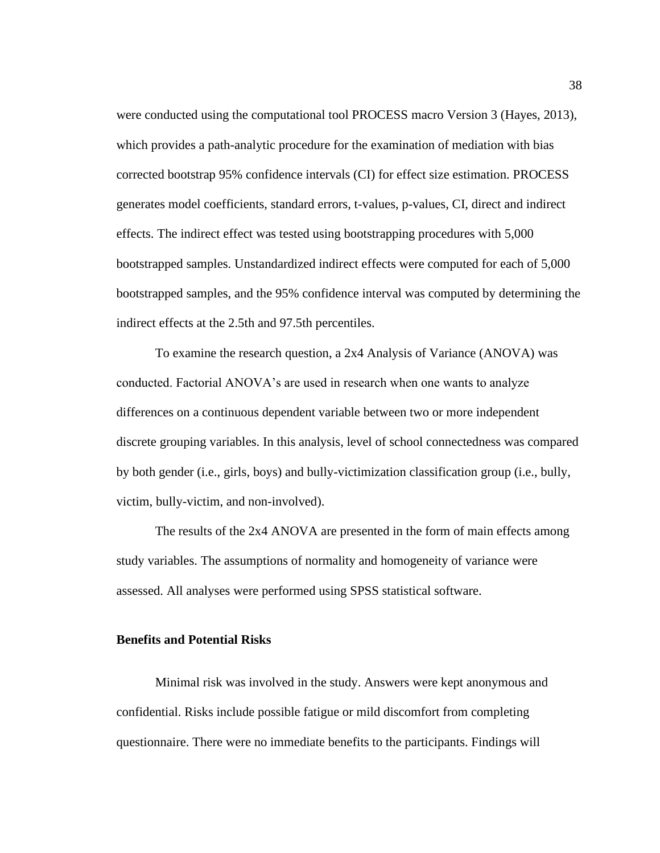were conducted using the computational tool PROCESS macro Version 3 (Hayes, 2013), which provides a path-analytic procedure for the examination of mediation with bias corrected bootstrap 95% confidence intervals (CI) for effect size estimation. PROCESS generates model coefficients, standard errors, t-values, p-values, CI, direct and indirect effects. The indirect effect was tested using bootstrapping procedures with 5,000 bootstrapped samples. Unstandardized indirect effects were computed for each of 5,000 bootstrapped samples, and the 95% confidence interval was computed by determining the indirect effects at the 2.5th and 97.5th percentiles.

To examine the research question, a 2x4 Analysis of Variance (ANOVA) was conducted. Factorial ANOVA's are used in research when one wants to analyze differences on a continuous dependent variable between two or more independent discrete grouping variables. In this analysis, level of school connectedness was compared by both gender (i.e., girls, boys) and bully-victimization classification group (i.e., bully, victim, bully-victim, and non-involved).

The results of the 2x4 ANOVA are presented in the form of main effects among study variables. The assumptions of normality and homogeneity of variance were assessed. All analyses were performed using SPSS statistical software.

### **Benefits and Potential Risks**

Minimal risk was involved in the study. Answers were kept anonymous and confidential. Risks include possible fatigue or mild discomfort from completing questionnaire. There were no immediate benefits to the participants. Findings will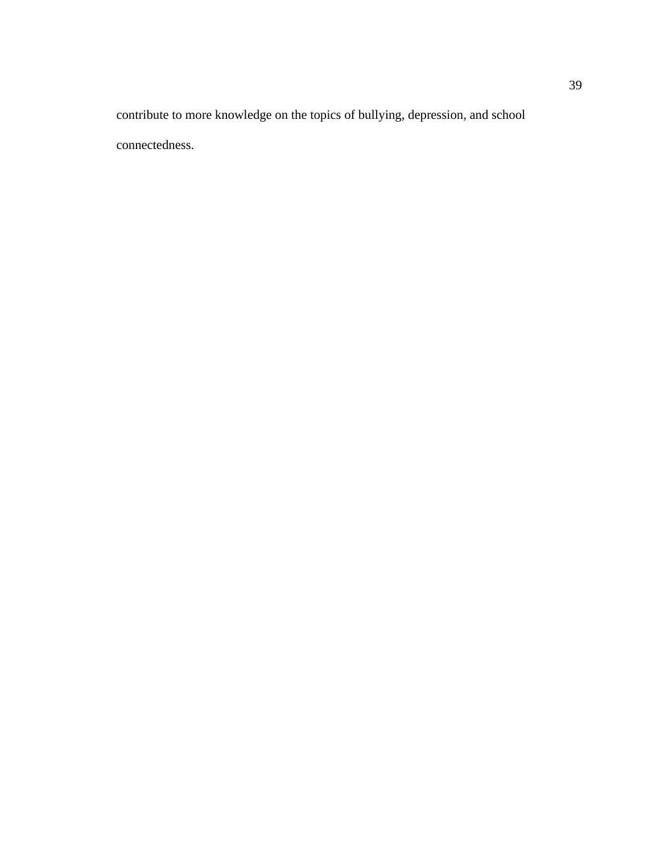contribute to more knowledge on the topics of bullying, depression, and school connectedness.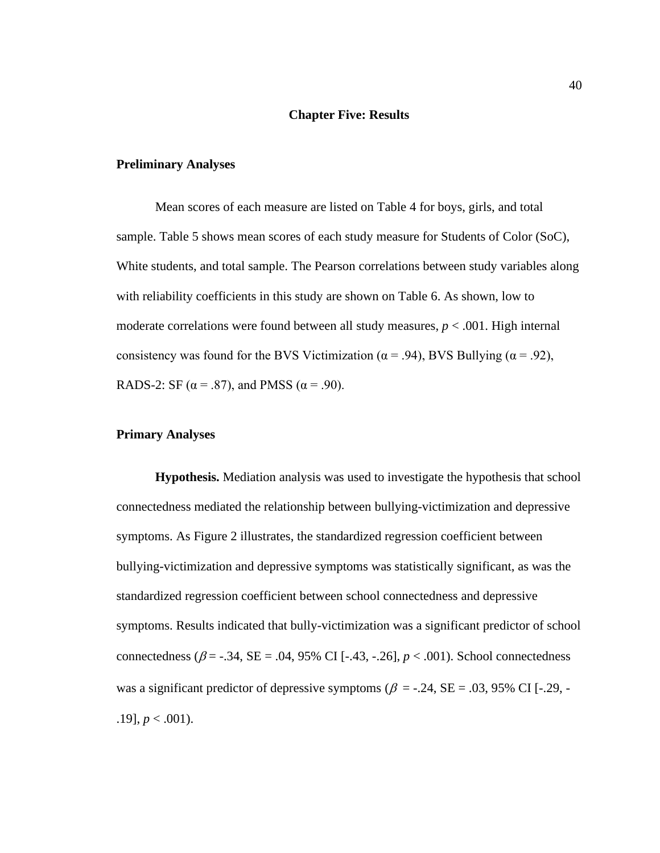#### **Chapter Five: Results**

### **Preliminary Analyses**

Mean scores of each measure are listed on Table 4 for boys, girls, and total sample. Table 5 shows mean scores of each study measure for Students of Color (SoC), White students, and total sample. The Pearson correlations between study variables along with reliability coefficients in this study are shown on Table 6. As shown, low to moderate correlations were found between all study measures,  $p < .001$ . High internal consistency was found for the BVS Victimization ( $\alpha$  = .94), BVS Bullying ( $\alpha$  = .92), RADS-2: SF ( $\alpha$  = .87), and PMSS ( $\alpha$  = .90).

### **Primary Analyses**

**Hypothesis.** Mediation analysis was used to investigate the hypothesis that school connectedness mediated the relationship between bullying-victimization and depressive symptoms. As Figure 2 illustrates, the standardized regression coefficient between bullying-victimization and depressive symptoms was statistically significant, as was the standardized regression coefficient between school connectedness and depressive symptoms. Results indicated that bully-victimization was a significant predictor of school connectedness ( $\beta$  = -.34, SE = .04, 95% CI [-.43, -.26],  $p < .001$ ). School connectedness was a significant predictor of depressive symptoms ( $\beta = -0.24$ , SE = 0.03, 95% CI [-0.29, - $.19$ ],  $p < .001$ ).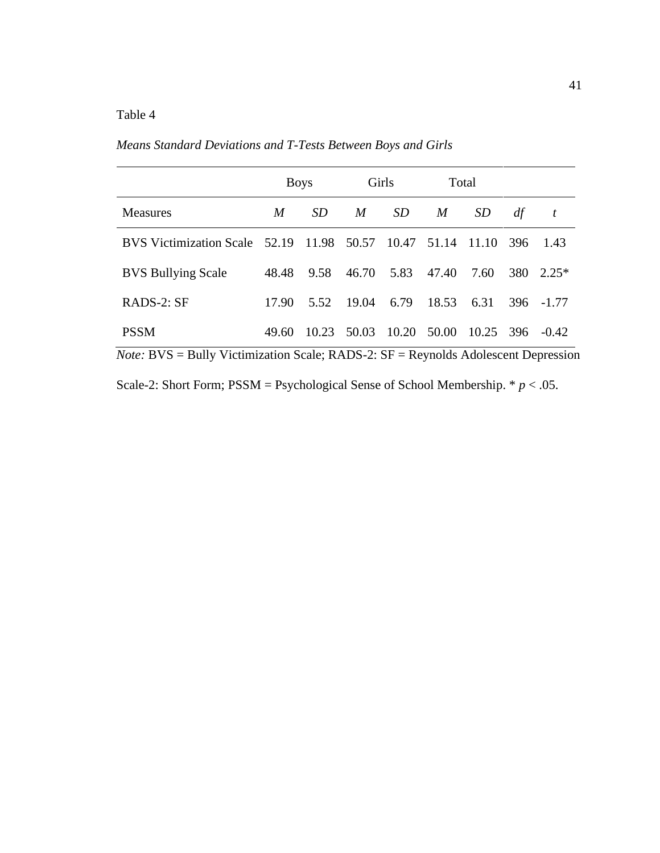### Table 4

*Means Standard Deviations and T-Tests Between Boys and Girls*

|                               | <b>Boys</b> |           | Girls       |             | Total |           |     |            |
|-------------------------------|-------------|-----------|-------------|-------------|-------|-----------|-----|------------|
| <b>Measures</b>               | M           | <i>SD</i> | M           | SD          | M     | <i>SD</i> | df  | t          |
| BVS Victimization Scale 52.19 |             |           | 11.98 50.57 | 10.47 51.14 |       | 11.10     | 396 | 1.43       |
| <b>BVS Bullying Scale</b>     | 48.48       | 9.58      | 46.70       | 5.83        | 47.40 | 7.60      | 380 | $2.25*$    |
| RADS-2: SF                    | 17.90       | 5.52      | 19.04       | 6.79        | 18.53 | 6.31      |     | 396 - 1.77 |
| <b>PSSM</b>                   | 49.60       | 10.23     | 50.03       | 10.20       | 50.00 | 10.25     | 396 | $-0.42$    |

*Note:* BVS = Bully Victimization Scale; RADS-2: SF = Reynolds Adolescent Depression

Scale-2: Short Form; PSSM = Psychological Sense of School Membership. \* *p* < .05.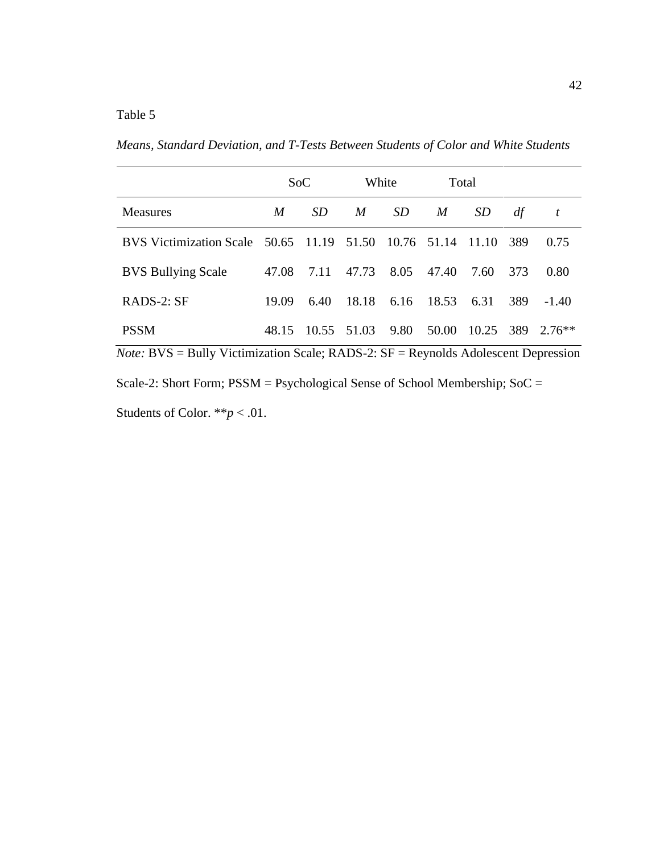*Means, Standard Deviation, and T-Tests Between Students of Color and White Students*

|                                           | SoC   |             | White |             | Total |           |     |          |
|-------------------------------------------|-------|-------------|-------|-------------|-------|-----------|-----|----------|
| <b>Measures</b>                           | M     | <i>SD</i>   | M     | <i>SD</i>   | M     | <i>SD</i> | df  | t        |
| BVS Victimization Scale 50.65 11.19 51.50 |       |             |       | 10.76 51.14 |       | 11.10     | 389 | 0.75     |
| <b>BVS Bullying Scale</b>                 | 47.08 | 7.11        | 47.73 | 8.05        | 47.40 | 7.60      | 373 | 0.80     |
| RADS-2: SF                                | 19.09 | 6.40        | 18.18 | 6.16        | 18.53 | 6.31      | 389 | $-1.40$  |
| <b>PSSM</b>                               | 48.15 | 10.55 51.03 |       | 9.80        | 50.00 | 10.25 389 |     | $2.76**$ |

*Note:* BVS = Bully Victimization Scale; RADS-2: SF = Reynolds Adolescent Depression Scale-2: Short Form; PSSM = Psychological Sense of School Membership; SoC =

Students of Color. \*\**p* < .01.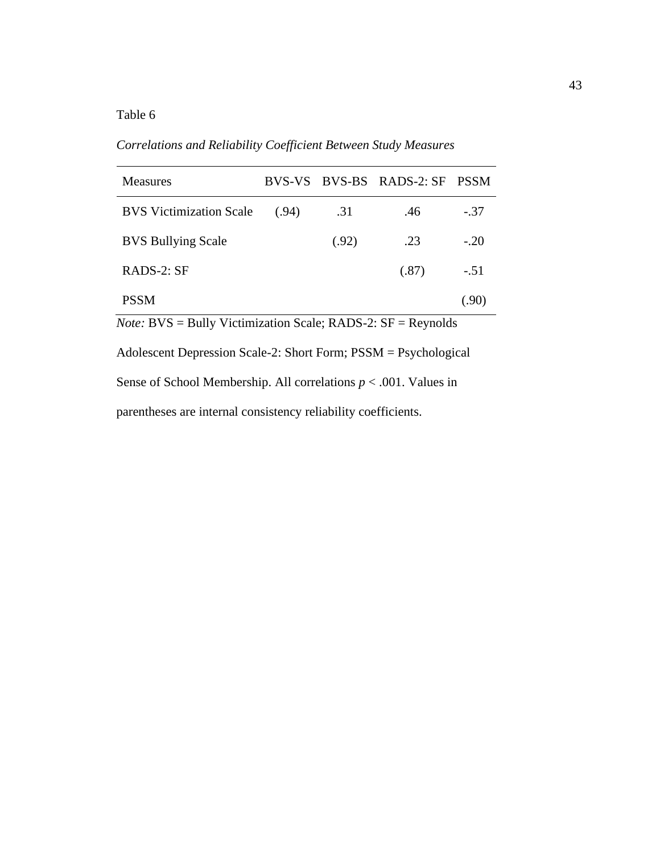### Table 6

*Correlations and Reliability Coefficient Between Study Measures*

| <b>Measures</b>                |       |       | BVS-VS BVS-BS RADS-2: SF | <b>PSSM</b> |
|--------------------------------|-------|-------|--------------------------|-------------|
| <b>BVS</b> Victimization Scale | (.94) | .31   | .46                      | $-.37$      |
| <b>BVS Bullying Scale</b>      |       | (.92) | .23                      | $-.20$      |
| RADS-2: SF                     |       |       | (.87)                    | $-.51$      |
| <b>PSSM</b>                    |       |       |                          | (.90)       |

*Note:* BVS = Bully Victimization Scale; RADS-2: SF = Reynolds

Adolescent Depression Scale-2: Short Form; PSSM = Psychological Sense of School Membership. All correlations *p* < .001. Values in parentheses are internal consistency reliability coefficients.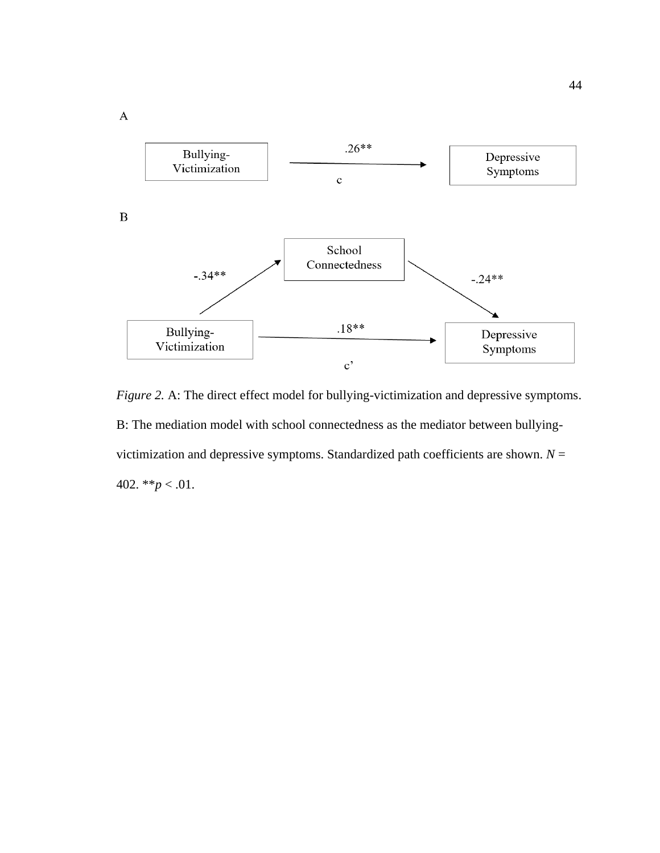

*Figure 2.* A: The direct effect model for bullying-victimization and depressive symptoms. B: The mediation model with school connectedness as the mediator between bullyingvictimization and depressive symptoms. Standardized path coefficients are shown.  $N =$ 402. \*\**p* < .01.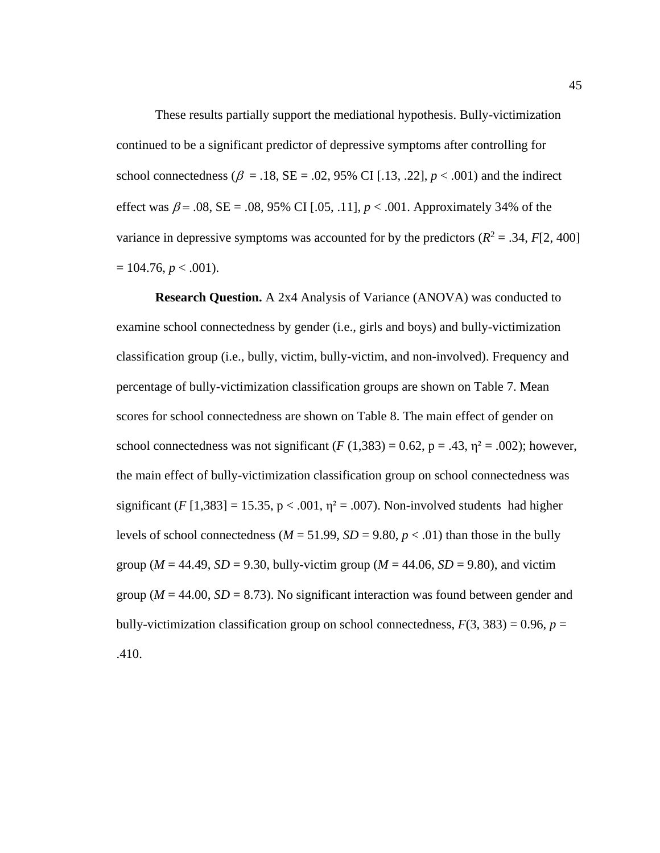These results partially support the mediational hypothesis. Bully-victimization continued to be a significant predictor of depressive symptoms after controlling for school connectedness ( $\beta = .18$ , SE = .02, 95% CI [.13, .22],  $p < .001$ ) and the indirect effect was  $\beta$  = .08, SE = .08, 95% CI [.05, .11],  $p < .001$ . Approximately 34% of the variance in depressive symptoms was accounted for by the predictors  $(R^2 = .34, F[2, 400]$  $= 104.76, p < .001$ ).

**Research Question.** A 2x4 Analysis of Variance (ANOVA) was conducted to examine school connectedness by gender (i.e., girls and boys) and bully-victimization classification group (i.e., bully, victim, bully-victim, and non-involved). Frequency and percentage of bully-victimization classification groups are shown on Table 7. Mean scores for school connectedness are shown on Table 8. The main effect of gender on school connectedness was not significant  $(F(1,383) = 0.62, p = .43, \eta^2 = .002)$ ; however, the main effect of bully-victimization classification group on school connectedness was significant (*F* [1,383] = 15.35, p < .001,  $\eta$ <sup>2</sup> = .007). Non-involved students had higher levels of school connectedness ( $M = 51.99$ ,  $SD = 9.80$ ,  $p < .01$ ) than those in the bully group ( $M = 44.49$ ,  $SD = 9.30$ , bully-victim group ( $M = 44.06$ ,  $SD = 9.80$ ), and victim group ( $M = 44.00$ ,  $SD = 8.73$ ). No significant interaction was found between gender and bully-victimization classification group on school connectedness,  $F(3, 383) = 0.96$ ,  $p =$ .410.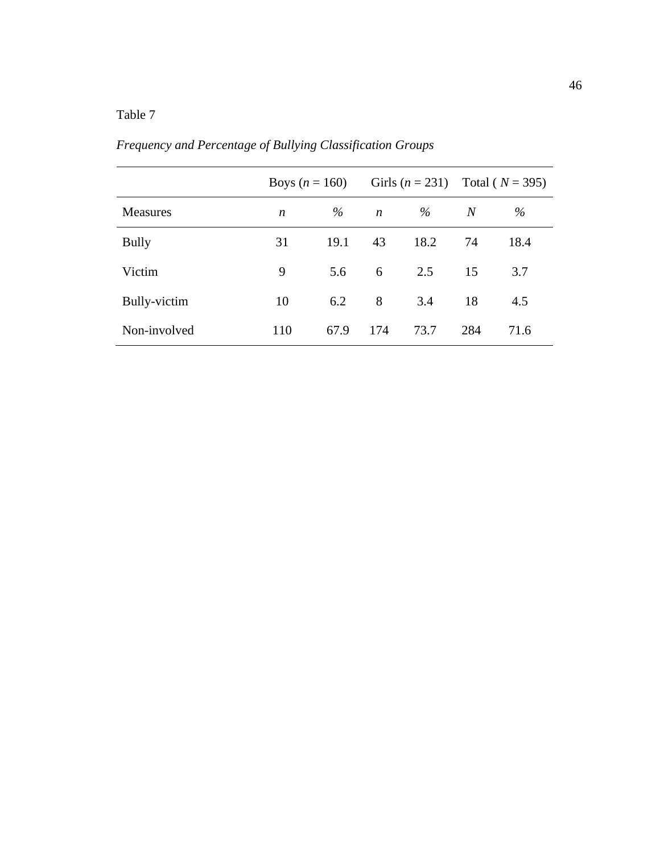# Table 7

|                 | Boys $(n = 160)$ |      |                  |      | Girls $(n = 231)$ Total ( $N = 395$ ) |      |
|-----------------|------------------|------|------------------|------|---------------------------------------|------|
| <b>Measures</b> | n                | $\%$ | $\boldsymbol{n}$ | $\%$ | N                                     | $\%$ |
| <b>Bully</b>    | 31               | 19.1 | 43               | 18.2 | 74                                    | 18.4 |
| Victim          | 9                | 5.6  | 6                | 2.5  | 15                                    | 3.7  |
| Bully-victim    | 10               | 6.2  | 8                | 3.4  | 18                                    | 4.5  |
| Non-involved    | 110              | 67.9 | 174              | 73.7 | 284                                   | 71.6 |

*Frequency and Percentage of Bullying Classification Groups*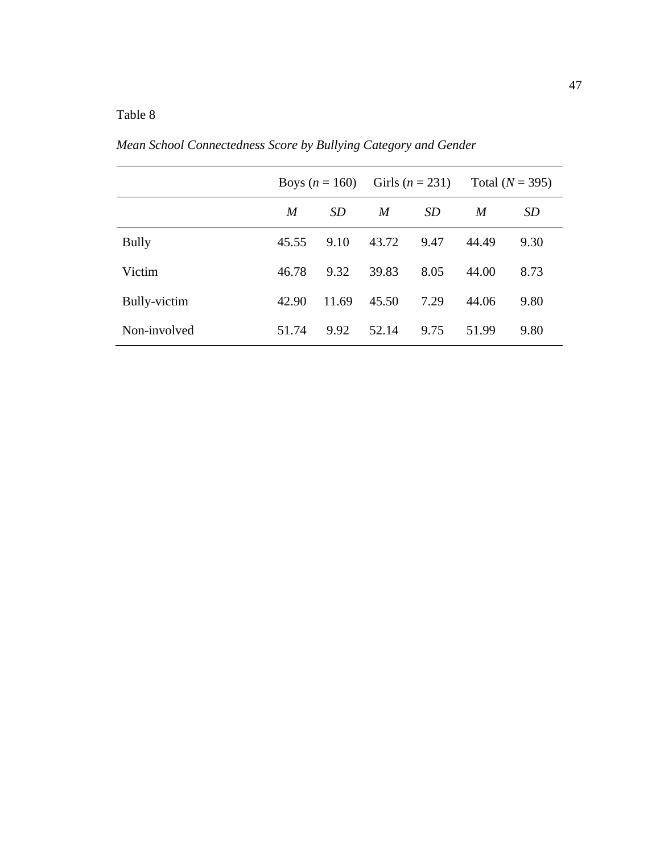## Table 8

|              | Boys $(n = 160)$ |           | Girls $(n = 231)$ |           |       | Total $(N = 395)$ |
|--------------|------------------|-----------|-------------------|-----------|-------|-------------------|
|              | M                | <i>SD</i> | M                 | <i>SD</i> | M     | SD                |
| <b>Bully</b> | 45.55            | 9.10      | 43.72             | 9.47      | 44.49 | 9.30              |
| Victim       | 46.78            | 9.32      | 39.83             | 8.05      | 44.00 | 8.73              |
| Bully-victim | 42.90            | 11.69     | 45.50             | 7.29      | 44.06 | 9.80              |
| Non-involved | 51.74            | 9.92      | 52.14             | 9.75      | 51.99 | 9.80              |

*Mean School Connectedness Score by Bullying Category and Gender*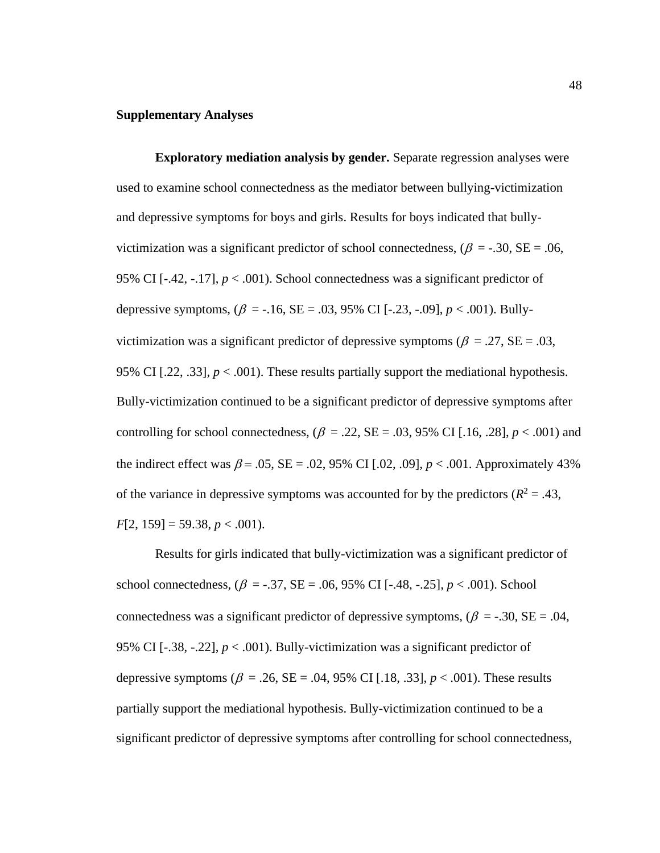### **Supplementary Analyses**

**Exploratory mediation analysis by gender.** Separate regression analyses were used to examine school connectedness as the mediator between bullying-victimization and depressive symptoms for boys and girls. Results for boys indicated that bullyvictimization was a significant predictor of school connectedness, ( $\beta$  = -.30, SE = .06, 95% CI [-.42, -.17], *p* < .001). School connectedness was a significant predictor of depressive symptoms,  $(\beta = -.16, SE = .03, 95\% \text{ CI} [-.23, -.09], p < .001)$ . Bullyvictimization was a significant predictor of depressive symptoms ( $\beta = .27$ , SE = .03, 95% CI [.22, .33],  $p < .001$ ). These results partially support the mediational hypothesis. Bully-victimization continued to be a significant predictor of depressive symptoms after controlling for school connectedness,  $(\beta = .22, SE = .03, 95\% \text{ CI}$  [.16, .28],  $p < .001$ ) and the indirect effect was  $\beta = .05$ ,  $SE = .02$ , 95% CI [.02, .09],  $p < .001$ . Approximately 43% of the variance in depressive symptoms was accounted for by the predictors ( $R^2 = .43$ , *F*[2, 159] = 59.38, *p* < .001).

Results for girls indicated that bully-victimization was a significant predictor of school connectedness,  $(\beta = .37, SE = .06, 95\% \text{ CI} [-.48, -.25], p < .001)$ . School connectedness was a significant predictor of depressive symptoms, ( $\beta = -0.30$ ,  $SE = -0.04$ , 95% CI  $[-.38, -.22]$ ,  $p < .001$ ). Bully-victimization was a significant predictor of depressive symptoms ( $\beta = .26$ ,  $SE = .04$ , 95% CI [.18, .33],  $p < .001$ ). These results partially support the mediational hypothesis. Bully-victimization continued to be a significant predictor of depressive symptoms after controlling for school connectedness,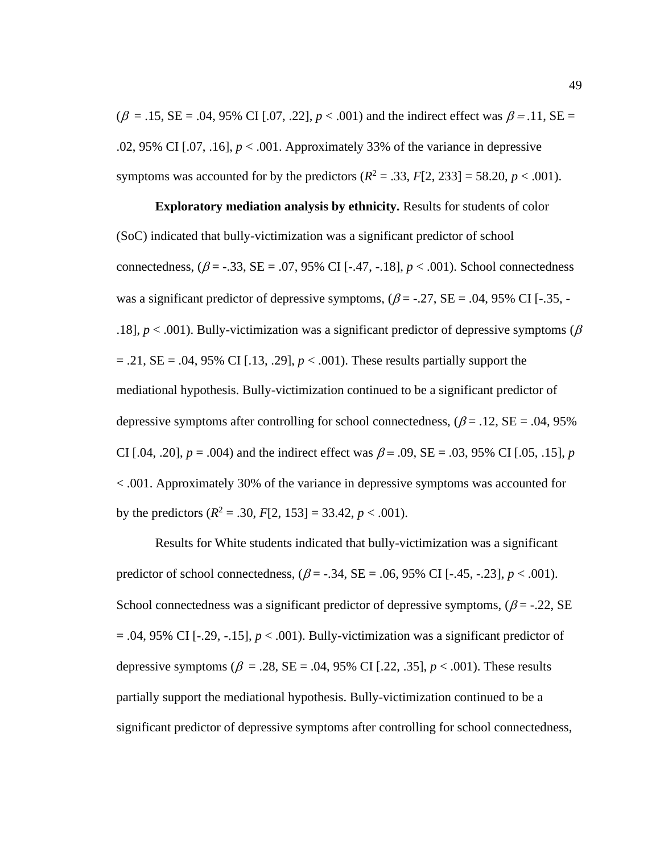$(\beta = .15, SE = .04, 95\% \text{ CI}$  [.07, .22],  $p < .001$ ) and the indirect effect was  $\beta = .11, SE =$ .02, 95% CI [.07, .16], *p* < .001. Approximately 33% of the variance in depressive symptoms was accounted for by the predictors  $(R^2 = .33, F[2, 233] = 58.20, p < .001)$ .

**Exploratory mediation analysis by ethnicity.** Results for students of color (SoC) indicated that bully-victimization was a significant predictor of school connectedness,  $(\beta = -0.33, \text{SE} = 0.07, 95\% \text{ CI} [-0.47, -0.18], p < 0.001)$ . School connectedness was a significant predictor of depressive symptoms,  $(\beta = -0.27, \text{SE} = 0.04, 95\% \text{ CI}$  [-.35, -.18],  $p < .001$ ). Bully-victimization was a significant predictor of depressive symptoms ( $\beta$ )  $= .21$ , SE  $= .04$ , 95% CI [.13, .29],  $p < .001$ ). These results partially support the mediational hypothesis. Bully-victimization continued to be a significant predictor of depressive symptoms after controlling for school connectedness,  $(\beta = .12, SE = .04, 95\%)$ CI [.04, .20],  $p = .004$ ) and the indirect effect was  $\beta = .09$ , SE = .03, 95% CI [.05, .15], p < .001. Approximately 30% of the variance in depressive symptoms was accounted for by the predictors  $(R^2 = .30, F[2, 153] = 33.42, p < .001)$ .

Results for White students indicated that bully-victimization was a significant predictor of school connectedness,  $(\beta = -.34, SE = .06, 95\% \text{ CI} [-.45, -.23], p < .001)$ . School connectedness was a significant predictor of depressive symptoms,  $(\beta = -0.22, \text{SE})$  $= .04, 95\%$  CI [ $-.29, -.15$ ],  $p < .001$ ). Bully-victimization was a significant predictor of depressive symptoms ( $\beta = .28$ ,  $SE = .04$ , 95% CI [.22, .35],  $p < .001$ ). These results partially support the mediational hypothesis. Bully-victimization continued to be a significant predictor of depressive symptoms after controlling for school connectedness,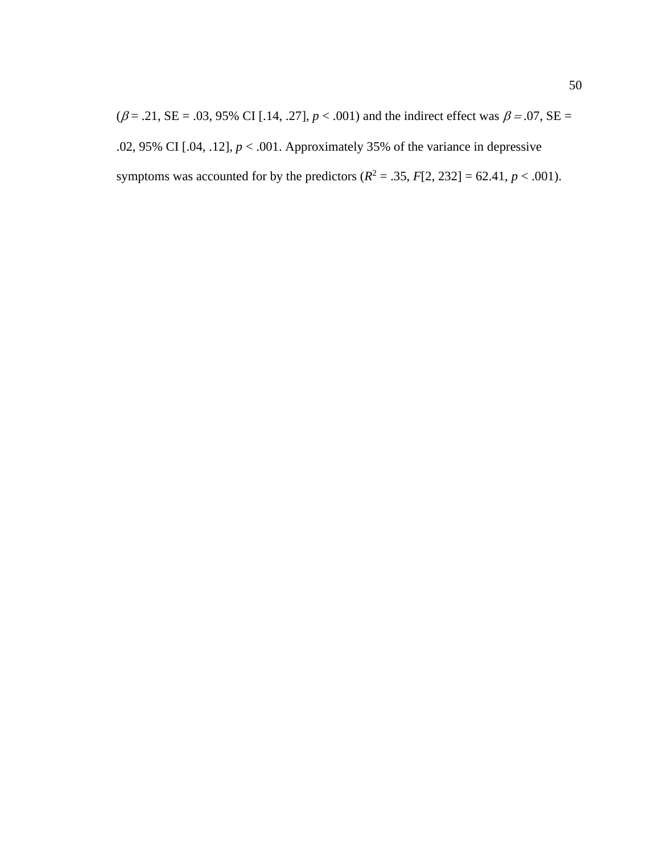( $\beta$  = .21, SE = .03, 95% CI [.14, .27],  $p < .001$ ) and the indirect effect was  $\beta$  = .07, SE = .02, 95% CI [.04, .12], *p* < .001. Approximately 35% of the variance in depressive symptoms was accounted for by the predictors  $(R^2 = .35, F[2, 232] = 62.41, p < .001)$ .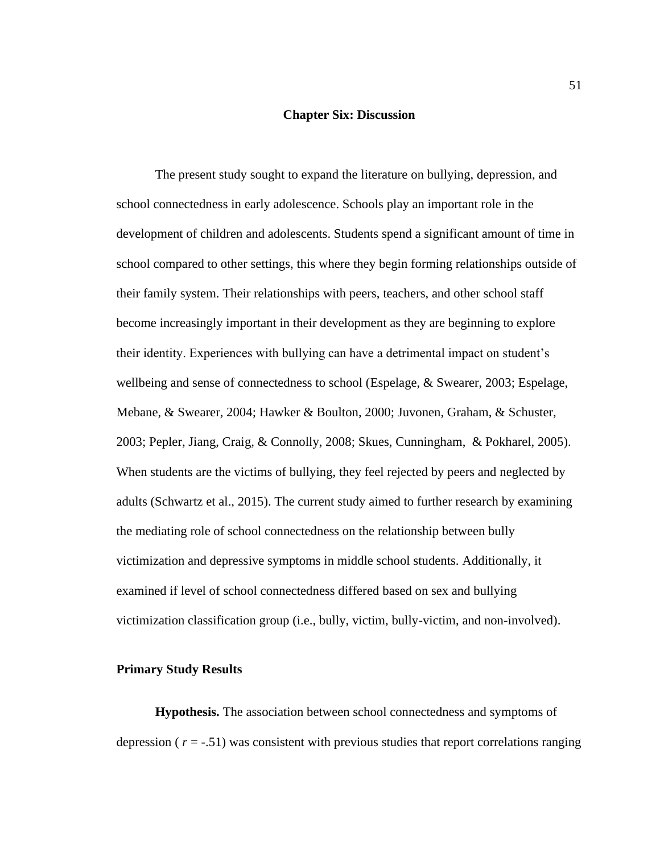### **Chapter Six: Discussion**

The present study sought to expand the literature on bullying, depression, and school connectedness in early adolescence. Schools play an important role in the development of children and adolescents. Students spend a significant amount of time in school compared to other settings, this where they begin forming relationships outside of their family system. Their relationships with peers, teachers, and other school staff become increasingly important in their development as they are beginning to explore their identity. Experiences with bullying can have a detrimental impact on student's wellbeing and sense of connectedness to school (Espelage, & Swearer, 2003; Espelage, Mebane, & Swearer, 2004; Hawker & Boulton, 2000; Juvonen, Graham, & Schuster, 2003; Pepler, Jiang, Craig, & Connolly, 2008; Skues, Cunningham, & Pokharel, 2005). When students are the victims of bullying, they feel rejected by peers and neglected by adults (Schwartz et al., 2015). The current study aimed to further research by examining the mediating role of school connectedness on the relationship between bully victimization and depressive symptoms in middle school students. Additionally, it examined if level of school connectedness differed based on sex and bullying victimization classification group (i.e., bully, victim, bully-victim, and non-involved).

### **Primary Study Results**

**Hypothesis.** The association between school connectedness and symptoms of depression ( $r = -.51$ ) was consistent with previous studies that report correlations ranging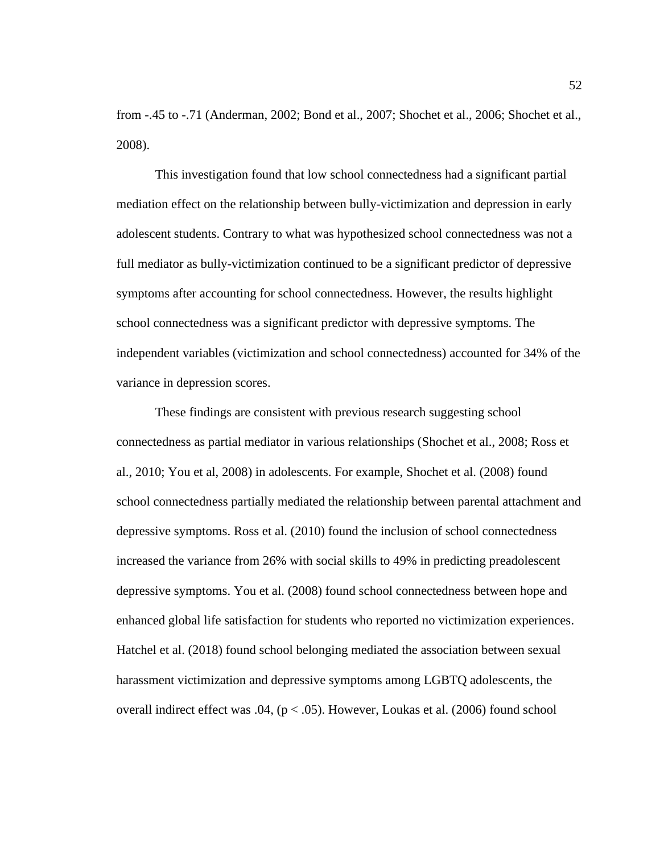from -.45 to -.71 (Anderman, 2002; Bond et al., 2007; Shochet et al., 2006; Shochet et al., 2008).

This investigation found that low school connectedness had a significant partial mediation effect on the relationship between bully-victimization and depression in early adolescent students. Contrary to what was hypothesized school connectedness was not a full mediator as bully-victimization continued to be a significant predictor of depressive symptoms after accounting for school connectedness. However, the results highlight school connectedness was a significant predictor with depressive symptoms. The independent variables (victimization and school connectedness) accounted for 34% of the variance in depression scores.

These findings are consistent with previous research suggesting school connectedness as partial mediator in various relationships (Shochet et al., 2008; Ross et al., 2010; You et al, 2008) in adolescents. For example, Shochet et al. (2008) found school connectedness partially mediated the relationship between parental attachment and depressive symptoms. Ross et al. (2010) found the inclusion of school connectedness increased the variance from 26% with social skills to 49% in predicting preadolescent depressive symptoms. You et al. (2008) found school connectedness between hope and enhanced global life satisfaction for students who reported no victimization experiences. Hatchel et al. (2018) found school belonging mediated the association between sexual harassment victimization and depressive symptoms among LGBTQ adolescents, the overall indirect effect was  $.04$ , ( $p < .05$ ). However, Loukas et al. (2006) found school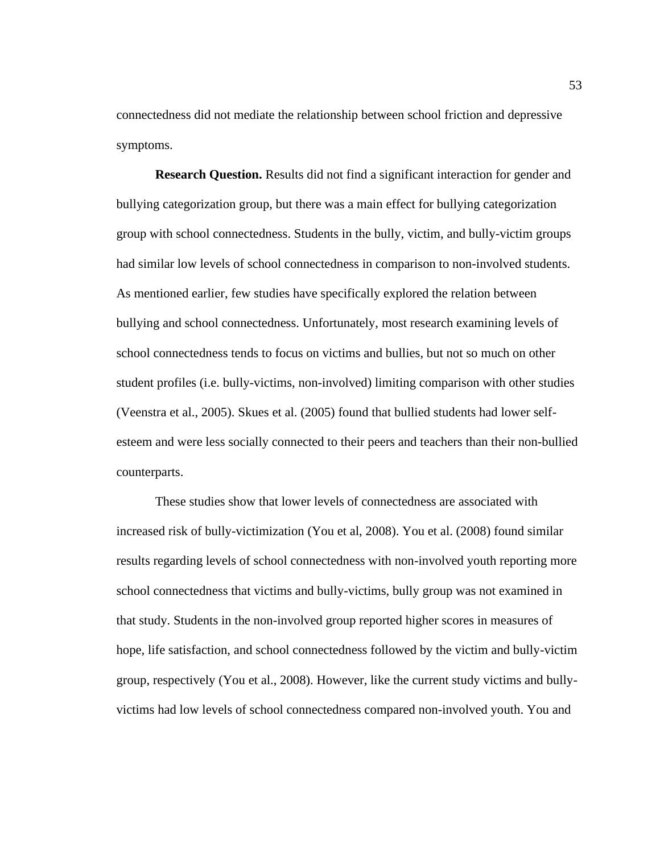connectedness did not mediate the relationship between school friction and depressive symptoms.

**Research Question.** Results did not find a significant interaction for gender and bullying categorization group, but there was a main effect for bullying categorization group with school connectedness. Students in the bully, victim, and bully-victim groups had similar low levels of school connectedness in comparison to non-involved students. As mentioned earlier, few studies have specifically explored the relation between bullying and school connectedness. Unfortunately, most research examining levels of school connectedness tends to focus on victims and bullies, but not so much on other student profiles (i.e. bully-victims, non-involved) limiting comparison with other studies (Veenstra et al., 2005). Skues et al. (2005) found that bullied students had lower selfesteem and were less socially connected to their peers and teachers than their non-bullied counterparts.

These studies show that lower levels of connectedness are associated with increased risk of bully-victimization (You et al, 2008). You et al. (2008) found similar results regarding levels of school connectedness with non-involved youth reporting more school connectedness that victims and bully-victims, bully group was not examined in that study. Students in the non-involved group reported higher scores in measures of hope, life satisfaction, and school connectedness followed by the victim and bully-victim group, respectively (You et al., 2008). However, like the current study victims and bullyvictims had low levels of school connectedness compared non-involved youth. You and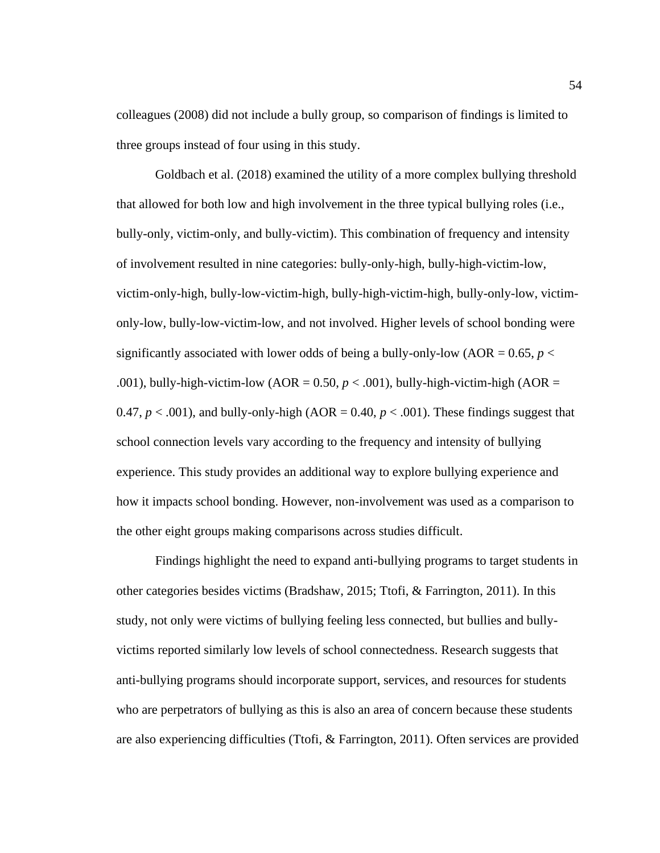colleagues (2008) did not include a bully group, so comparison of findings is limited to three groups instead of four using in this study.

Goldbach et al. (2018) examined the utility of a more complex bullying threshold that allowed for both low and high involvement in the three typical bullying roles (i.e., bully-only, victim-only, and bully-victim). This combination of frequency and intensity of involvement resulted in nine categories: bully-only-high, bully-high-victim-low, victim-only-high, bully-low-victim-high, bully-high-victim-high, bully-only-low, victimonly-low, bully-low-victim-low, and not involved. Higher levels of school bonding were significantly associated with lower odds of being a bully-only-low (AOR  $= 0.65$ ,  $p <$ .001), bully-high-victim-low (AOR =  $0.50, p < .001$ ), bully-high-victim-high (AOR = 0.47,  $p < .001$ ), and bully-only-high (AOR = 0.40,  $p < .001$ ). These findings suggest that school connection levels vary according to the frequency and intensity of bullying experience. This study provides an additional way to explore bullying experience and how it impacts school bonding. However, non-involvement was used as a comparison to the other eight groups making comparisons across studies difficult.

Findings highlight the need to expand anti-bullying programs to target students in other categories besides victims (Bradshaw, 2015; Ttofi, & Farrington, 2011). In this study, not only were victims of bullying feeling less connected, but bullies and bullyvictims reported similarly low levels of school connectedness. Research suggests that anti-bullying programs should incorporate support, services, and resources for students who are perpetrators of bullying as this is also an area of concern because these students are also experiencing difficulties (Ttofi, & Farrington, 2011). Often services are provided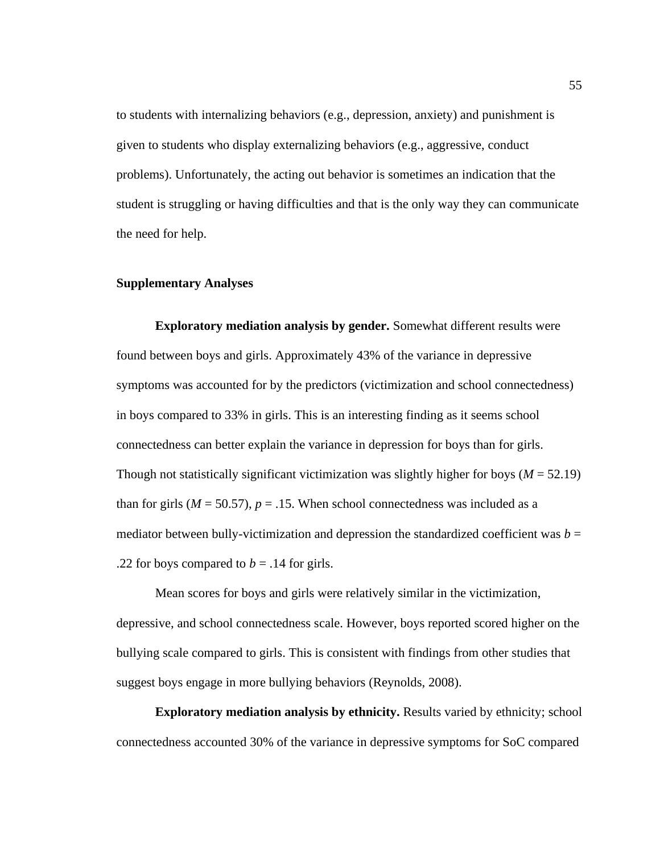to students with internalizing behaviors (e.g., depression, anxiety) and punishment is given to students who display externalizing behaviors (e.g., aggressive, conduct problems). Unfortunately, the acting out behavior is sometimes an indication that the student is struggling or having difficulties and that is the only way they can communicate the need for help.

### **Supplementary Analyses**

**Exploratory mediation analysis by gender.** Somewhat different results were found between boys and girls. Approximately 43% of the variance in depressive symptoms was accounted for by the predictors (victimization and school connectedness) in boys compared to 33% in girls. This is an interesting finding as it seems school connectedness can better explain the variance in depression for boys than for girls. Though not statistically significant victimization was slightly higher for boys  $(M = 52.19)$ than for girls ( $M = 50.57$ ),  $p = .15$ . When school connectedness was included as a mediator between bully-victimization and depression the standardized coefficient was  $b =$ .22 for boys compared to  $b = .14$  for girls.

Mean scores for boys and girls were relatively similar in the victimization, depressive, and school connectedness scale. However, boys reported scored higher on the bullying scale compared to girls. This is consistent with findings from other studies that suggest boys engage in more bullying behaviors (Reynolds, 2008).

**Exploratory mediation analysis by ethnicity.** Results varied by ethnicity; school connectedness accounted 30% of the variance in depressive symptoms for SoC compared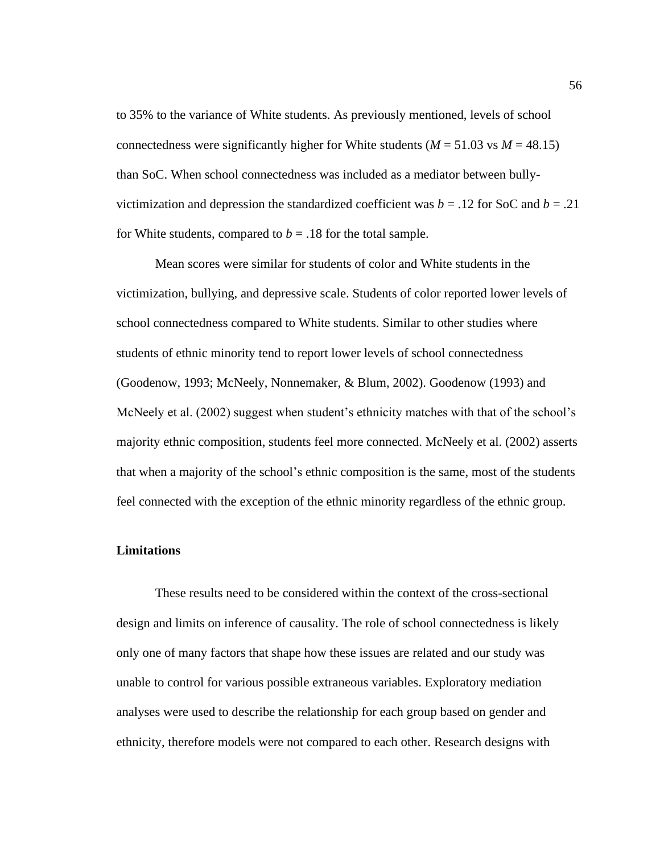to 35% to the variance of White students. As previously mentioned, levels of school connectedness were significantly higher for White students ( $M = 51.03$  vs  $M = 48.15$ ) than SoC. When school connectedness was included as a mediator between bullyvictimization and depression the standardized coefficient was  $b = .12$  for SoC and  $b = .21$ for White students, compared to  $b = .18$  for the total sample.

Mean scores were similar for students of color and White students in the victimization, bullying, and depressive scale. Students of color reported lower levels of school connectedness compared to White students. Similar to other studies where students of ethnic minority tend to report lower levels of school connectedness (Goodenow, 1993; McNeely, Nonnemaker, & Blum, 2002). Goodenow (1993) and McNeely et al. (2002) suggest when student's ethnicity matches with that of the school's majority ethnic composition, students feel more connected. McNeely et al. (2002) asserts that when a majority of the school's ethnic composition is the same, most of the students feel connected with the exception of the ethnic minority regardless of the ethnic group.

### **Limitations**

These results need to be considered within the context of the cross-sectional design and limits on inference of causality. The role of school connectedness is likely only one of many factors that shape how these issues are related and our study was unable to control for various possible extraneous variables. Exploratory mediation analyses were used to describe the relationship for each group based on gender and ethnicity, therefore models were not compared to each other. Research designs with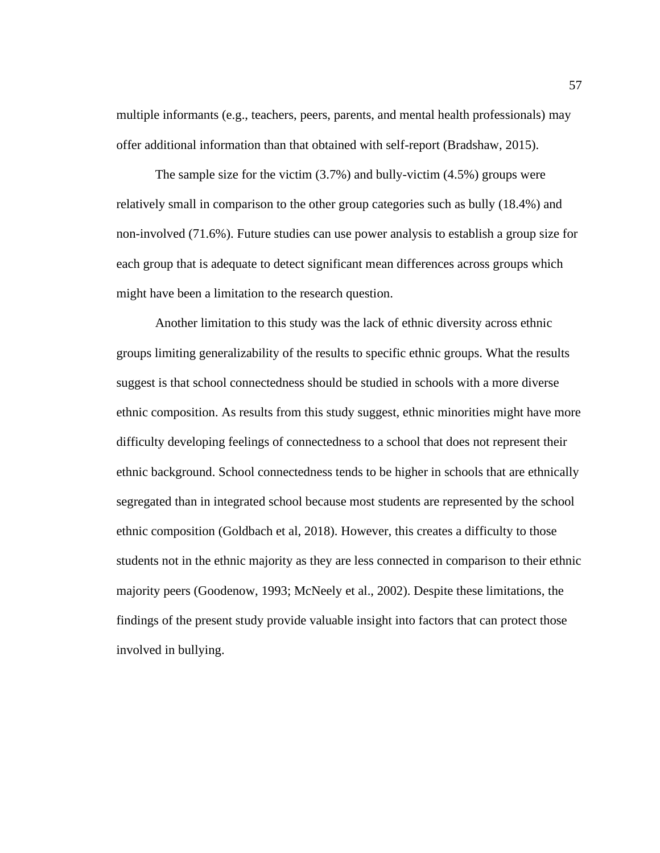multiple informants (e.g., teachers, peers, parents, and mental health professionals) may offer additional information than that obtained with self-report (Bradshaw, 2015).

The sample size for the victim (3.7%) and bully-victim (4.5%) groups were relatively small in comparison to the other group categories such as bully (18.4%) and non-involved (71.6%). Future studies can use power analysis to establish a group size for each group that is adequate to detect significant mean differences across groups which might have been a limitation to the research question.

Another limitation to this study was the lack of ethnic diversity across ethnic groups limiting generalizability of the results to specific ethnic groups. What the results suggest is that school connectedness should be studied in schools with a more diverse ethnic composition. As results from this study suggest, ethnic minorities might have more difficulty developing feelings of connectedness to a school that does not represent their ethnic background. School connectedness tends to be higher in schools that are ethnically segregated than in integrated school because most students are represented by the school ethnic composition (Goldbach et al, 2018). However, this creates a difficulty to those students not in the ethnic majority as they are less connected in comparison to their ethnic majority peers (Goodenow, 1993; McNeely et al., 2002). Despite these limitations, the findings of the present study provide valuable insight into factors that can protect those involved in bullying.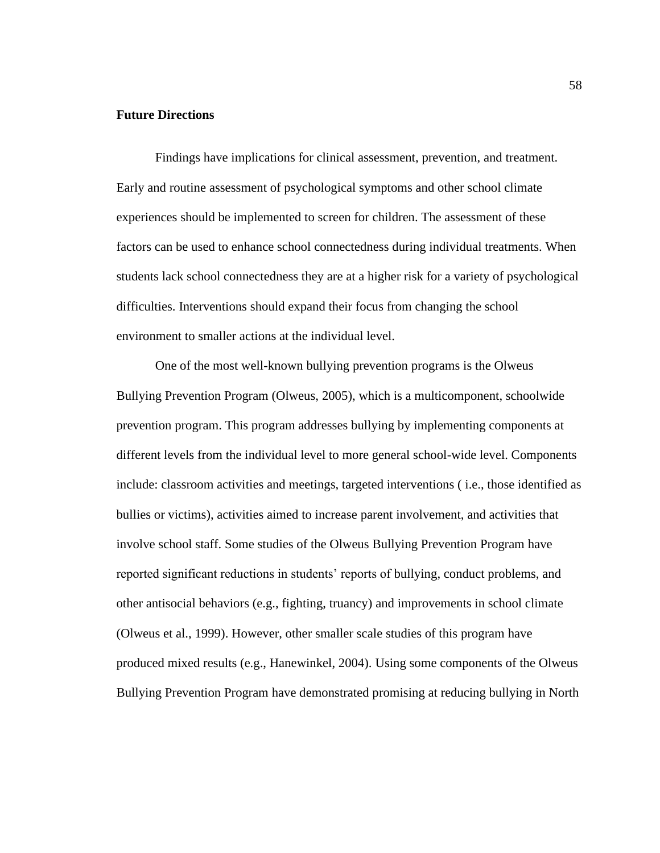### **Future Directions**

Findings have implications for clinical assessment, prevention, and treatment. Early and routine assessment of psychological symptoms and other school climate experiences should be implemented to screen for children. The assessment of these factors can be used to enhance school connectedness during individual treatments. When students lack school connectedness they are at a higher risk for a variety of psychological difficulties. Interventions should expand their focus from changing the school environment to smaller actions at the individual level.

One of the most well-known bullying prevention programs is the Olweus Bullying Prevention Program (Olweus, 2005), which is a multicomponent, schoolwide prevention program. This program addresses bullying by implementing components at different levels from the individual level to more general school-wide level. Components include: classroom activities and meetings, targeted interventions ( i.e., those identified as bullies or victims), activities aimed to increase parent involvement, and activities that involve school staff. Some studies of the Olweus Bullying Prevention Program have reported significant reductions in students' reports of bullying, conduct problems, and other antisocial behaviors (e.g., fighting, truancy) and improvements in school climate (Olweus et al., 1999). However, other smaller scale studies of this program have produced mixed results (e.g., Hanewinkel, 2004). Using some components of the Olweus Bullying Prevention Program have demonstrated promising at reducing bullying in North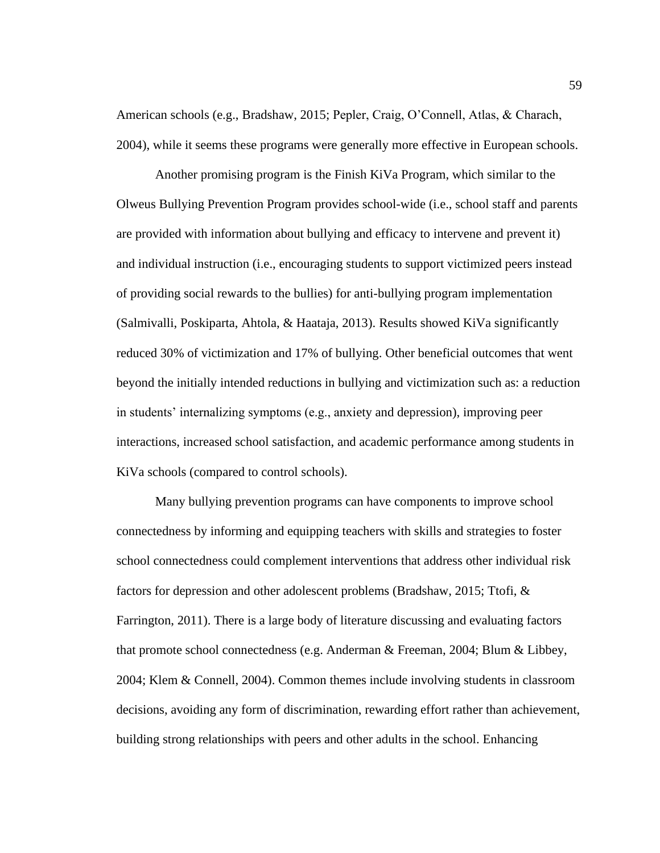American schools (e.g., Bradshaw, 2015; Pepler, Craig, O'Connell, Atlas, & Charach, 2004), while it seems these programs were generally more effective in European schools.

Another promising program is the Finish KiVa Program, which similar to the Olweus Bullying Prevention Program provides school-wide (i.e., school staff and parents are provided with information about bullying and efficacy to intervene and prevent it) and individual instruction (i.e., encouraging students to support victimized peers instead of providing social rewards to the bullies) for anti-bullying program implementation (Salmivalli, Poskiparta, Ahtola, & Haataja, 2013). Results showed KiVa significantly reduced 30% of victimization and 17% of bullying. Other beneficial outcomes that went beyond the initially intended reductions in bullying and victimization such as: a reduction in students' internalizing symptoms (e.g., anxiety and depression), improving peer interactions, increased school satisfaction, and academic performance among students in KiVa schools (compared to control schools).

Many bullying prevention programs can have components to improve school connectedness by informing and equipping teachers with skills and strategies to foster school connectedness could complement interventions that address other individual risk factors for depression and other adolescent problems (Bradshaw, 2015; Ttofi, & Farrington, 2011). There is a large body of literature discussing and evaluating factors that promote school connectedness (e.g. Anderman & Freeman, 2004; Blum & Libbey, 2004; Klem & Connell, 2004). Common themes include involving students in classroom decisions, avoiding any form of discrimination, rewarding effort rather than achievement, building strong relationships with peers and other adults in the school. Enhancing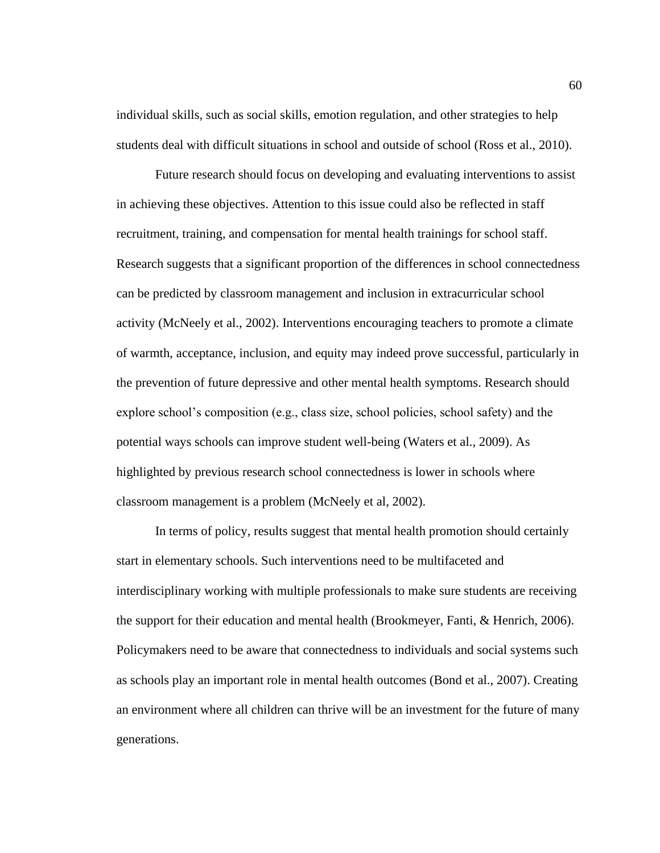individual skills, such as social skills, emotion regulation, and other strategies to help students deal with difficult situations in school and outside of school (Ross et al., 2010).

Future research should focus on developing and evaluating interventions to assist in achieving these objectives. Attention to this issue could also be reflected in staff recruitment, training, and compensation for mental health trainings for school staff. Research suggests that a significant proportion of the differences in school connectedness can be predicted by classroom management and inclusion in extracurricular school activity (McNeely et al., 2002). Interventions encouraging teachers to promote a climate of warmth, acceptance, inclusion, and equity may indeed prove successful, particularly in the prevention of future depressive and other mental health symptoms. Research should explore school's composition (e.g., class size, school policies, school safety) and the potential ways schools can improve student well-being (Waters et al., 2009). As highlighted by previous research school connectedness is lower in schools where classroom management is a problem (McNeely et al, 2002).

In terms of policy, results suggest that mental health promotion should certainly start in elementary schools. Such interventions need to be multifaceted and interdisciplinary working with multiple professionals to make sure students are receiving the support for their education and mental health (Brookmeyer, Fanti, & Henrich, 2006). Policymakers need to be aware that connectedness to individuals and social systems such as schools play an important role in mental health outcomes (Bond et al., 2007). Creating an environment where all children can thrive will be an investment for the future of many generations.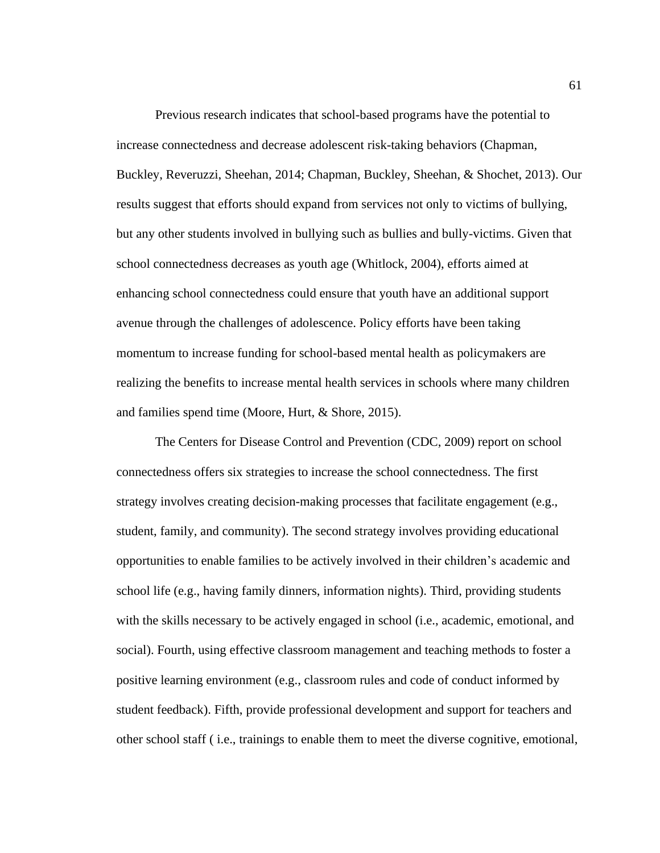Previous research indicates that school-based programs have the potential to increase connectedness and decrease adolescent risk-taking behaviors (Chapman, Buckley, Reveruzzi, Sheehan, 2014; Chapman, Buckley, Sheehan, & Shochet, 2013). Our results suggest that efforts should expand from services not only to victims of bullying, but any other students involved in bullying such as bullies and bully-victims. Given that school connectedness decreases as youth age (Whitlock, 2004), efforts aimed at enhancing school connectedness could ensure that youth have an additional support avenue through the challenges of adolescence. Policy efforts have been taking momentum to increase funding for school-based mental health as policymakers are realizing the benefits to increase mental health services in schools where many children and families spend time (Moore, Hurt, & Shore, 2015).

The Centers for Disease Control and Prevention (CDC, 2009) report on school connectedness offers six strategies to increase the school connectedness. The first strategy involves creating decision-making processes that facilitate engagement (e.g., student, family, and community). The second strategy involves providing educational opportunities to enable families to be actively involved in their children's academic and school life (e.g., having family dinners, information nights). Third, providing students with the skills necessary to be actively engaged in school (i.e., academic, emotional, and social). Fourth, using effective classroom management and teaching methods to foster a positive learning environment (e.g., classroom rules and code of conduct informed by student feedback). Fifth, provide professional development and support for teachers and other school staff ( i.e., trainings to enable them to meet the diverse cognitive, emotional,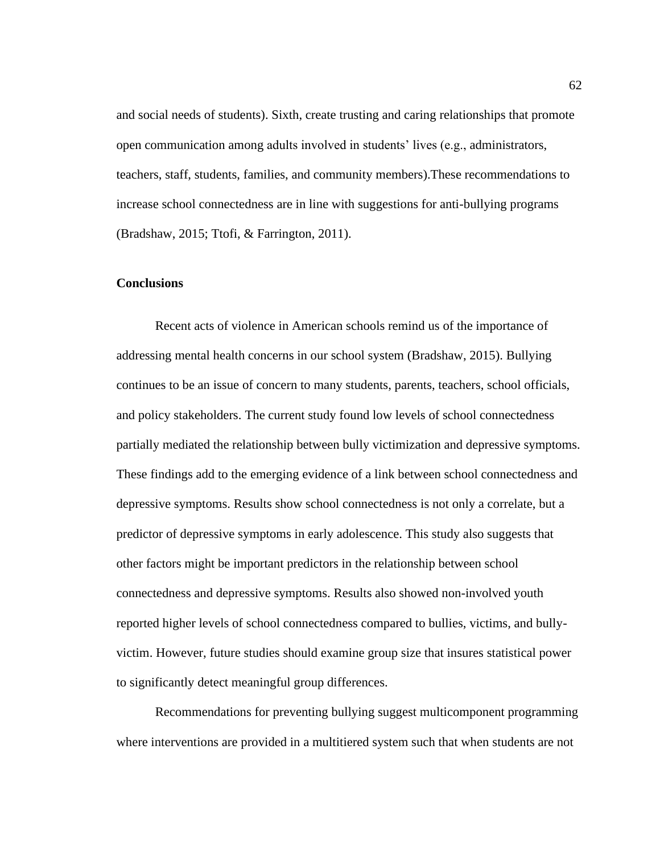and social needs of students). Sixth, create trusting and caring relationships that promote open communication among adults involved in students' lives (e.g., administrators, teachers, staff, students, families, and community members).These recommendations to increase school connectedness are in line with suggestions for anti-bullying programs (Bradshaw, 2015; Ttofi, & Farrington, 2011).

### **Conclusions**

Recent acts of violence in American schools remind us of the importance of addressing mental health concerns in our school system (Bradshaw, 2015). Bullying continues to be an issue of concern to many students, parents, teachers, school officials, and policy stakeholders. The current study found low levels of school connectedness partially mediated the relationship between bully victimization and depressive symptoms. These findings add to the emerging evidence of a link between school connectedness and depressive symptoms. Results show school connectedness is not only a correlate, but a predictor of depressive symptoms in early adolescence. This study also suggests that other factors might be important predictors in the relationship between school connectedness and depressive symptoms. Results also showed non-involved youth reported higher levels of school connectedness compared to bullies, victims, and bullyvictim. However, future studies should examine group size that insures statistical power to significantly detect meaningful group differences.

Recommendations for preventing bullying suggest multicomponent programming where interventions are provided in a multitiered system such that when students are not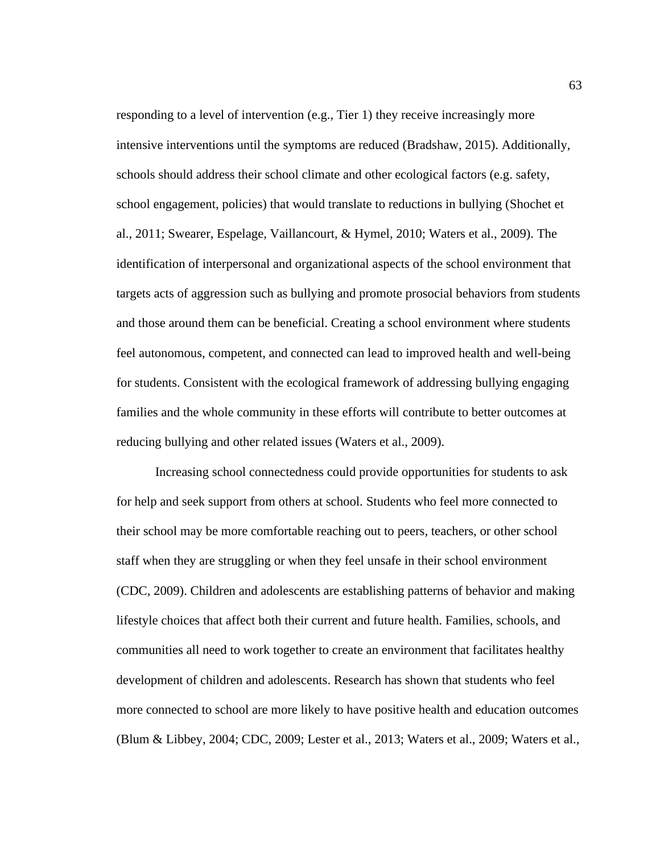responding to a level of intervention (e.g., Tier 1) they receive increasingly more intensive interventions until the symptoms are reduced (Bradshaw, 2015). Additionally, schools should address their school climate and other ecological factors (e.g. safety, school engagement, policies) that would translate to reductions in bullying (Shochet et al., 2011; Swearer, Espelage, Vaillancourt, & Hymel, 2010; Waters et al., 2009). The identification of interpersonal and organizational aspects of the school environment that targets acts of aggression such as bullying and promote prosocial behaviors from students and those around them can be beneficial. Creating a school environment where students feel autonomous, competent, and connected can lead to improved health and well-being for students. Consistent with the ecological framework of addressing bullying engaging families and the whole community in these efforts will contribute to better outcomes at reducing bullying and other related issues (Waters et al., 2009).

Increasing school connectedness could provide opportunities for students to ask for help and seek support from others at school. Students who feel more connected to their school may be more comfortable reaching out to peers, teachers, or other school staff when they are struggling or when they feel unsafe in their school environment (CDC, 2009). Children and adolescents are establishing patterns of behavior and making lifestyle choices that affect both their current and future health. Families, schools, and communities all need to work together to create an environment that facilitates healthy development of children and adolescents. Research has shown that students who feel more connected to school are more likely to have positive health and education outcomes (Blum & Libbey, 2004; CDC, 2009; Lester et al., 2013; Waters et al., 2009; Waters et al.,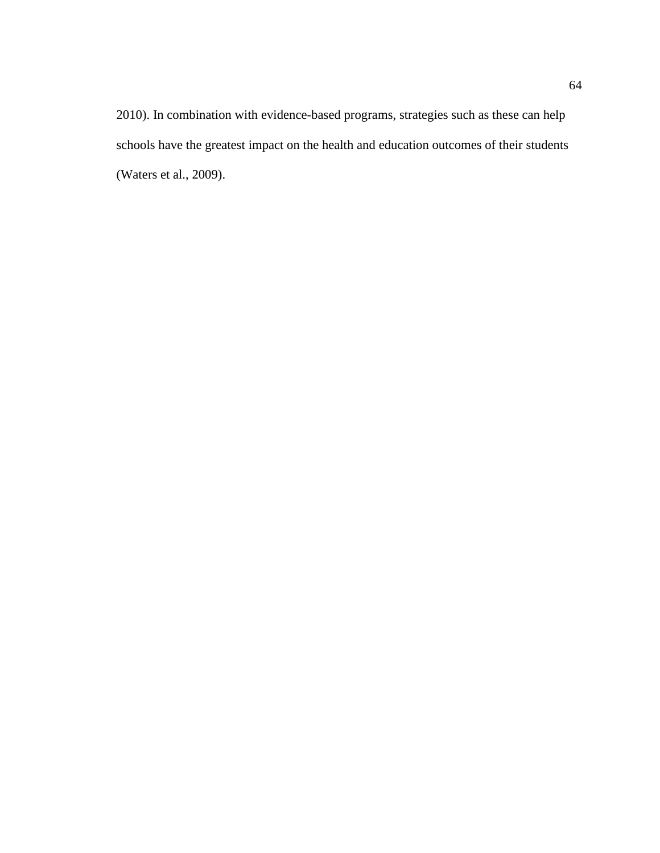2010). In combination with evidence-based programs, strategies such as these can help schools have the greatest impact on the health and education outcomes of their students (Waters et al., 2009).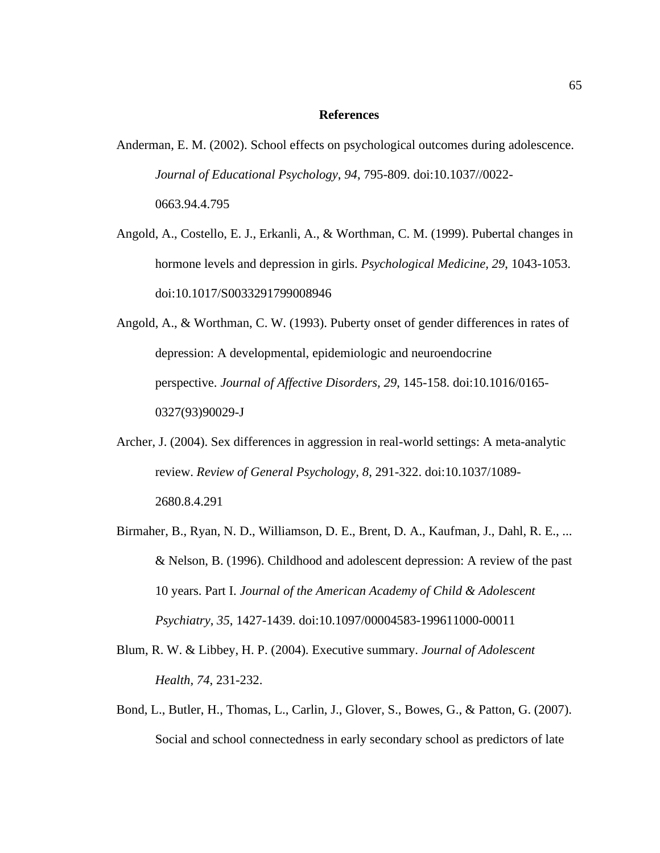#### **References**

- Anderman, E. M. (2002). School effects on psychological outcomes during adolescence. *Journal of Educational Psychology*, *94*, 795-809. doi:10.1037//0022- 0663.94.4.795
- Angold, A., Costello, E. J., Erkanli, A., & Worthman, C. M. (1999). Pubertal changes in hormone levels and depression in girls. *Psychological Medicine, 29*, 1043-1053. doi:10.1017/S0033291799008946
- Angold, A., & Worthman, C. W. (1993). Puberty onset of gender differences in rates of depression: A developmental, epidemiologic and neuroendocrine perspective. *Journal of Affective Disorders, 29*, 145-158. doi:10.1016/0165- 0327(93)90029-J
- Archer, J. (2004). Sex differences in aggression in real-world settings: A meta-analytic review. *Review of General Psychology, 8*, 291-322. doi:10.1037/1089- 2680.8.4.291
- Birmaher, B., Ryan, N. D., Williamson, D. E., Brent, D. A., Kaufman, J., Dahl, R. E., ... & Nelson, B. (1996). Childhood and adolescent depression: A review of the past 10 years. Part I. *Journal of the American Academy of Child & Adolescent Psychiatry*, *35*, 1427-1439. doi:10.1097/00004583-199611000-00011
- Blum, R. W. & Libbey, H. P. (2004). Executive summary. *Journal of Adolescent Health, 74*, 231-232.
- Bond, L., Butler, H., Thomas, L., Carlin, J., Glover, S., Bowes, G., & Patton, G. (2007). Social and school connectedness in early secondary school as predictors of late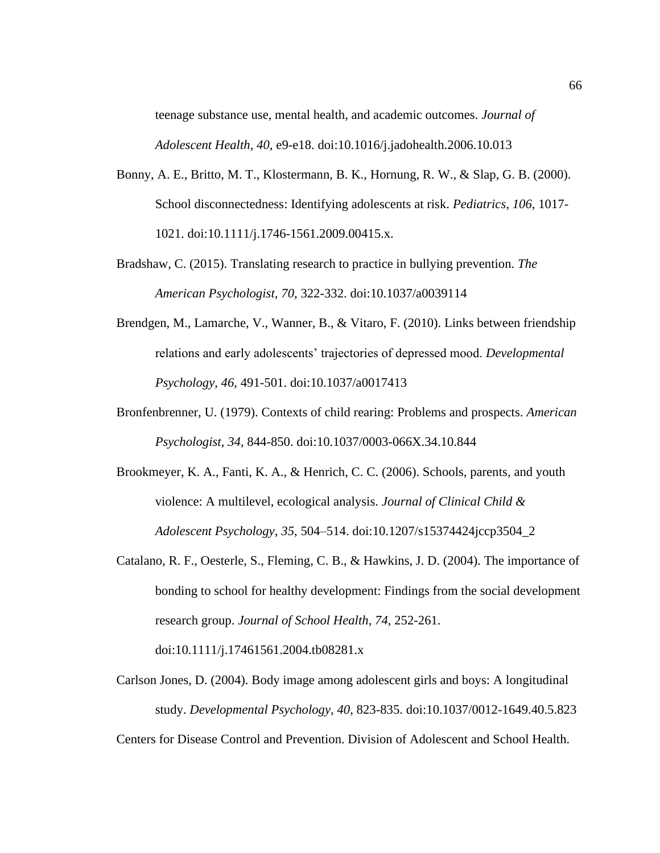teenage substance use, mental health, and academic outcomes. *Journal of Adolescent Health, 40*, e9-e18. doi:10.1016/j.jadohealth.2006.10.013

- Bonny, A. E., Britto, M. T., Klostermann, B. K., Hornung, R. W., & Slap, G. B. (2000). School disconnectedness: Identifying adolescents at risk. *Pediatrics*, *106*, 1017- 1021. doi:10.1111/j.1746-1561.2009.00415.x.
- Bradshaw, C. (2015). Translating research to practice in bullying prevention. *The American Psychologist, 70*, 322-332. doi:10.1037/a0039114
- Brendgen, M., Lamarche, V., Wanner, B., & Vitaro, F. (2010). Links between friendship relations and early adolescents' trajectories of depressed mood. *Developmental Psychology, 46*, 491-501. doi:10.1037/a0017413
- Bronfenbrenner, U. (1979). Contexts of child rearing: Problems and prospects. *American Psychologist*, *34*, 844-850. doi:10.1037/0003-066X.34.10.844
- Brookmeyer, K. A., Fanti, K. A., & Henrich, C. C. (2006). Schools, parents, and youth violence: A multilevel, ecological analysis. *Journal of Clinical Child & Adolescent Psychology*, *35*, 504–514. doi:10.1207/s15374424jccp3504\_2
- Catalano, R. F., Oesterle, S., Fleming, C. B., & Hawkins, J. D. (2004). The importance of bonding to school for healthy development: Findings from the social development research group. *Journal of School Health*, *74*, 252-261.

doi:10.1111/j.17461561.2004.tb08281.x

Carlson Jones, D. (2004). Body image among adolescent girls and boys: A longitudinal study. *Developmental Psychology, 40*, 823-835. doi:10.1037/0012-1649.40.5.823

Centers for Disease Control and Prevention. Division of Adolescent and School Health.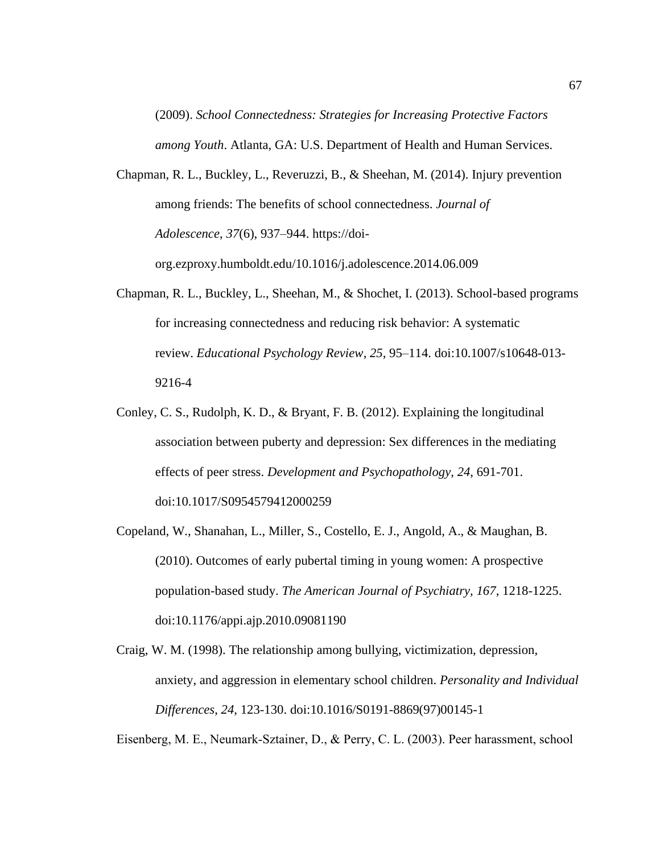(2009). *School Connectedness: Strategies for Increasing Protective Factors among Youth*. Atlanta, GA: U.S. Department of Health and Human Services.

- Chapman, R. L., Buckley, L., Reveruzzi, B., & Sheehan, M. (2014). Injury prevention among friends: The benefits of school connectedness. *Journal of Adolescence*, *37*(6), 937–944. https://doiorg.ezproxy.humboldt.edu/10.1016/j.adolescence.2014.06.009
- Chapman, R. L., Buckley, L., Sheehan, M., & Shochet, I. (2013). School-based programs for increasing connectedness and reducing risk behavior: A systematic review. *Educational Psychology Review*, *25*, 95–114. doi:10.1007/s10648-013- 9216-4
- Conley, C. S., Rudolph, K. D., & Bryant, F. B. (2012). Explaining the longitudinal association between puberty and depression: Sex differences in the mediating effects of peer stress. *Development and Psychopathology, 24*, 691-701. doi:10.1017/S0954579412000259
- Copeland, W., Shanahan, L., Miller, S., Costello, E. J., Angold, A., & Maughan, B. (2010). Outcomes of early pubertal timing in young women: A prospective population-based study. *The American Journal of Psychiatry, 167*, 1218-1225. doi:10.1176/appi.ajp.2010.09081190
- Craig, W. M. (1998). The relationship among bullying, victimization, depression, anxiety, and aggression in elementary school children. *Personality and Individual Differences*, *24*, 123-130. doi:10.1016/S0191-8869(97)00145-1

Eisenberg, M. E., Neumark‐Sztainer, D., & Perry, C. L. (2003). Peer harassment, school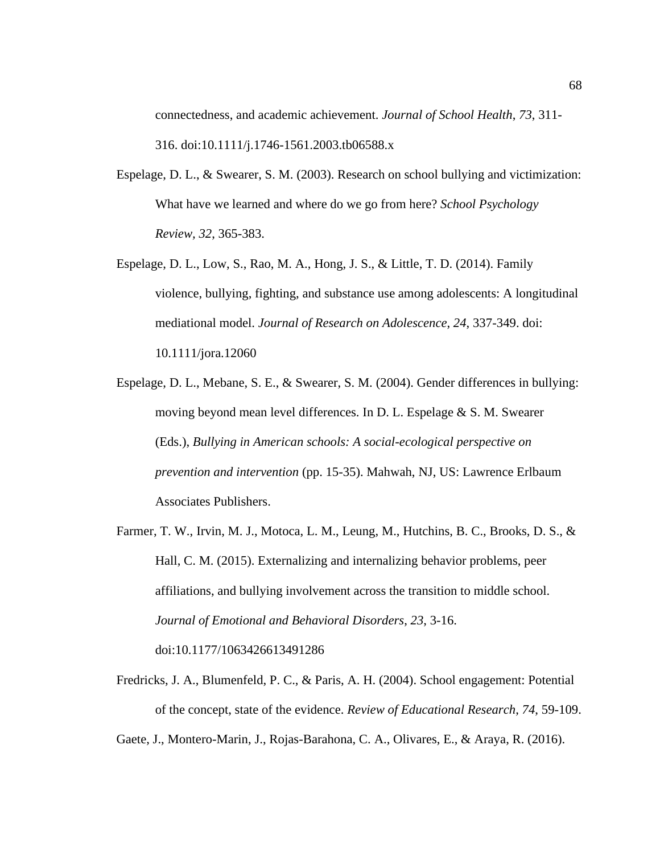connectedness, and academic achievement. *Journal of School Health*, *73*, 311- 316. doi:10.1111/j.1746-1561.2003.tb06588.x

- Espelage, D. L., & Swearer, S. M. (2003). Research on school bullying and victimization: What have we learned and where do we go from here? *School Psychology Review, 32*, 365-383.
- Espelage, D. L., Low, S., Rao, M. A., Hong, J. S., & Little, T. D. (2014). Family violence, bullying, fighting, and substance use among adolescents: A longitudinal mediational model. *Journal of Research on Adolescence*, *24*, 337-349. doi: 10.1111/jora.12060
- Espelage, D. L., Mebane, S. E., & Swearer, S. M. (2004). Gender differences in bullying: moving beyond mean level differences. In D. L. Espelage & S. M. Swearer (Eds.), *Bullying in American schools: A social-ecological perspective on prevention and intervention* (pp. 15-35). Mahwah, NJ, US: Lawrence Erlbaum Associates Publishers.
- Farmer, T. W., Irvin, M. J., Motoca, L. M., Leung, M., Hutchins, B. C., Brooks, D. S., & Hall, C. M. (2015). Externalizing and internalizing behavior problems, peer affiliations, and bullying involvement across the transition to middle school. *Journal of Emotional and Behavioral Disorders*, *23*, 3-16. doi:10.1177/1063426613491286
- Fredricks, J. A., Blumenfeld, P. C., & Paris, A. H. (2004). School engagement: Potential of the concept, state of the evidence. *Review of Educational Research*, *74*, 59-109.

Gaete, J., Montero-Marin, J., Rojas-Barahona, C. A., Olivares, E., & Araya, R. (2016).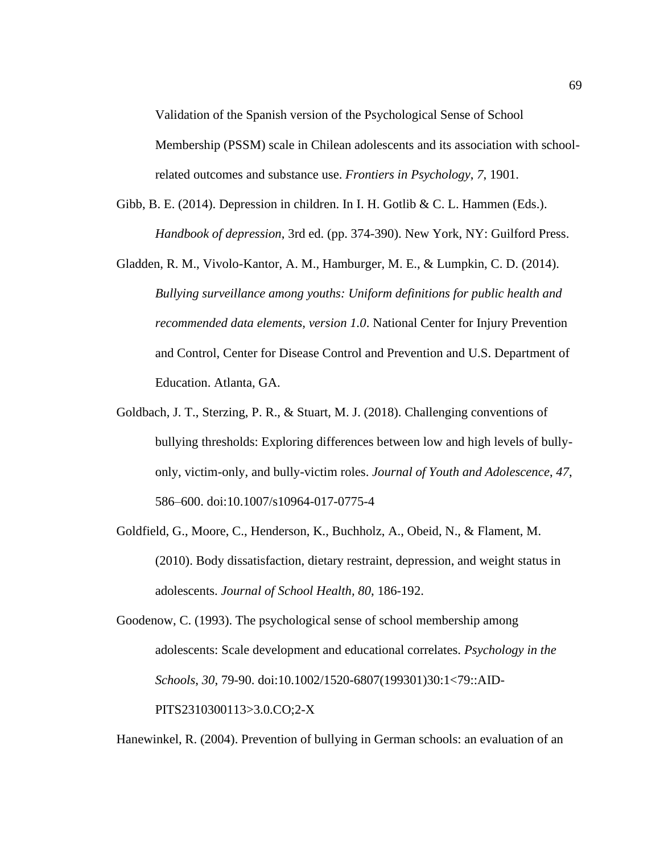Validation of the Spanish version of the Psychological Sense of School Membership (PSSM) scale in Chilean adolescents and its association with schoolrelated outcomes and substance use. *Frontiers in Psychology*, *7*, 1901.

- Gibb, B. E. (2014). Depression in children. In I. H. Gotlib & C. L. Hammen (Eds.). *Handbook of depression*, 3rd ed. (pp. 374-390). New York, NY: Guilford Press.
- Gladden, R. M., Vivolo-Kantor, A. M., Hamburger, M. E., & Lumpkin, C. D. (2014). *Bullying surveillance among youths: Uniform definitions for public health and recommended data elements, version 1.0*. National Center for Injury Prevention and Control, Center for Disease Control and Prevention and U.S. Department of Education. Atlanta, GA.
- Goldbach, J. T., Sterzing, P. R., & Stuart, M. J. (2018). Challenging conventions of bullying thresholds: Exploring differences between low and high levels of bullyonly, victim-only, and bully-victim roles. *Journal of Youth and Adolescence*, *47*, 586–600. doi:10.1007/s10964-017-0775-4
- Goldfield, G., Moore, C., Henderson, K., Buchholz, A., Obeid, N., & Flament, M. (2010). Body dissatisfaction, dietary restraint, depression, and weight status in adolescents. *Journal of School Health, 80*, 186-192.

Goodenow, C. (1993). The psychological sense of school membership among adolescents: Scale development and educational correlates. *Psychology in the Schools*, *30*, 79-90. doi:10.1002/1520-6807(199301)30:1<79::AID-PITS2310300113>3.0.CO;2-X

Hanewinkel, R. (2004). Prevention of bullying in German schools: an evaluation of an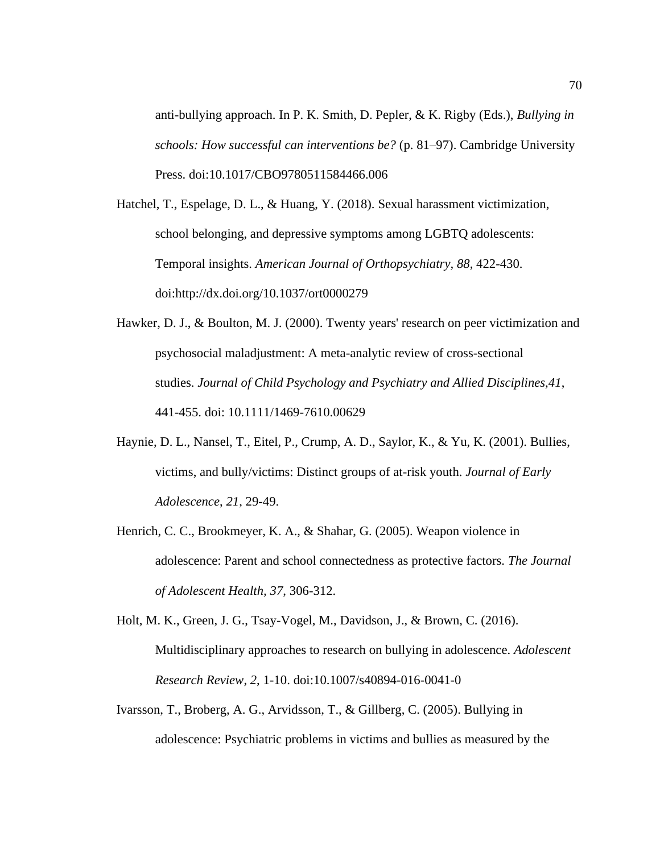anti-bullying approach. In P. K. Smith, D. Pepler, & K. Rigby (Eds.), *Bullying in schools: How successful can interventions be?* (p. 81–97). Cambridge University Press. doi:10.1017/CBO9780511584466.006

Hatchel, T., Espelage, D. L., & Huang, Y. (2018). Sexual harassment victimization, school belonging, and depressive symptoms among LGBTQ adolescents: Temporal insights. *American Journal of Orthopsychiatry, 88*, 422-430. doi:http://dx.doi.org/10.1037/ort0000279

- Hawker, D. J., & Boulton, M. J. (2000). Twenty years' research on peer victimization and psychosocial maladjustment: A meta-analytic review of cross-sectional studies. *Journal of Child Psychology and Psychiatry and Allied Disciplines,41*, 441-455. doi: 10.1111/1469-7610.00629
- Haynie, D. L., Nansel, T., Eitel, P., Crump, A. D., Saylor, K., & Yu, K. (2001). Bullies, victims, and bully/victims: Distinct groups of at-risk youth. *Journal of Early Adolescence*, *21*, 29-49.
- Henrich, C. C., Brookmeyer, K. A., & Shahar, G. (2005). Weapon violence in adolescence: Parent and school connectedness as protective factors. *The Journal of Adolescent Health, 37*, 306-312.

Holt, M. K., Green, J. G., Tsay-Vogel, M., Davidson, J., & Brown, C. (2016). Multidisciplinary approaches to research on bullying in adolescence. *Adolescent Research Review*, *2*, 1-10. doi:10.1007/s40894-016-0041-0

Ivarsson, T., Broberg, A. G., Arvidsson, T., & Gillberg, C. (2005). Bullying in adolescence: Psychiatric problems in victims and bullies as measured by the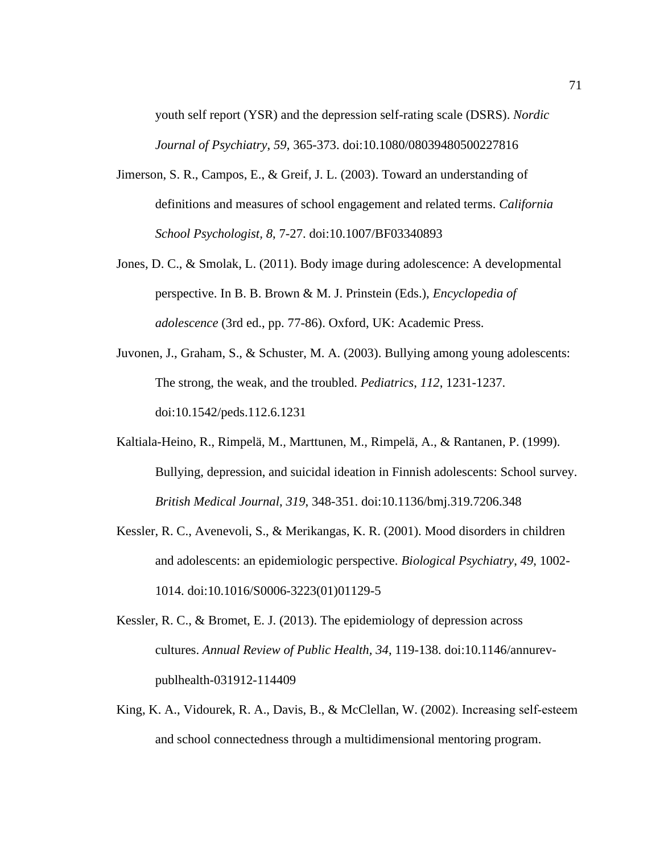youth self report (YSR) and the depression self-rating scale (DSRS). *Nordic Journal of Psychiatry*, *59*, 365-373. doi:10.1080/08039480500227816

- Jimerson, S. R., Campos, E., & Greif, J. L. (2003). Toward an understanding of definitions and measures of school engagement and related terms. *California School Psychologist, 8*, 7-27. doi:10.1007/BF03340893
- Jones, D. C., & Smolak, L. (2011). Body image during adolescence: A developmental perspective. In B. B. Brown & M. J. Prinstein (Eds.), *Encyclopedia of adolescence* (3rd ed., pp. 77-86). Oxford, UK: Academic Press.
- Juvonen, J., Graham, S., & Schuster, M. A. (2003). Bullying among young adolescents: The strong, the weak, and the troubled. *Pediatrics*, *112*, 1231-1237. doi:10.1542/peds.112.6.1231
- Kaltiala-Heino, R., Rimpelä, M., Marttunen, M., Rimpelä, A., & Rantanen, P. (1999). Bullying, depression, and suicidal ideation in Finnish adolescents: School survey. *British Medical Journal*, *319*, 348-351. doi:10.1136/bmj.319.7206.348
- Kessler, R. C., Avenevoli, S., & Merikangas, K. R. (2001). Mood disorders in children and adolescents: an epidemiologic perspective. *Biological Psychiatry*, *49*, 1002- 1014. doi:10.1016/S0006-3223(01)01129-5
- Kessler, R. C., & Bromet, E. J. (2013). The epidemiology of depression across cultures. *Annual Review of Public Health, 34*, 119-138. doi:10.1146/annurevpublhealth-031912-114409
- King, K. A., Vidourek, R. A., Davis, B., & McClellan, W. (2002). Increasing self-esteem and school connectedness through a multidimensional mentoring program.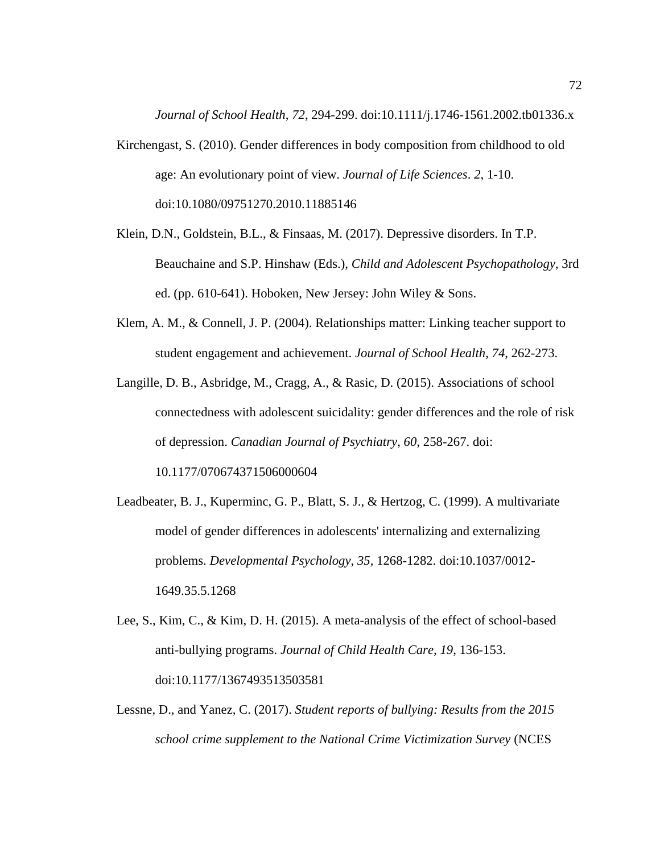*Journal of School Health*, *72*, 294-299. doi:10.1111/j.1746-1561.2002.tb01336.x

- Kirchengast, S. (2010). Gender differences in body composition from childhood to old age: An evolutionary point of view. *Journal of Life Sciences*. *2*, 1-10. doi:10.1080/09751270.2010.11885146
- Klein, D.N., Goldstein, B.L., & Finsaas, M. (2017). Depressive disorders. In T.P. Beauchaine and S.P. Hinshaw (Eds.), *Child and Adolescent Psychopathology*, 3rd ed. (pp. 610-641). Hoboken, New Jersey: John Wiley & Sons.
- Klem, A. M., & Connell, J. P. (2004). Relationships matter: Linking teacher support to student engagement and achievement. *Journal of School Health*, *74*, 262-273.
- Langille, D. B., Asbridge, M., Cragg, A., & Rasic, D. (2015). Associations of school connectedness with adolescent suicidality: gender differences and the role of risk of depression. *Canadian Journal of Psychiatry*, *60*, 258-267. doi: 10.1177/070674371506000604
- Leadbeater, B. J., Kuperminc, G. P., Blatt, S. J., & Hertzog, C. (1999). A multivariate model of gender differences in adolescents' internalizing and externalizing problems. *Developmental Psychology*, *35*, 1268-1282. doi:10.1037/0012- 1649.35.5.1268
- Lee, S., Kim, C., & Kim, D. H. (2015). A meta-analysis of the effect of school-based anti-bullying programs. *Journal of Child Health Care, 19*, 136-153. doi:10.1177/1367493513503581
- Lessne, D., and Yanez, C. (2017). *Student reports of bullying: Results from the 2015 school crime supplement to the National Crime Victimization Survey* (NCES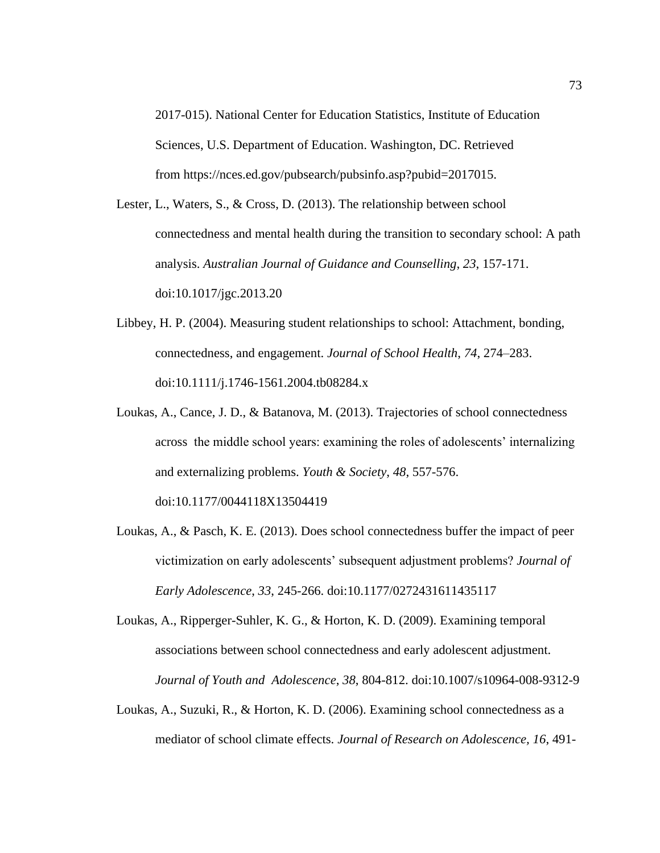2017-015). National Center for Education Statistics, Institute of Education Sciences, U.S. Department of Education. Washington, DC. Retrieved from https://nces.ed.gov/pubsearch/pubsinfo.asp?pubid=2017015.

- Lester, L., Waters, S., & Cross, D. (2013). The relationship between school connectedness and mental health during the transition to secondary school: A path analysis. *Australian Journal of Guidance and Counselling*, *23*, 157-171. doi:10.1017/jgc.2013.20
- Libbey, H. P. (2004). Measuring student relationships to school: Attachment, bonding, connectedness, and engagement. *Journal of School Health*, *74*, 274–283. doi:10.1111/j.1746-1561.2004.tb08284.x
- Loukas, A., Cance, J. D., & Batanova, M. (2013). Trajectories of school connectedness across the middle school years: examining the roles of adolescents' internalizing and externalizing problems. *Youth & Society*, *48*, 557-576. doi:10.1177/0044118X13504419

Loukas, A., & Pasch, K. E. (2013). Does school connectedness buffer the impact of peer

- victimization on early adolescents' subsequent adjustment problems? *Journal of Early Adolescence*, *33*, 245-266. doi:10.1177/0272431611435117
- Loukas, A., Ripperger-Suhler, K. G., & Horton, K. D. (2009). Examining temporal associations between school connectedness and early adolescent adjustment. *Journal of Youth and Adolescence*, *38*, 804-812. doi:10.1007/s10964-008-9312-9
- Loukas, A., Suzuki, R., & Horton, K. D. (2006). Examining school connectedness as a mediator of school climate effects. *Journal of Research on Adolescence, 16*, 491-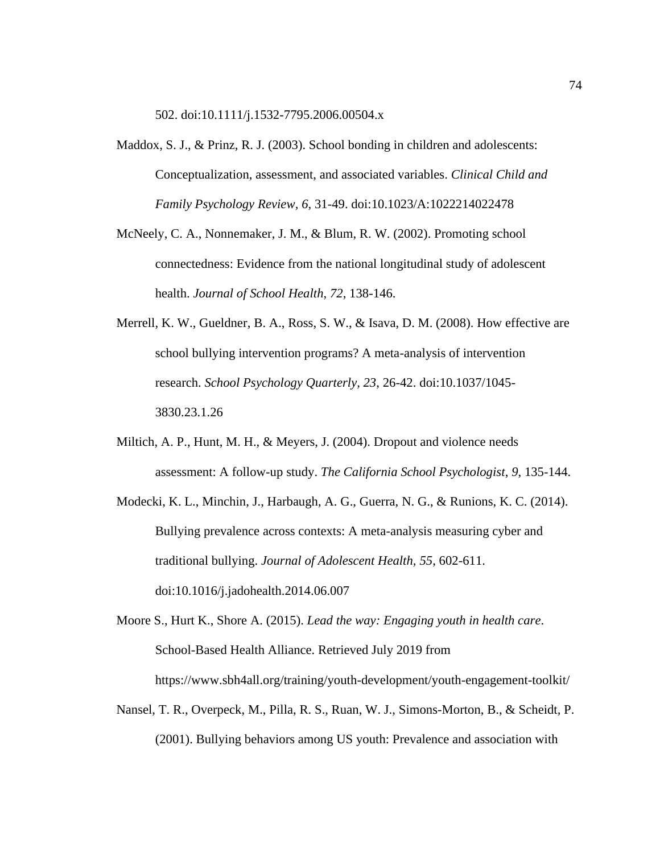502. doi:10.1111/j.1532-7795.2006.00504.x

- Maddox, S. J., & Prinz, R. J. (2003). School bonding in children and adolescents: Conceptualization, assessment, and associated variables. *Clinical Child and Family Psychology Review, 6*, 31-49. doi:10.1023/A:1022214022478
- McNeely, C. A., Nonnemaker, J. M., & Blum, R. W. (2002). Promoting school connectedness: Evidence from the national longitudinal study of adolescent health. *Journal of School Health*, *72*, 138-146.
- Merrell, K. W., Gueldner, B. A., Ross, S. W., & Isava, D. M. (2008). How effective are school bullying intervention programs? A meta-analysis of intervention research. *School Psychology Quarterly, 23*, 26-42. doi:10.1037/1045- 3830.23.1.26
- Miltich, A. P., Hunt, M. H., & Meyers, J. (2004). Dropout and violence needs assessment: A follow-up study. *The California School Psychologist*, *9*, 135-144.
- Modecki, K. L., Minchin, J., Harbaugh, A. G., Guerra, N. G., & Runions, K. C. (2014). Bullying prevalence across contexts: A meta-analysis measuring cyber and traditional bullying. *Journal of Adolescent Health, 55*, 602-611. doi:10.1016/j.jadohealth.2014.06.007

Moore S., Hurt K., Shore A. (2015). *Lead the way: Engaging youth in health care*. School-Based Health Alliance. Retrieved July 2019 from https://www.sbh4all.org/training/youth-development/youth-engagement-toolkit/

Nansel, T. R., Overpeck, M., Pilla, R. S., Ruan, W. J., Simons-Morton, B., & Scheidt, P. (2001). Bullying behaviors among US youth: Prevalence and association with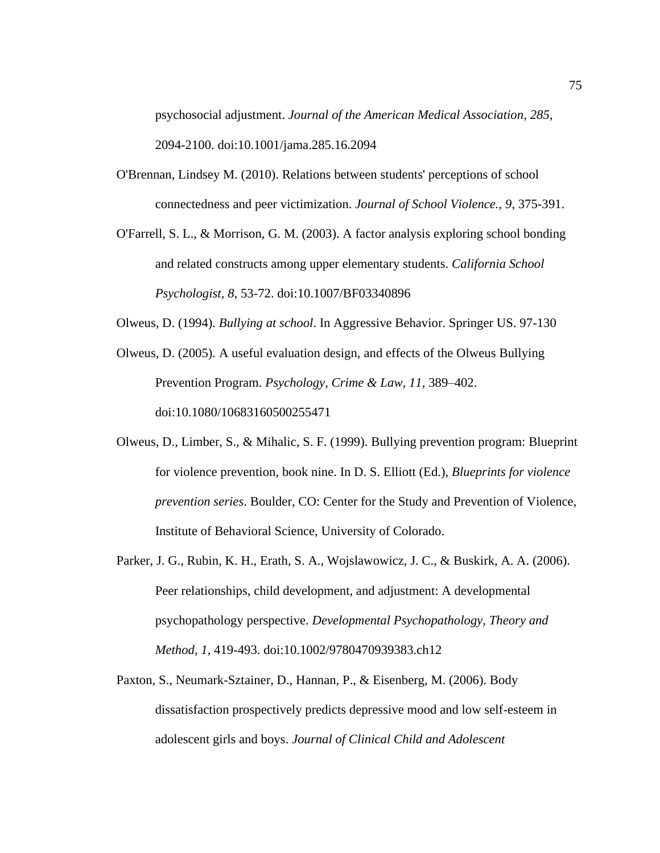psychosocial adjustment. *Journal of the American Medical Association*, *285*, 2094-2100. doi:10.1001/jama.285.16.2094

- O'Brennan, Lindsey M. (2010). Relations between students' perceptions of school connectedness and peer victimization. *Journal of School Violence., 9*, 375-391.
- O'Farrell, S. L., & Morrison, G. M. (2003). A factor analysis exploring school bonding and related constructs among upper elementary students. *California School Psychologist, 8*, 53-72. doi:10.1007/BF03340896
- Olweus, D. (1994). *Bullying at school*. In Aggressive Behavior. Springer US. 97-130
- Olweus, D. (2005). A useful evaluation design, and effects of the Olweus Bullying Prevention Program. *Psychology, Crime & Law, 11,* 389–402. doi:10.1080/10683160500255471
- Olweus, D., Limber, S., & Mihalic, S. F. (1999). Bullying prevention program: Blueprint for violence prevention, book nine. In D. S. Elliott (Ed.), *Blueprints for violence prevention series*. Boulder, CO: Center for the Study and Prevention of Violence, Institute of Behavioral Science, University of Colorado.
- Parker, J. G., Rubin, K. H., Erath, S. A., Wojslawowicz, J. C., & Buskirk, A. A. (2006). Peer relationships, child development, and adjustment: A developmental psychopathology perspective. *Developmental Psychopathology, Theory and Method*, *1*, 419-493. doi:10.1002/9780470939383.ch12
- Paxton, S., Neumark-Sztainer, D., Hannan, P., & Eisenberg, M. (2006). Body dissatisfaction prospectively predicts depressive mood and low self-esteem in adolescent girls and boys. *Journal of Clinical Child and Adolescent*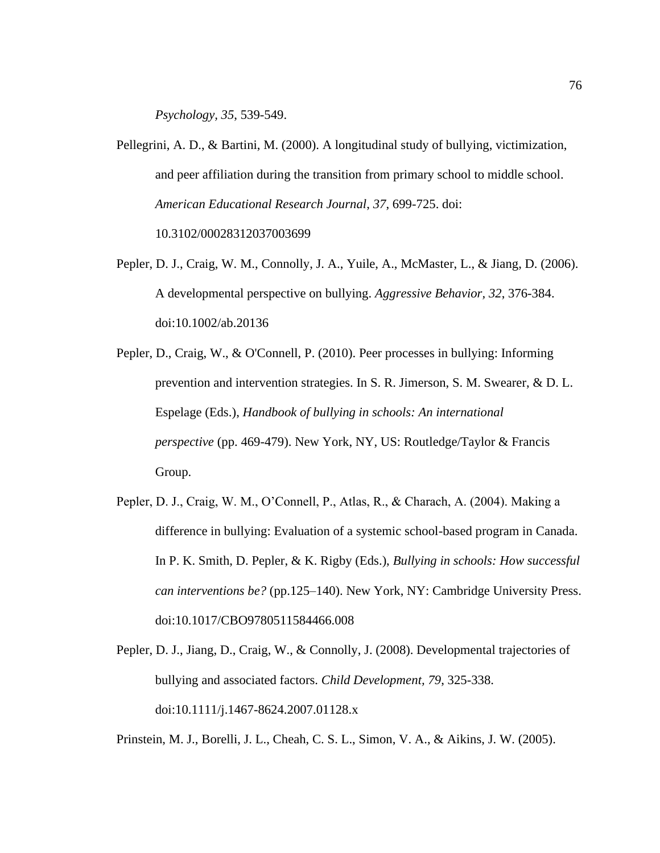*Psychology, 35*, 539-549.

- Pellegrini, A. D., & Bartini, M. (2000). A longitudinal study of bullying, victimization, and peer affiliation during the transition from primary school to middle school. *American Educational Research Journal*, *37*, 699-725. doi: 10.3102/00028312037003699
- Pepler, D. J., Craig, W. M., Connolly, J. A., Yuile, A., McMaster, L., & Jiang, D. (2006). A developmental perspective on bullying. *Aggressive Behavior, 32*, 376-384. doi:10.1002/ab.20136
- Pepler, D., Craig, W., & O'Connell, P. (2010). Peer processes in bullying: Informing prevention and intervention strategies. In S. R. Jimerson, S. M. Swearer, & D. L. Espelage (Eds.), *Handbook of bullying in schools: An international perspective* (pp. 469-479). New York, NY, US: Routledge/Taylor & Francis Group.
- Pepler, D. J., Craig, W. M., O'Connell, P., Atlas, R., & Charach, A. (2004). Making a difference in bullying: Evaluation of a systemic school-based program in Canada. In P. K. Smith, D. Pepler, & K. Rigby (Eds.), *Bullying in schools: How successful can interventions be?* (pp.125–140). New York, NY: Cambridge University Press. doi:10.1017/CBO9780511584466.008
- Pepler, D. J., Jiang, D., Craig, W., & Connolly, J. (2008). Developmental trajectories of bullying and associated factors. *Child Development, 79*, 325-338. doi:10.1111/j.1467-8624.2007.01128.x

Prinstein, M. J., Borelli, J. L., Cheah, C. S. L., Simon, V. A., & Aikins, J. W. (2005).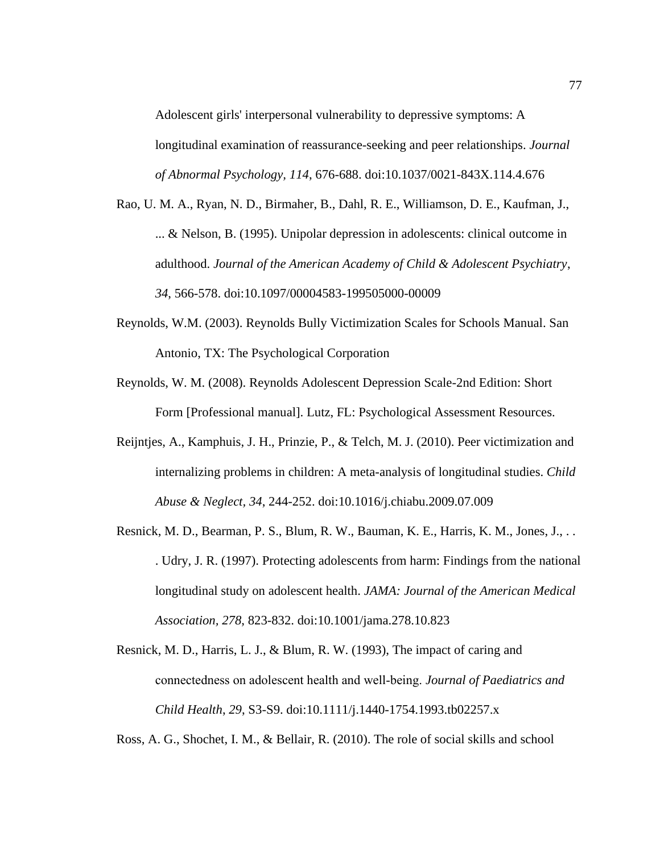Adolescent girls' interpersonal vulnerability to depressive symptoms: A longitudinal examination of reassurance-seeking and peer relationships. *Journal of Abnormal Psychology, 114*, 676-688. doi:10.1037/0021-843X.114.4.676

- Rao, U. M. A., Ryan, N. D., Birmaher, B., Dahl, R. E., Williamson, D. E., Kaufman, J., ... & Nelson, B. (1995). Unipolar depression in adolescents: clinical outcome in adulthood. *Journal of the American Academy of Child & Adolescent Psychiatry*, *34*, 566-578. doi:10.1097/00004583-199505000-00009
- Reynolds, W.M. (2003). Reynolds Bully Victimization Scales for Schools Manual. San Antonio, TX: The Psychological Corporation
- Reynolds, W. M. (2008). Reynolds Adolescent Depression Scale-2nd Edition: Short Form [Professional manual]. Lutz, FL: Psychological Assessment Resources.
- Reijntjes, A., Kamphuis, J. H., Prinzie, P., & Telch, M. J. (2010). Peer victimization and internalizing problems in children: A meta-analysis of longitudinal studies. *Child Abuse & Neglect, 34*, 244-252. doi:10.1016/j.chiabu.2009.07.009
- Resnick, M. D., Bearman, P. S., Blum, R. W., Bauman, K. E., Harris, K. M., Jones, J., . . . Udry, J. R. (1997). Protecting adolescents from harm: Findings from the national longitudinal study on adolescent health. *JAMA: Journal of the American Medical Association, 278*, 823-832. doi:10.1001/jama.278.10.823
- Resnick, M. D., Harris, L. J., & Blum, R. W. (1993), The impact of caring and connectedness on adolescent health and well‐being. *Journal of Paediatrics and Child Health*, *29*, S3-S9. doi:10.1111/j.1440-1754.1993.tb02257.x

Ross, A. G., Shochet, I. M., & Bellair, R. (2010). The role of social skills and school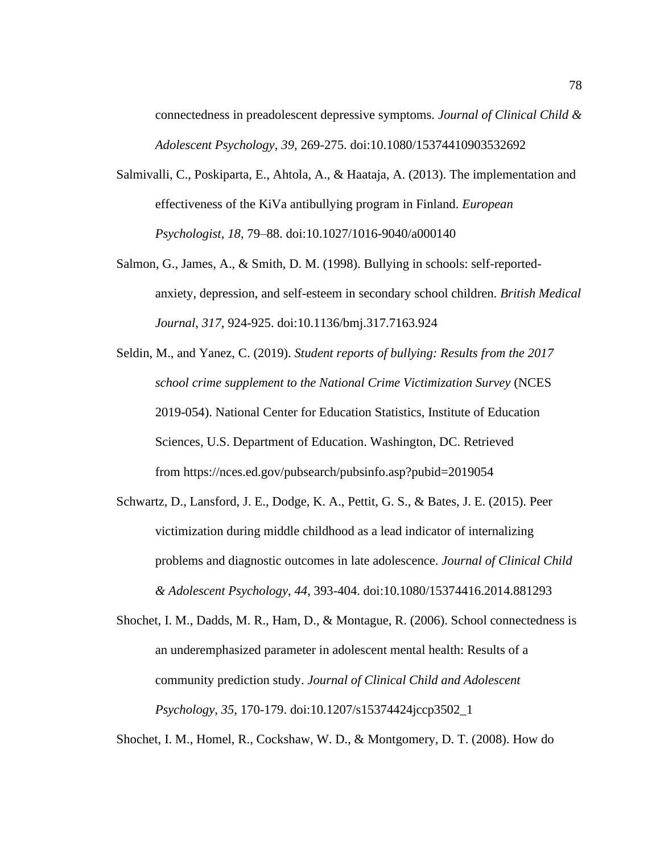connectedness in preadolescent depressive symptoms. *Journal of Clinical Child & Adolescent Psychology*, *39*, 269-275. doi:10.1080/15374410903532692

- Salmivalli, C., Poskiparta, E., Ahtola, A., & Haataja, A. (2013). The implementation and effectiveness of the KiVa antibullying program in Finland. *European Psychologist*, *18*, 79–88. doi:10.1027/1016-9040/a000140
- Salmon, G., James, A., & Smith, D. M. (1998). Bullying in schools: self-reportedanxiety, depression, and self-esteem in secondary school children. *British Medical Journal*, *317*, 924-925. doi:10.1136/bmj.317.7163.924
- Seldin, M., and Yanez, C. (2019). *Student reports of bullying: Results from the 2017 school crime supplement to the National Crime Victimization Survey* (NCES 2019-054). National Center for Education Statistics, Institute of Education Sciences, U.S. Department of Education. Washington, DC. Retrieved from https://nces.ed.gov/pubsearch/pubsinfo.asp?pubid=2019054
- Schwartz, D., Lansford, J. E., Dodge, K. A., Pettit, G. S., & Bates, J. E. (2015). Peer victimization during middle childhood as a lead indicator of internalizing problems and diagnostic outcomes in late adolescence. *Journal of Clinical Child & Adolescent Psychology*, *44*, 393-404. doi:10.1080/15374416.2014.881293
- Shochet, I. M., Dadds, M. R., Ham, D., & Montague, R. (2006). School connectedness is an underemphasized parameter in adolescent mental health: Results of a community prediction study. *Journal of Clinical Child and Adolescent Psychology*, *35*, 170-179. doi:10.1207/s15374424jccp3502\_1

Shochet, I. M., Homel, R., Cockshaw, W. D., & Montgomery, D. T. (2008). How do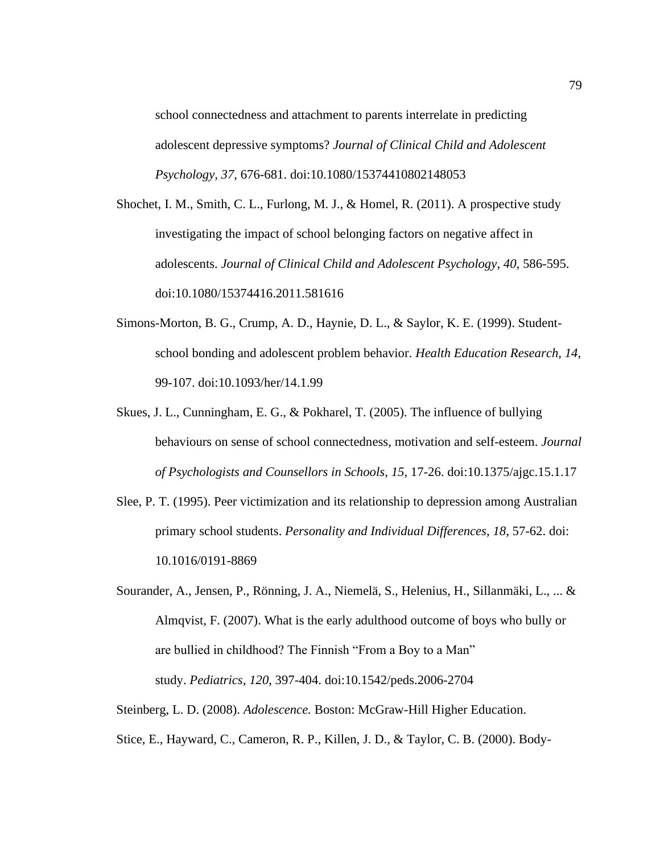school connectedness and attachment to parents interrelate in predicting adolescent depressive symptoms? *Journal of Clinical Child and Adolescent Psychology, 37*, 676-681. doi:10.1080/15374410802148053

Shochet, I. M., Smith, C. L., Furlong, M. J., & Homel, R. (2011). A prospective study investigating the impact of school belonging factors on negative affect in adolescents. *Journal of Clinical Child and Adolescent Psychology*, *40*, 586-595. doi:10.1080/15374416.2011.581616

- Simons-Morton, B. G., Crump, A. D., Haynie, D. L., & Saylor, K. E. (1999). Studentschool bonding and adolescent problem behavior. *Health Education Research, 14*, 99-107. doi:10.1093/her/14.1.99
- Skues, J. L., Cunningham, E. G., & Pokharel, T. (2005). The influence of bullying behaviours on sense of school connectedness, motivation and self-esteem. *Journal of Psychologists and Counsellors in Schools*, *15*, 17-26. doi:10.1375/ajgc.15.1.17
- Slee, P. T. (1995). Peer victimization and its relationship to depression among Australian primary school students. *Personality and Individual Differences*, *18*, 57-62. doi: 10.1016/0191-8869
- Sourander, A., Jensen, P., Rönning, J. A., Niemelä, S., Helenius, H., Sillanmäki, L., ... & Almqvist, F. (2007). What is the early adulthood outcome of boys who bully or are bullied in childhood? The Finnish "From a Boy to a Man" study. *Pediatrics*, *120*, 397-404. doi:10.1542/peds.2006-2704
- Steinberg, L. D. (2008). *Adolescence.* Boston: McGraw-Hill Higher Education.
- Stice, E., Hayward, C., Cameron, R. P., Killen, J. D., & Taylor, C. B. (2000). Body-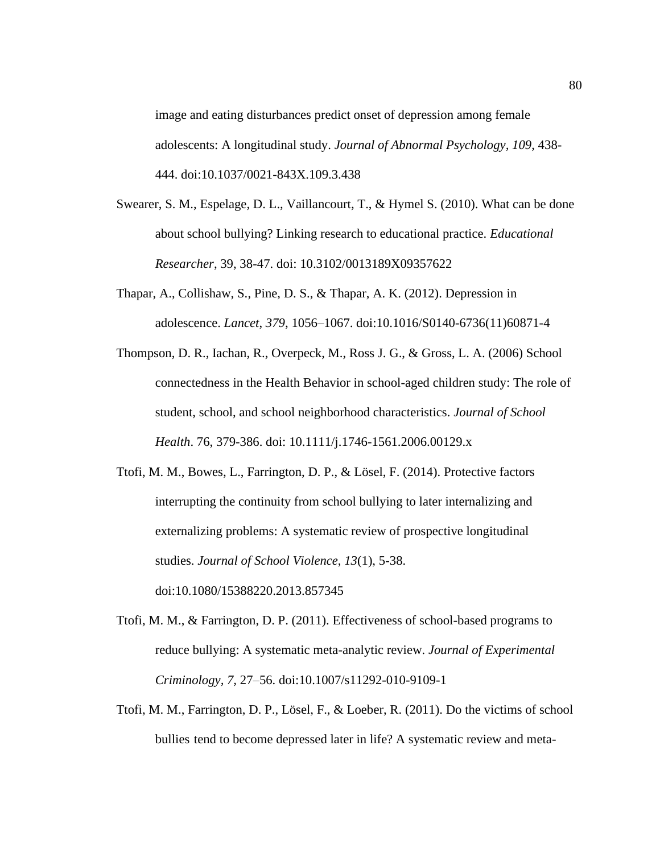image and eating disturbances predict onset of depression among female adolescents: A longitudinal study. *Journal of Abnormal Psychology, 109*, 438- 444. doi:10.1037/0021-843X.109.3.438

- Swearer, S. M., Espelage, D. L., Vaillancourt, T., & Hymel S. (2010). What can be done about school bullying? Linking research to educational practice. *Educational Researcher*, 39, 38-47. doi: 10.3102/0013189X09357622
- Thapar, A., Collishaw, S., Pine, D. S., & Thapar, A. K. (2012). Depression in adolescence. *Lancet*, *379*, 1056–1067. doi:10.1016/S0140-6736(11)60871-4
- Thompson, D. R., Iachan, R., Overpeck, M., Ross J. G., & Gross, L. A. (2006) School connectedness in the Health Behavior in school-aged children study: The role of student, school, and school neighborhood characteristics. *Journal of School Health*. 76, 379-386. doi: 10.1111/j.1746-1561.2006.00129.x

Ttofi, M. M., Bowes, L., Farrington, D. P., & Lösel, F. (2014). Protective factors interrupting the continuity from school bullying to later internalizing and externalizing problems: A systematic review of prospective longitudinal studies. *Journal of School Violence*, *13*(1), 5-38. doi:10.1080/15388220.2013.857345

- Ttofi, M. M., & Farrington, D. P. (2011). Effectiveness of school-based programs to reduce bullying: A systematic meta-analytic review. *Journal of Experimental Criminology, 7,* 27–56. doi:10.1007/s11292-010-9109-1
- Ttofi, M. M., Farrington, D. P., Lösel, F., & Loeber, R. (2011). Do the victims of school bullies tend to become depressed later in life? A systematic review and meta-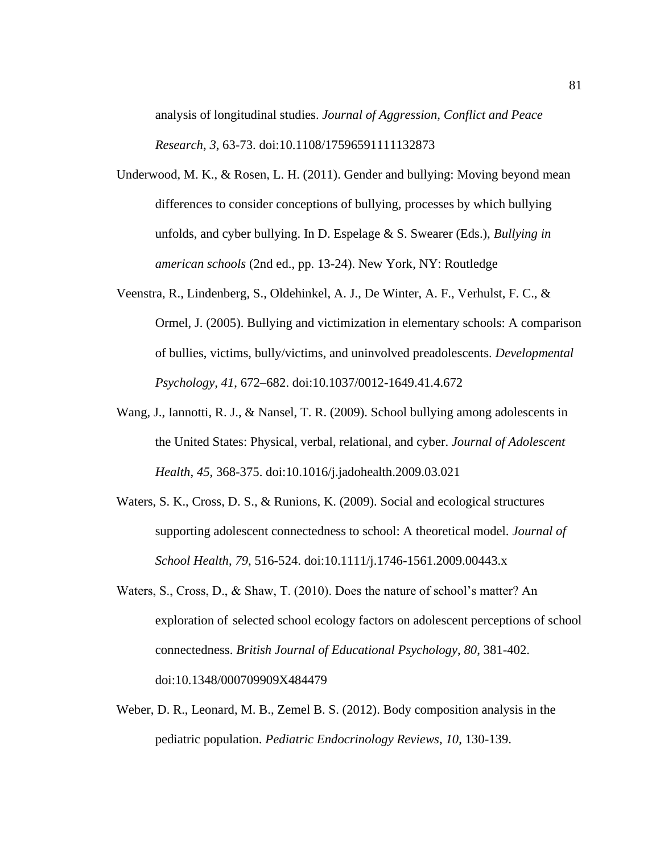analysis of longitudinal studies. *Journal of Aggression, Conflict and Peace Research*, *3*, 63-73. doi:10.1108/17596591111132873

- Underwood, M. K., & Rosen, L. H. (2011). Gender and bullying: Moving beyond mean differences to consider conceptions of bullying, processes by which bullying unfolds, and cyber bullying. In D. Espelage & S. Swearer (Eds.), *Bullying in american schools* (2nd ed., pp. 13-24). New York, NY: Routledge
- Veenstra, R., Lindenberg, S., Oldehinkel, A. J., De Winter, A. F., Verhulst, F. C., & Ormel, J. (2005). Bullying and victimization in elementary schools: A comparison of bullies, victims, bully/victims, and uninvolved preadolescents. *Developmental Psychology, 41*, 672–682. doi:10.1037/0012-1649.41.4.672
- Wang, J., Iannotti, R. J., & Nansel, T. R. (2009). School bullying among adolescents in the United States: Physical, verbal, relational, and cyber. *Journal of Adolescent Health*, *45*, 368-375. doi:10.1016/j.jadohealth.2009.03.021
- Waters, S. K., Cross, D. S., & Runions, K. (2009). Social and ecological structures supporting adolescent connectedness to school: A theoretical model. *Journal of School Health*, *79*, 516-524. doi:10.1111/j.1746-1561.2009.00443.x
- Waters, S., Cross, D., & Shaw, T. (2010). Does the nature of school's matter? An exploration of selected school ecology factors on adolescent perceptions of school connectedness. *British Journal of Educational Psychology*, *80*, 381-402. doi:10.1348/000709909X484479
- Weber, D. R., Leonard, M. B., Zemel B. S. (2012). Body composition analysis in the pediatric population. *Pediatric Endocrinology Reviews*, *10*, 130-139.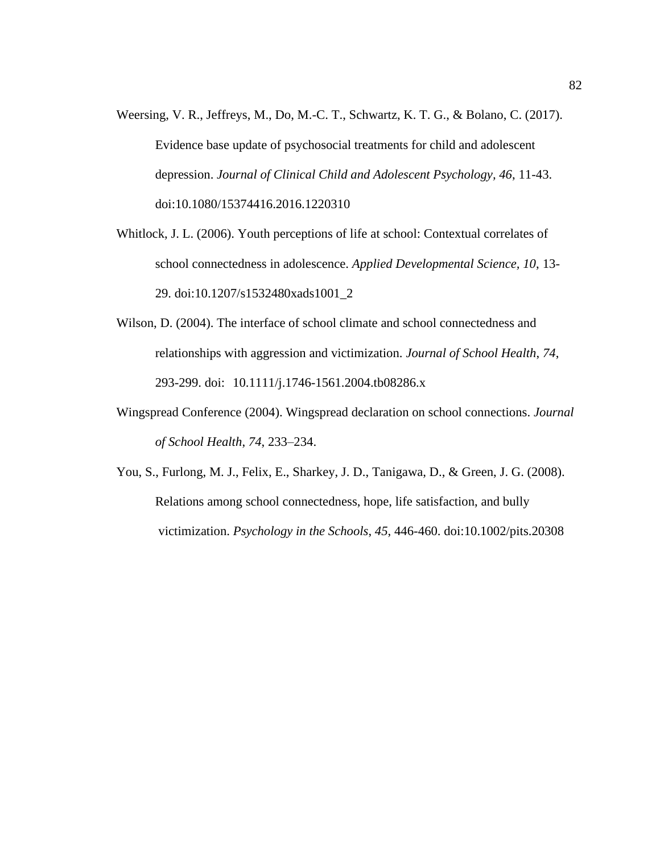- Weersing, V. R., Jeffreys, M., Do, M.-C. T., Schwartz, K. T. G., & Bolano, C. (2017). Evidence base update of psychosocial treatments for child and adolescent depression. *Journal of Clinical Child and Adolescent Psychology, 46*, 11-43. doi:10.1080/15374416.2016.1220310
- Whitlock, J. L. (2006). Youth perceptions of life at school: Contextual correlates of school connectedness in adolescence. *Applied Developmental Science, 10*, 13- 29. doi:10.1207/s1532480xads1001\_2
- Wilson, D. (2004). The interface of school climate and school connectedness and relationships with aggression and victimization. *Journal of School Health*, *74*, 293-299. doi: 10.1111/j.1746-1561.2004.tb08286.x
- Wingspread Conference (2004). Wingspread declaration on school connections. *Journal of School Health*, *74*, 233–234.
- You, S., Furlong, M. J., Felix, E., Sharkey, J. D., Tanigawa, D., & Green, J. G. (2008). Relations among school connectedness, hope, life satisfaction, and bully victimization. *Psychology in the Schools*, *45*, 446-460. doi:10.1002/pits.20308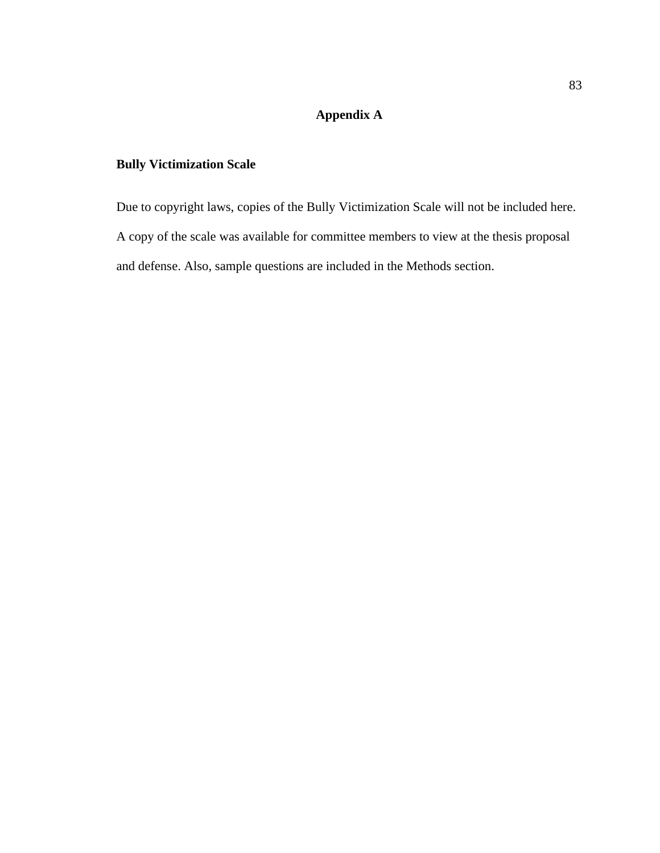### **Appendix A**

#### **Bully Victimization Scale**

Due to copyright laws, copies of the Bully Victimization Scale will not be included here. A copy of the scale was available for committee members to view at the thesis proposal and defense. Also, sample questions are included in the Methods section.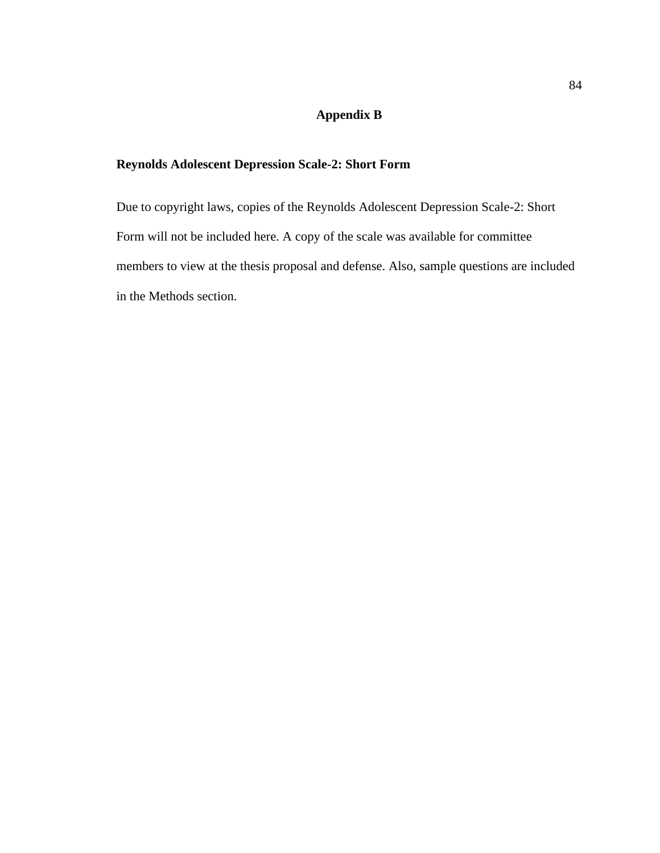#### **Appendix B**

#### **Reynolds Adolescent Depression Scale-2: Short Form**

Due to copyright laws, copies of the Reynolds Adolescent Depression Scale-2: Short Form will not be included here. A copy of the scale was available for committee members to view at the thesis proposal and defense. Also, sample questions are included in the Methods section.